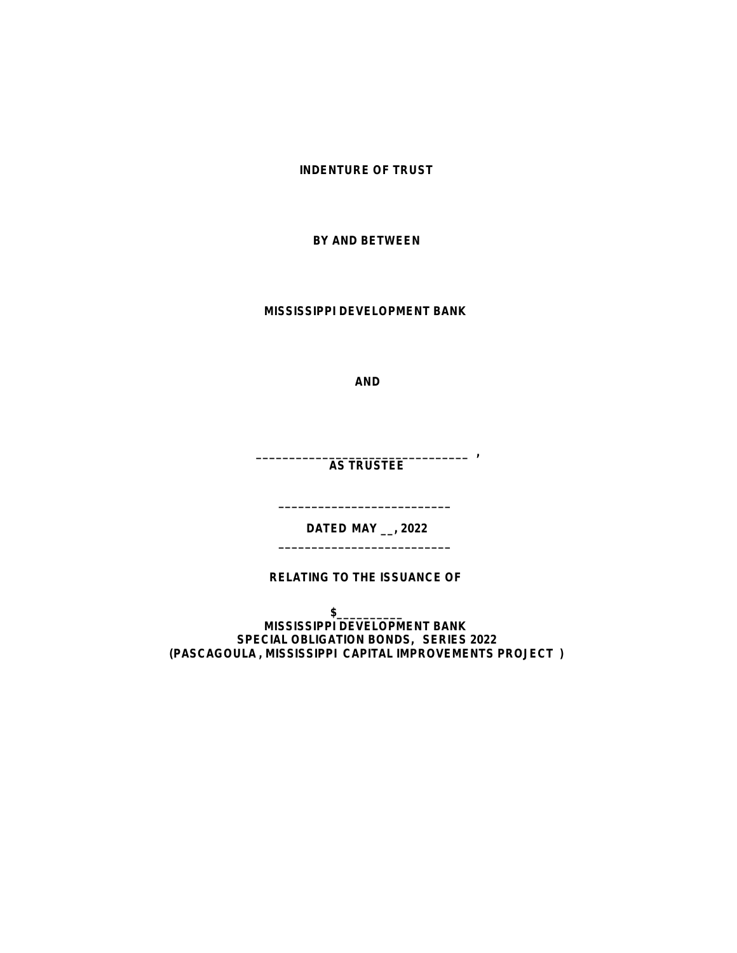**INDENTURE OF TRUST**

**BY AND BETWEEN**

**MISSISSIPPI DEVELOPMENT BANK**

**AND**

**\_\_\_\_\_\_\_\_\_\_\_\_\_\_\_\_\_\_\_\_\_\_\_\_\_\_\_\_\_\_\_\_ , AS TRUSTEE**

> **DATED MAY \_\_, 2022 \_\_\_\_\_\_\_\_\_\_\_\_\_\_\_\_\_\_\_\_\_\_\_\_\_\_**

> **\_\_\_\_\_\_\_\_\_\_\_\_\_\_\_\_\_\_\_\_\_\_\_\_\_\_**

# **RELATING TO THE ISSUANCE OF**

 $$$ 

**MISSISSIPPI DEVELOPMENT BANK SPECIAL OBLIGATION BONDS, SERIES 2022 (PASCAGOULA , MISSISSIPPI CAPITAL IMPROVEMENTS PROJECT )**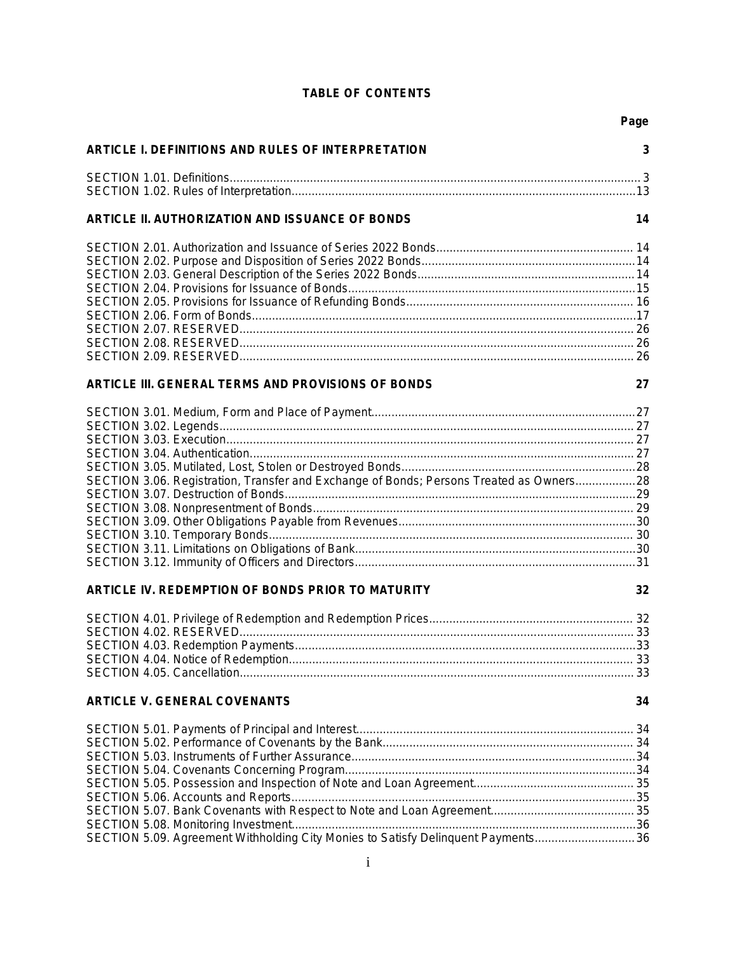# **TABLE OF CONTENTS**

|                                                                                         | Page |
|-----------------------------------------------------------------------------------------|------|
| ARTICLE I. DEFINITIONS AND RULES OF INTERPRETATION                                      | 3    |
|                                                                                         |      |
|                                                                                         |      |
| ARTICLE II. AUTHORIZATION AND ISSUANCE OF BONDS                                         | 14   |
|                                                                                         |      |
|                                                                                         |      |
|                                                                                         |      |
|                                                                                         |      |
|                                                                                         |      |
|                                                                                         |      |
|                                                                                         |      |
|                                                                                         |      |
|                                                                                         |      |
| ARTICLE III. GENERAL TERMS AND PROVISIONS OF BONDS                                      | 27   |
|                                                                                         |      |
|                                                                                         |      |
|                                                                                         |      |
|                                                                                         |      |
|                                                                                         |      |
| SECTION 3.06. Registration, Transfer and Exchange of Bonds; Persons Treated as Owners28 |      |
|                                                                                         |      |
|                                                                                         |      |
|                                                                                         |      |
|                                                                                         |      |
|                                                                                         |      |
|                                                                                         |      |
| ARTICLE IV. REDEMPTION OF BONDS PRIOR TO MATURITY                                       | 32   |
|                                                                                         |      |
|                                                                                         |      |
|                                                                                         |      |
|                                                                                         |      |
|                                                                                         |      |
| <b>ARTICLE V. GENERAL COVENANTS</b>                                                     | 34   |
|                                                                                         |      |
|                                                                                         |      |
|                                                                                         |      |
|                                                                                         |      |
|                                                                                         |      |
|                                                                                         |      |
|                                                                                         |      |
|                                                                                         |      |
| SECTION 5.09. Agreement Withholding City Monies to Satisfy Delinquent Payments36        |      |
|                                                                                         |      |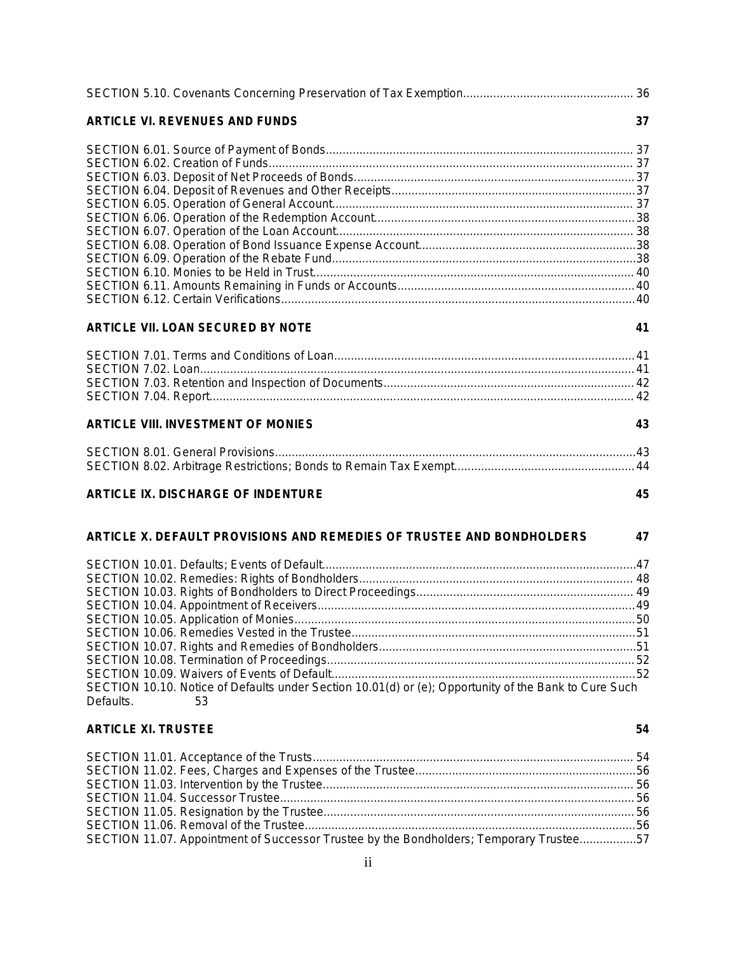| <b>ARTICLE VI. REVENUES AND FUNDS</b>                                                                                    | 37 |
|--------------------------------------------------------------------------------------------------------------------------|----|
|                                                                                                                          |    |
|                                                                                                                          |    |
|                                                                                                                          |    |
|                                                                                                                          |    |
|                                                                                                                          |    |
|                                                                                                                          |    |
|                                                                                                                          |    |
|                                                                                                                          |    |
|                                                                                                                          |    |
|                                                                                                                          |    |
|                                                                                                                          |    |
|                                                                                                                          |    |
| <b>ARTICLE VII. LOAN SECURED BY NOTE</b>                                                                                 | 41 |
|                                                                                                                          |    |
|                                                                                                                          |    |
|                                                                                                                          |    |
|                                                                                                                          |    |
| <b>ARTICLE VIII. INVESTMENT OF MONIES</b>                                                                                | 43 |
|                                                                                                                          |    |
|                                                                                                                          |    |
| <b>ARTICLE IX. DISCHARGE OF INDENTURE</b>                                                                                | 45 |
| ARTICLE X. DEFAULT PROVISIONS AND REMEDIES OF TRUSTEE AND BONDHOLDERS                                                    | 47 |
|                                                                                                                          |    |
|                                                                                                                          |    |
|                                                                                                                          |    |
|                                                                                                                          |    |
|                                                                                                                          |    |
|                                                                                                                          |    |
|                                                                                                                          |    |
|                                                                                                                          |    |
|                                                                                                                          |    |
| SECTION 10.10. Notice of Defaults under Section 10.01(d) or (e); Opportunity of the Bank to Cure Such<br>Defaults.<br>53 |    |
| <b>ARTICLE XI. TRUSTEE</b>                                                                                               | 54 |
|                                                                                                                          |    |
|                                                                                                                          |    |
|                                                                                                                          |    |
|                                                                                                                          |    |
|                                                                                                                          |    |
|                                                                                                                          |    |
| SECTION 11.07. Appointment of Successor Trustee by the Bondholders; Temporary Trustee57                                  |    |
|                                                                                                                          |    |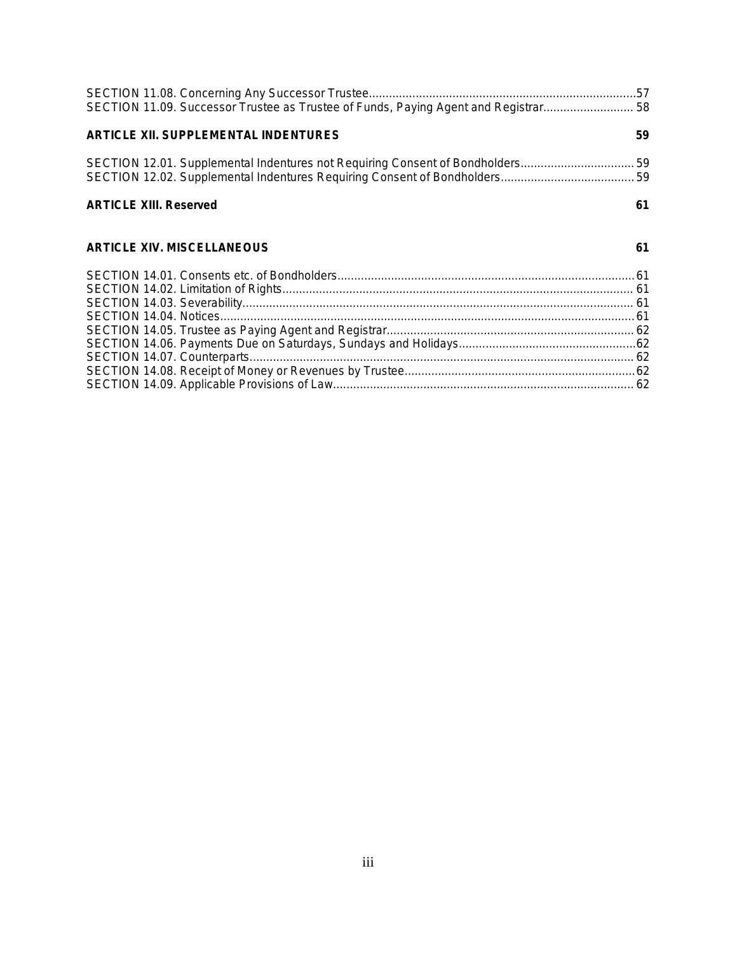| SECTION 11.09. Successor Trustee as Trustee of Funds, Paying Agent and Registrar 58 |    |
|-------------------------------------------------------------------------------------|----|
| <b>ARTICLE XII. SUPPLEMENTAL INDENTURES</b>                                         | 59 |
| SECTION 12.01. Supplemental Indentures not Requiring Consent of Bondholders 59      |    |
|                                                                                     |    |
| <b>ARTICLE XIII. Reserved</b>                                                       | 61 |
| <b>ARTICLE XIV. MISCELLANEOUS</b>                                                   | 61 |
|                                                                                     |    |
|                                                                                     |    |
|                                                                                     |    |
|                                                                                     |    |
|                                                                                     |    |
|                                                                                     |    |
|                                                                                     |    |
|                                                                                     |    |
|                                                                                     |    |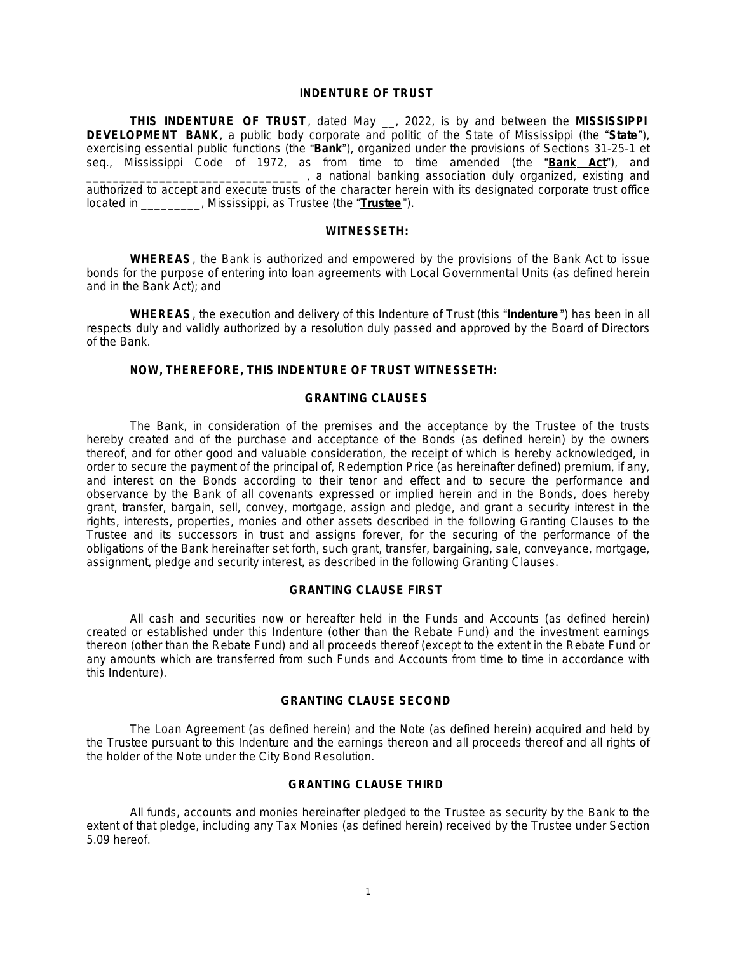# **INDENTURE OF TRUST**

**THIS INDENTURE OF TRUST**, dated May \_\_, 2022, is by and between the **MISSISSIPPI DEVELOPMENT BANK**, a public body corporate and politic of the State of Mississippi (the "**State**"), exercising essential public functions (the "**Bank**"), organized under the provisions of Sections 31-25-1 *et seq.*, Mississippi Code of 1972, as from time to time amended (the "**Bank Act**"), and **\_\_\_\_\_\_\_\_\_\_\_\_\_\_\_\_\_\_\_\_\_\_\_\_\_\_\_\_\_\_\_\_** , a national banking association duly organized, existing and authorized to accept and execute trusts of the character herein with its designated corporate trust office located in \_\_\_\_\_\_\_\_\_, Mississippi, as Trustee (the "**Trustee**").

# **WITNESSETH:**

**WHEREAS**, the Bank is authorized and empowered by the provisions of the Bank Act to issue bonds for the purpose of entering into loan agreements with Local Governmental Units (as defined herein and in the Bank Act); and

**WHEREAS**, the execution and delivery of this Indenture of Trust (this "**Indenture** ") has been in all respects duly and validly authorized by a resolution duly passed and approved by the Board of Directors of the Bank.

# **NOW, THEREFORE, THIS INDENTURE OF TRUST WITNESSETH:**

# **GRANTING CLAUSES**

The Bank, in consideration of the premises and the acceptance by the Trustee of the trusts hereby created and of the purchase and acceptance of the Bonds (as defined herein) by the owners thereof, and for other good and valuable consideration, the receipt of which is hereby acknowledged, in order to secure the payment of the principal of, Redemption Price (as hereinafter defined) premium, if any, and interest on the Bonds according to their tenor and effect and to secure the performance and observance by the Bank of all covenants expressed or implied herein and in the Bonds, does hereby grant, transfer, bargain, sell, convey, mortgage, assign and pledge, and grant a security interest in the rights, interests, properties, monies and other assets described in the following Granting Clauses to the Trustee and its successors in trust and assigns forever, for the securing of the performance of the obligations of the Bank hereinafter set forth, such grant, transfer, bargaining, sale, conveyance, mortgage, assignment, pledge and security interest, as described in the following Granting Clauses.

#### **GRANTING CLAUSE FIRST**

All cash and securities now or hereafter held in the Funds and Accounts (as defined herein) created or established under this Indenture (other than the Rebate Fund) and the investment earnings thereon (other than the Rebate Fund) and all proceeds thereof (except to the extent in the Rebate Fund or any amounts which are transferred from such Funds and Accounts from time to time in accordance with this Indenture).

#### **GRANTING CLAUSE SECOND**

The Loan Agreement (as defined herein) and the Note (as defined herein) acquired and held by the Trustee pursuant to this Indenture and the earnings thereon and all proceeds thereof and all rights of the holder of the Note under the City Bond Resolution.

#### **GRANTING CLAUSE THIRD**

All funds, accounts and monies hereinafter pledged to the Trustee as security by the Bank to the extent of that pledge, including any Tax Monies (as defined herein) received by the Trustee under Section 5.09 hereof.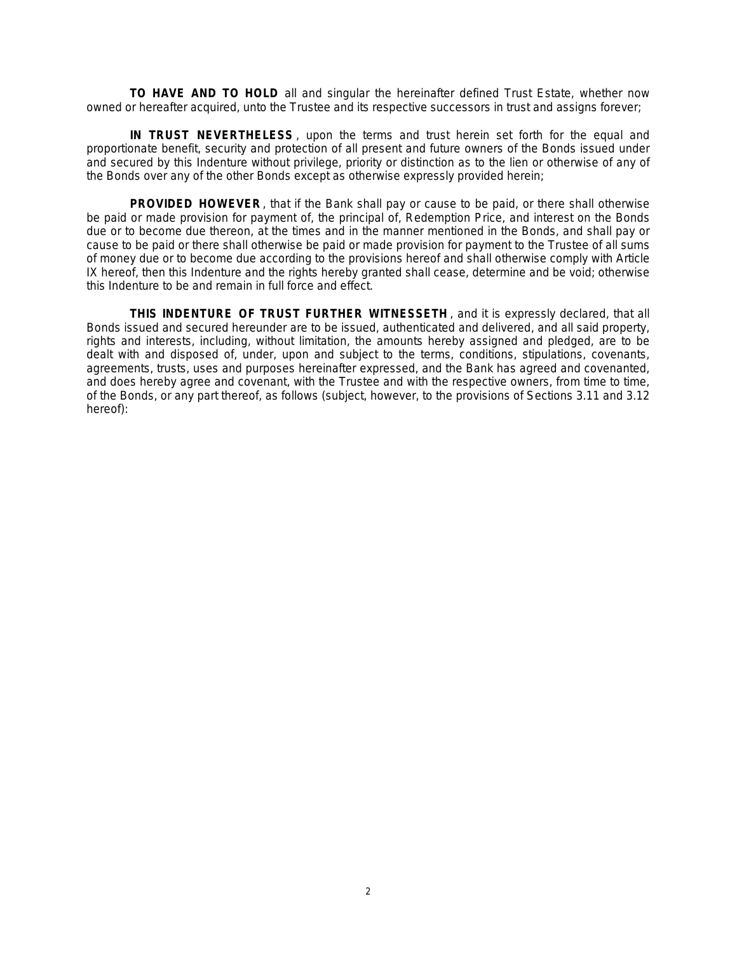**TO HAVE AND TO HOLD** all and singular the hereinafter defined Trust Estate, whether now owned or hereafter acquired, unto the Trustee and its respective successors in trust and assigns forever;

**IN TRUST NEVERTHELESS** , upon the terms and trust herein set forth for the equal and proportionate benefit, security and protection of all present and future owners of the Bonds issued under and secured by this Indenture without privilege, priority or distinction as to the lien or otherwise of any of the Bonds over any of the other Bonds except as otherwise expressly provided herein;

**PROVIDED HOWEVER**, that if the Bank shall pay or cause to be paid, or there shall otherwise be paid or made provision for payment of, the principal of, Redemption Price, and interest on the Bonds due or to become due thereon, at the times and in the manner mentioned in the Bonds, and shall pay or cause to be paid or there shall otherwise be paid or made provision for payment to the Trustee of all sums of money due or to become due according to the provisions hereof and shall otherwise comply with Article IX hereof, then this Indenture and the rights hereby granted shall cease, determine and be void; otherwise this Indenture to be and remain in full force and effect.

**THIS INDENTURE OF TRUST FURTHER WITNESSETH** , and it is expressly declared, that all Bonds issued and secured hereunder are to be issued, authenticated and delivered, and all said property, rights and interests, including, without limitation, the amounts hereby assigned and pledged, are to be dealt with and disposed of, under, upon and subject to the terms, conditions, stipulations, covenants, agreements, trusts, uses and purposes hereinafter expressed, and the Bank has agreed and covenanted, and does hereby agree and covenant, with the Trustee and with the respective owners, from time to time, of the Bonds, or any part thereof, as follows (subject, however, to the provisions of Sections 3.11 and 3.12 hereof):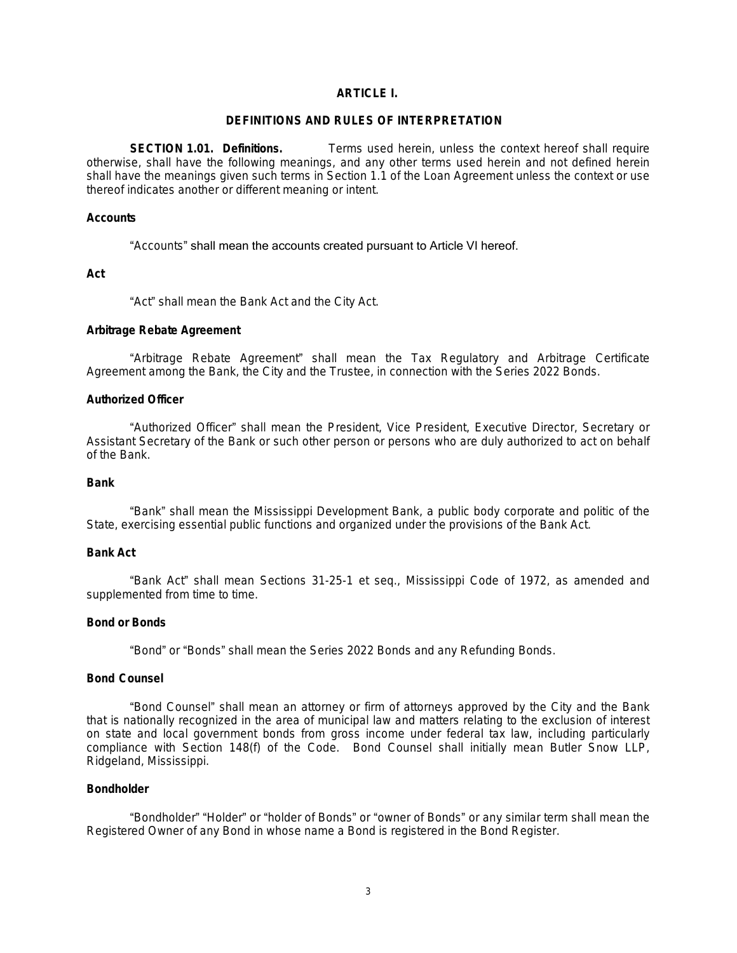# **ARTICLE L.**

### **DEFINITIONS AND RULES OF INTERPRETATION**

**SECTION 1.01. Definitions.** Terms used herein, unless the context hereof shall require otherwise, shall have the following meanings, and any other terms used herein and not defined herein shall have the meanings given such terms in Section 1.1 of the Loan Agreement unless the context or use thereof indicates another or different meaning or intent.

# **Accounts**

### "Accounts" shall mean the accounts created pursuant to Article VI hereof.

**Act**

"Act" shall mean the Bank Act and the City Act.

### **Arbitrage Rebate Agreement**

"Arbitrage Rebate Agreement" shall mean the Tax Regulatory and Arbitrage Certificate Agreement among the Bank, the City and the Trustee, in connection with the Series 2022 Bonds.

### **Authorized Officer**

"Authorized Officer" shall mean the President, Vice President, Executive Director, Secretary or Assistant Secretary of the Bank or such other person or persons who are duly authorized to act on behalf of the Bank.

### **Bank**

"Bank" shall mean the Mississippi Development Bank, a public body corporate and politic of the State, exercising essential public functions and organized under the provisions of the Bank Act.

#### **Bank Act**

"Bank Act" shall mean Sections 31-25-1 *et seq*., Mississippi Code of 1972, as amended and supplemented from time to time.

### **Bond or Bonds**

"Bond" or "Bonds" shall mean the Series 2022 Bonds and any Refunding Bonds.

#### **Bond Counsel**

"Bond Counsel" shall mean an attorney or firm of attorneys approved by the City and the Bank that is nationally recognized in the area of municipal law and matters relating to the exclusion of interest on state and local government bonds from gross income under federal tax law, including particularly compliance with Section 148(f) of the Code. Bond Counsel shall initially mean Butler Snow LLP, Ridgeland, Mississippi.

# **Bondholder**

"Bondholder" "Holder" or "holder of Bonds" or "owner of Bonds" or any similar term shall mean the Registered Owner of any Bond in whose name a Bond is registered in the Bond Register.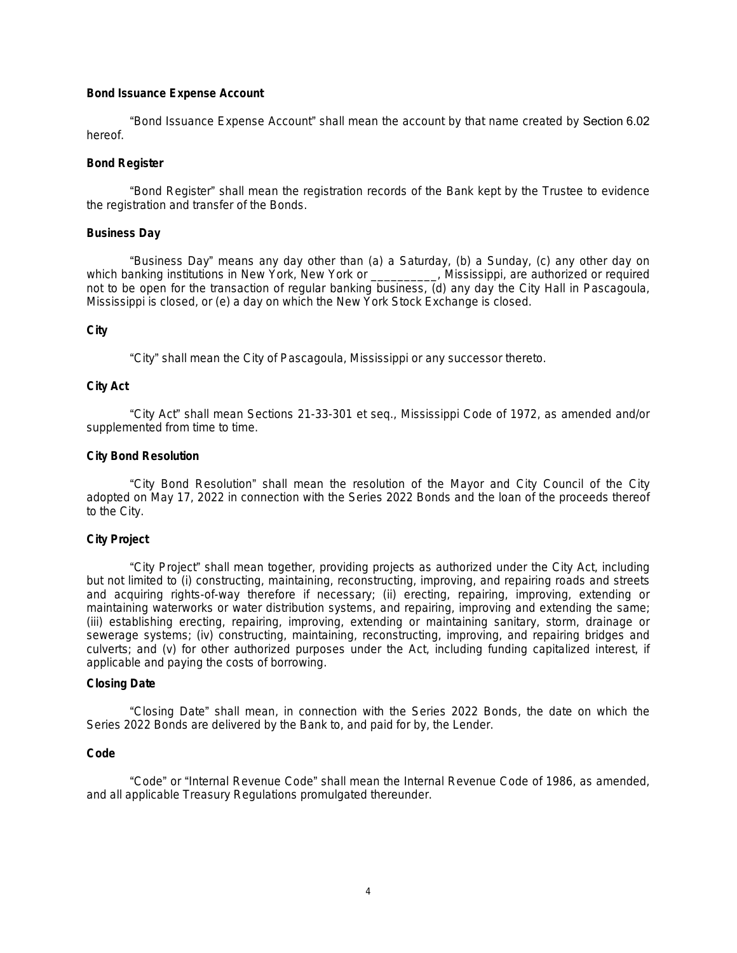### **Bond Issuance Expense Account**

"Bond Issuance Expense Account" shall mean the account by that name created by Section 6.02 hereof.

### **Bond Register**

"Bond Register" shall mean the registration records of the Bank kept by the Trustee to evidence the registration and transfer of the Bonds.

### **Business Day**

"Business Day" means any day other than (a) a Saturday, (b) a Sunday, (c) any other day on which banking institutions in New York, New York or \_\_\_\_\_\_\_\_\_\_, Mississippi, are authorized or required not to be open for the transaction of regular banking business, (d) any day the City Hall in Pascagoula, Mississippi is closed, or (e) a day on which the New York Stock Exchange is closed.

# **City**

"City" shall mean the City of Pascagoula, Mississippi or any successor thereto.

### **City Act**

"City Act" shall mean Sections 21-33-301 et seq., Mississippi Code of 1972, as amended and/or supplemented from time to time.

# **City Bond Resolution**

"City Bond Resolution" shall mean the resolution of the Mayor and City Council of the City adopted on May 17, 2022 in connection with the Series 2022 Bonds and the loan of the proceeds thereof to the City.

# **City Project**

"City Project" shall mean together, providing projects as authorized under the City Act, including but not limited to (i) constructing, maintaining, reconstructing, improving, and repairing roads and streets and acquiring rights-of-way therefore if necessary; (ii) erecting, repairing, improving, extending or maintaining waterworks or water distribution systems, and repairing, improving and extending the same; (iii) establishing erecting, repairing, improving, extending or maintaining sanitary, storm, drainage or sewerage systems; (iv) constructing, maintaining, reconstructing, improving, and repairing bridges and culverts; and (v) for other authorized purposes under the Act, including funding capitalized interest, if applicable and paying the costs of borrowing.

### **Closing Date**

"Closing Date" shall mean, in connection with the Series 2022 Bonds, the date on which the Series 2022 Bonds are delivered by the Bank to, and paid for by, the Lender.

#### **Code**

"Code" or "Internal Revenue Code" shall mean the Internal Revenue Code of 1986, as amended, and all applicable Treasury Regulations promulgated thereunder.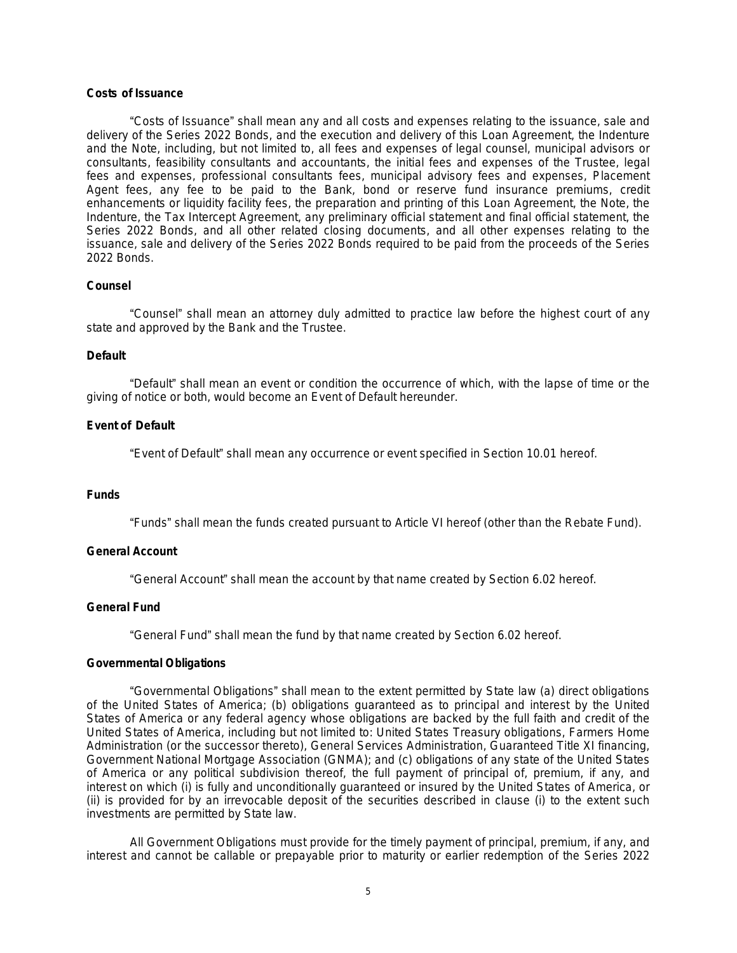# **Costs of Issuance**

"Costs of Issuance" shall mean any and all costs and expenses relating to the issuance, sale and delivery of the Series 2022 Bonds, and the execution and delivery of this Loan Agreement, the Indenture and the Note, including, but not limited to, all fees and expenses of legal counsel, municipal advisors or consultants, feasibility consultants and accountants, the initial fees and expenses of the Trustee, legal fees and expenses, professional consultants fees, municipal advisory fees and expenses, Placement Agent fees, any fee to be paid to the Bank, bond or reserve fund insurance premiums, credit enhancements or liquidity facility fees, the preparation and printing of this Loan Agreement, the Note, the Indenture, the Tax Intercept Agreement, any preliminary official statement and final official statement, the Series 2022 Bonds, and all other related closing documents, and all other expenses relating to the issuance, sale and delivery of the Series 2022 Bonds required to be paid from the proceeds of the Series 2022 Bonds.

### **Counsel**

"Counsel" shall mean an attorney duly admitted to practice law before the highest court of any state and approved by the Bank and the Trustee.

#### **Default**

"Default" shall mean an event or condition the occurrence of which, with the lapse of time or the giving of notice or both, would become an Event of Default hereunder.

### **Event of Default**

"Event of Default" shall mean any occurrence or event specified in Section 10.01 hereof.

# **Funds**

"Funds" shall mean the funds created pursuant to Article VI hereof (other than the Rebate Fund).

# **General Account**

"General Account" shall mean the account by that name created by Section 6.02 hereof.

### **General Fund**

"General Fund" shall mean the fund by that name created by Section 6.02 hereof.

#### **Governmental Obligations**

"Governmental Obligations" shall mean to the extent permitted by State law (a) direct obligations of the United States of America; (b) obligations guaranteed as to principal and interest by the United States of America or any federal agency whose obligations are backed by the full faith and credit of the United States of America, including but not limited to: United States Treasury obligations, Farmers Home Administration (or the successor thereto), General Services Administration, Guaranteed Title XI financing, Government National Mortgage Association (GNMA); and (c) obligations of any state of the United States of America or any political subdivision thereof, the full payment of principal of, premium, if any, and interest on which (i) is fully and unconditionally guaranteed or insured by the United States of America, or (ii) is provided for by an irrevocable deposit of the securities described in clause (i) to the extent such investments are permitted by State law.

All Government Obligations must provide for the timely payment of principal, premium, if any, and interest and cannot be callable or prepayable prior to maturity or earlier redemption of the Series 2022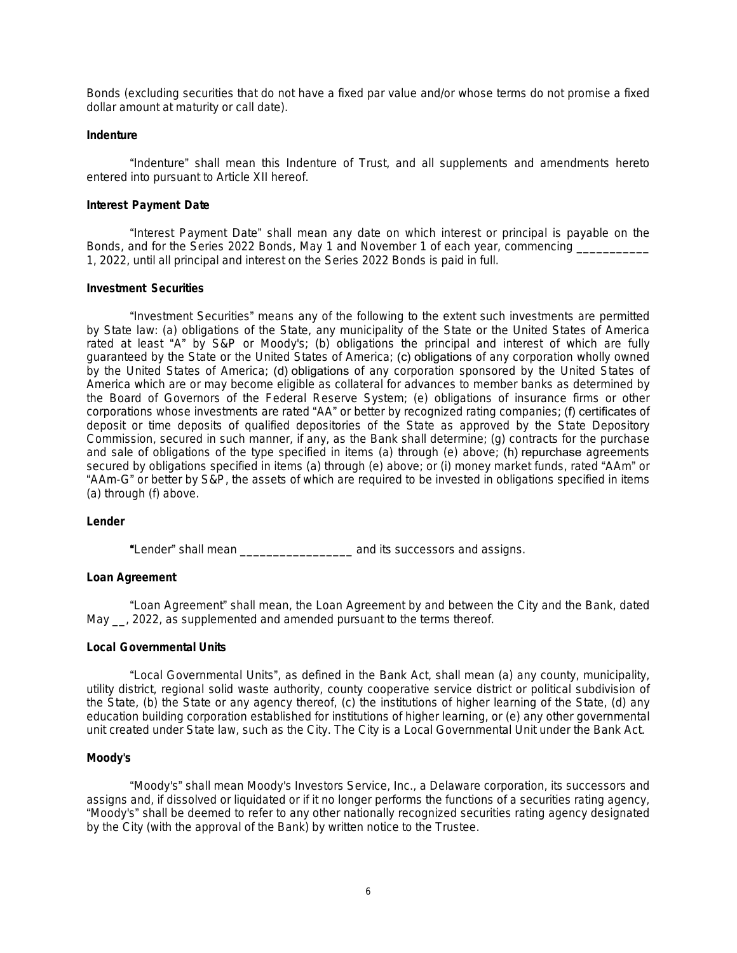Bonds (excluding securities that do not have a fixed par value and/or whose terms do not promise a fixed dollar amount at maturity or call date).

### **Indenture**

"Indenture" shall mean this Indenture of Trust, and all supplements and amendments hereto entered into pursuant to Article XII hereof.

### **Interest Payment Date**

"Interest Payment Date" shall mean any date on which interest or principal is payable on the Bonds, and for the Series 2022 Bonds, May 1 and November 1 of each year, commencing 1, 2022, until all principal and interest on the Series 2022 Bonds is paid in full.

### **Investment Securities**

"Investment Securities" means any of the following to the extent such investments are permitted by State law: (a) obligations of the State, any municipality of the State or the United States of America rated at least "A" by S&P or Moody's; (b) obligations the principal and interest of which are fully guaranteed by the State or the United States of America; (c) obligations of any corporation wholly owned by the United States of America; (d) obligations of any corporation sponsored by the United States of America which are or may become eligible as collateral for advances to member banks as determined by the Board of Governors of the Federal Reserve System; (e) obligations of insurance firms or other corporations whose investments are rated "AA" or better by recognized rating companies; (f) certificates of deposit or time deposits of qualified depositories of the State as approved by the State Depository Commission, secured in such manner, if any, as the Bank shall determine; (g) contracts for the purchase and sale of obligations of the type specified in items (a) through (e) above; (h) repurchase agreements secured by obligations specified in items (a) through (e) above; or (i) money market funds, rated "AAm" or "AAm-G" or better by S&P, the assets of which are required to be invested in obligations specified in items (a) through (f) above.

#### **Lender**

"Lender" shall mean \_\_\_\_\_\_\_\_\_\_\_\_\_\_\_\_\_ and its successors and assigns.

### **Loan Agreement**

"Loan Agreement" shall mean, the Loan Agreement by and between the City and the Bank, dated May <sub>\_\_</sub>, 2022, as supplemented and amended pursuant to the terms thereof.

#### **Local Governmental Units**

"Local Governmental Units", as defined in the Bank Act, shall mean (a) any county, municipality, utility district, regional solid waste authority, county cooperative service district or political subdivision of the State, (b) the State or any agency thereof, (c) the institutions of higher learning of the State, (d) any education building corporation established for institutions of higher learning, or (e) any other governmental unit created under State law, such as the City. The City is a Local Governmental Unit under the Bank Act.

# **Moody's**

"Moody's" shall mean Moody's Investors Service, Inc., a Delaware corporation, its successors and assigns and, if dissolved or liquidated or if it no longer performs the functions of a securities rating agency, "Moody's" shall be deemed to refer to any other nationally recognized securities rating agency designated by the City (with the approval of the Bank) by written notice to the Trustee.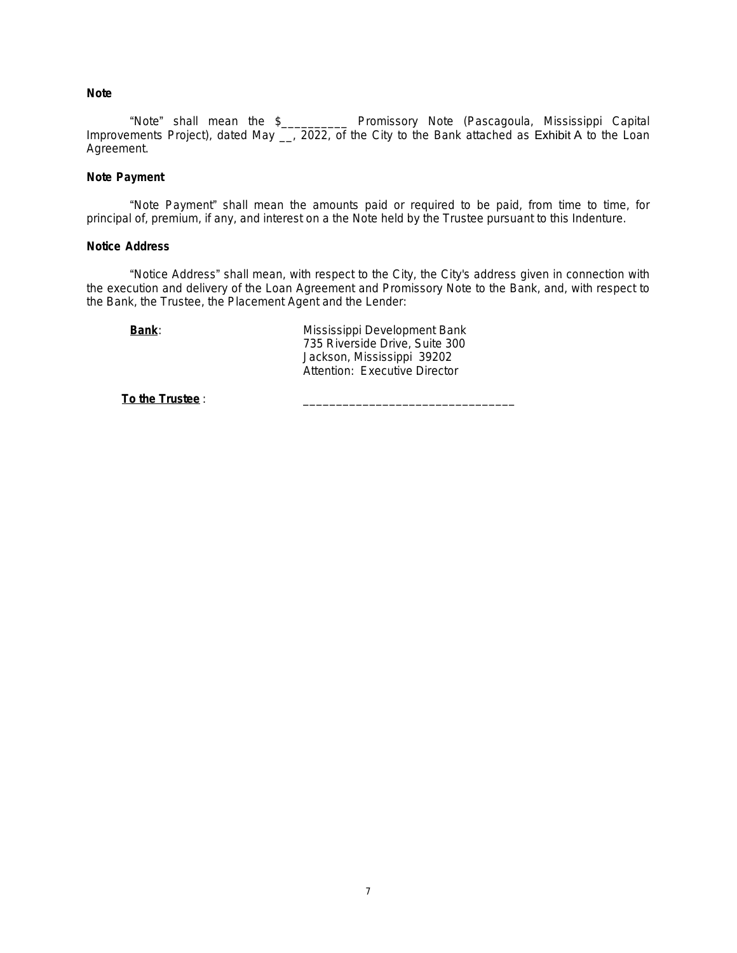# **Note**

"Note" shall mean the \$\_\_\_\_\_\_\_\_\_\_ Promissory Note (Pascagoula, Mississippi Capital Improvements Project), dated May <sub>\_\_</sub>, 2022, of the City to the Bank attached as Exhibit A to the Loan Agreement.

### **Note Payment**

"Note Payment" shall mean the amounts paid or required to be paid, from time to time, for principal of, premium, if any, and interest on a the Note held by the Trustee pursuant to this Indenture.

### **Notice Address**

"Notice Address" shall mean, with respect to the City, the City's address given in connection with the execution and delivery of the Loan Agreement and Promissory Note to the Bank, and, with respect to the Bank, the Trustee, the Placement Agent and the Lender:

**Bank**: Mississippi Development Bank 735 Riverside Drive, Suite 300 Jackson, Mississippi 39202 Attention: Executive Director

**To the Trustee**: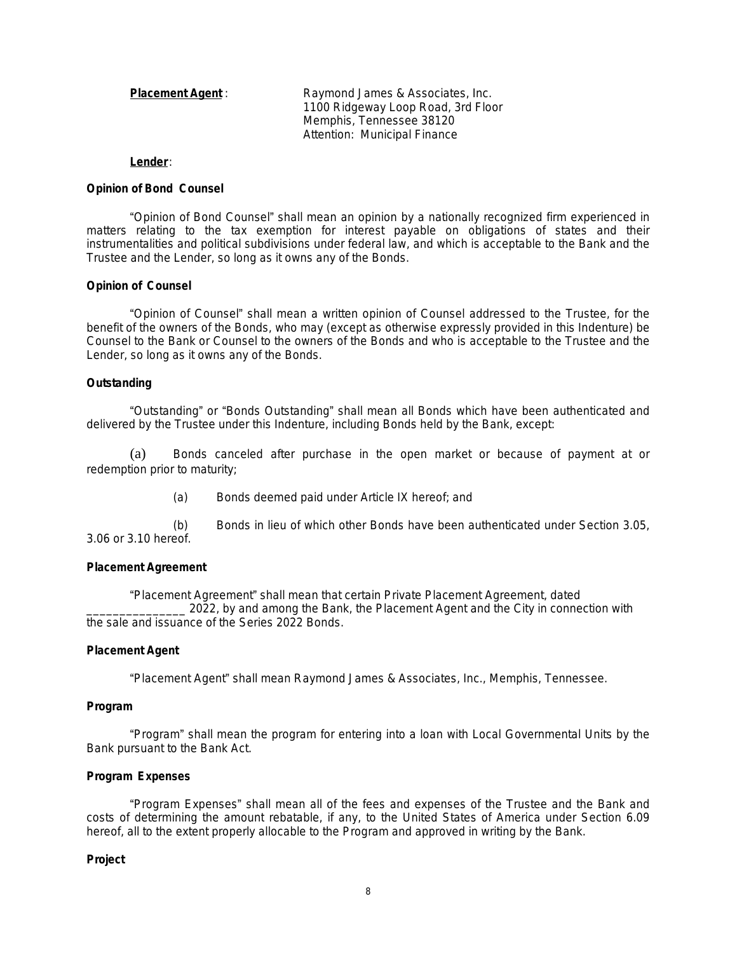| <b>Placement Agent:</b> | Raymond James & Associates, Inc.   |  |
|-------------------------|------------------------------------|--|
|                         | 1100 Ridgeway Loop Road, 3rd Floor |  |
|                         | Memphis, Tennessee 38120           |  |
|                         | Attention: Municipal Finance       |  |

#### **Lender**:

#### **Opinion of Bond Counsel**

"Opinion of Bond Counsel" shall mean an opinion by a nationally recognized firm experienced in matters relating to the tax exemption for interest payable on obligations of states and their instrumentalities and political subdivisions under federal law, and which is acceptable to the Bank and the Trustee and the Lender, so long as it owns any of the Bonds.

#### **Opinion of Counsel**

"Opinion of Counsel" shall mean a written opinion of Counsel addressed to the Trustee, for the benefit of the owners of the Bonds, who may (except as otherwise expressly provided in this Indenture) be Counsel to the Bank or Counsel to the owners of the Bonds and who is acceptable to the Trustee and the Lender, so long as it owns any of the Bonds.

#### **Outstanding**

"Outstanding" or "Bonds Outstanding" shall mean all Bonds which have been authenticated and delivered by the Trustee under this Indenture, including Bonds held by the Bank, except:

(a) Bonds canceled after purchase in the open market or because of payment at or redemption prior to maturity;

(a) Bonds deemed paid under Article IX hereof; and

(b) Bonds in lieu of which other Bonds have been authenticated under Section 3.05, 3.06 or 3.10 hereof.

#### **Placement Agreement**

"Placement Agreement" shall mean that certain Private Placement Agreement, dated 2022, by and among the Bank, the Placement Agent and the City in connection with the sale and issuance of the Series 2022 Bonds.

#### **Placement Agent**

"Placement Agent" shall mean Raymond James & Associates, Inc., Memphis, Tennessee.

#### **Program**

"Program" shall mean the program for entering into a loan with Local Governmental Units by the Bank pursuant to the Bank Act.

### **Program Expenses**

"Program Expenses" shall mean all of the fees and expenses of the Trustee and the Bank and costs of determining the amount rebatable, if any, to the United States of America under Section 6.09 hereof, all to the extent properly allocable to the Program and approved in writing by the Bank.

#### **Project**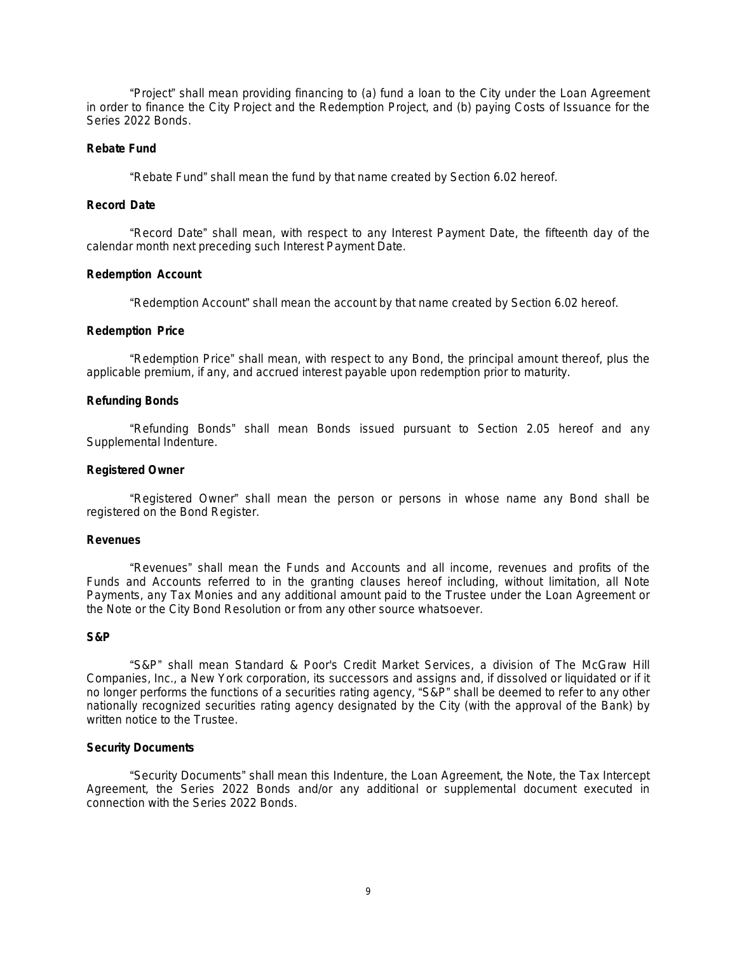"Project" shall mean providing financing to (a) fund a loan to the City under the Loan Agreement in order to finance the City Project and the Redemption Project, and (b) paying Costs of Issuance for the Series 2022 Bonds.

### **Rebate Fund**

"Rebate Fund" shall mean the fund by that name created by Section 6.02 hereof.

# **Record Date**

"Record Date" shall mean, with respect to any Interest Payment Date, the fifteenth day of the calendar month next preceding such Interest Payment Date.

### **Redemption Account**

"Redemption Account" shall mean the account by that name created by Section 6.02 hereof.

#### **Redemption Price**

"Redemption Price" shall mean, with respect to any Bond, the principal amount thereof, plus the applicable premium, if any, and accrued interest payable upon redemption prior to maturity.

### **Refunding Bonds**

"Refunding Bonds" shall mean Bonds issued pursuant to Section 2.05 hereof and any Supplemental Indenture.

### **Registered Owner**

"Registered Owner" shall mean the person or persons in whose name any Bond shall be registered on the Bond Register.

#### **Revenues**

"Revenues" shall mean the Funds and Accounts and all income, revenues and profits of the Funds and Accounts referred to in the granting clauses hereof including, without limitation, all Note Payments, any Tax Monies and any additional amount paid to the Trustee under the Loan Agreement or the Note or the City Bond Resolution or from any other source whatsoever.

#### **S&P**

"S&P" shall mean Standard & Poor's Credit Market Services, a division of The McGraw Hill Companies, Inc., a New York corporation, its successors and assigns and, if dissolved or liquidated or if it no longer performs the functions of a securities rating agency, "S&P" shall be deemed to refer to any other nationally recognized securities rating agency designated by the City (with the approval of the Bank) by written notice to the Trustee.

### **Security Documents**

"Security Documents" shall mean this Indenture, the Loan Agreement, the Note, the Tax Intercept Agreement, the Series 2022 Bonds and/or any additional or supplemental document executed in connection with the Series 2022 Bonds.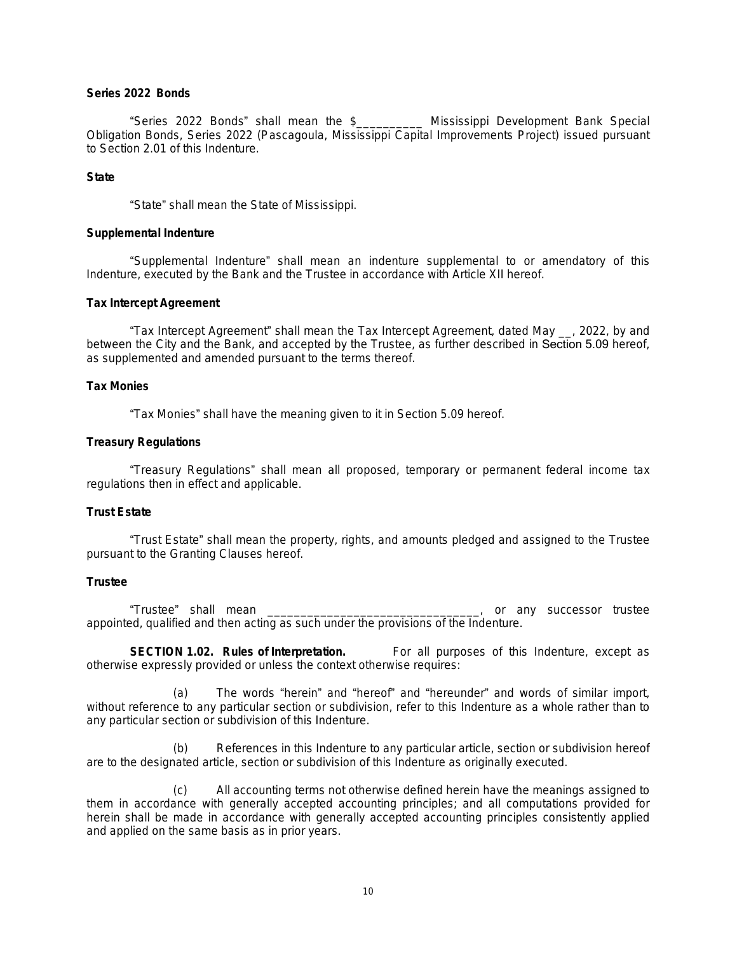# **Series 2022 Bonds**

"Series 2022 Bonds" shall mean the \$\_\_\_\_\_\_\_\_\_\_ Mississippi Development Bank Special Obligation Bonds, Series 2022 (Pascagoula, Mississippi Capital Improvements Project) issued pursuant to Section 2.01 of this Indenture.

### **State**

"State" shall mean the State of Mississippi.

### **Supplemental Indenture**

"Supplemental Indenture" shall mean an indenture supplemental to or amendatory of this Indenture, executed by the Bank and the Trustee in accordance with Article XII hereof.

### **Tax Intercept Agreement**

"Tax Intercept Agreement" shall mean the Tax Intercept Agreement, dated May \_\_, 2022, by and between the City and the Bank, and accepted by the Trustee, as further described in Section 5.09 hereof, as supplemented and amended pursuant to the terms thereof.

# **Tax Monies**

"Tax Monies" shall have the meaning given to it in Section 5.09 hereof.

### **Treasury Regulations**

"Treasury Regulations" shall mean all proposed, temporary or permanent federal income tax regulations then in effect and applicable.

# **Trust Estate**

"Trust Estate" shall mean the property, rights, and amounts pledged and assigned to the Trustee pursuant to the Granting Clauses hereof.

### **Trustee**

"Trustee" shall mean \_\_\_\_\_\_\_\_\_\_\_\_\_\_\_\_\_\_\_\_\_\_\_\_\_\_\_\_\_\_\_\_, or any successor trustee appointed, qualified and then acting as such under the provisions of the Indenture.

**SECTION 1.02. Rules of Interpretation.** For all purposes of this Indenture, except as otherwise expressly provided or unless the context otherwise requires:

(a) The words "herein" and "hereof" and "hereunder" and words of similar import, without reference to any particular section or subdivision, refer to this Indenture as a whole rather than to any particular section or subdivision of this Indenture.

(b) References in this Indenture to any particular article, section or subdivision hereof are to the designated article, section or subdivision of this Indenture as originally executed.

(c) All accounting terms not otherwise defined herein have the meanings assigned to them in accordance with generally accepted accounting principles; and all computations provided for herein shall be made in accordance with generally accepted accounting principles consistently applied and applied on the same basis as in prior years.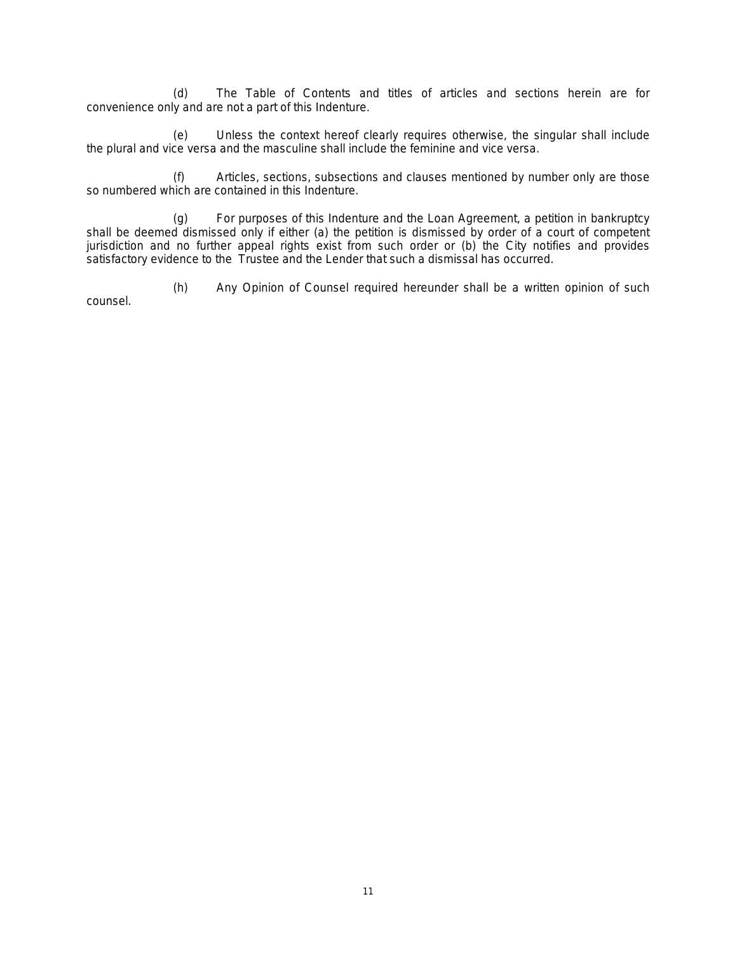(d) The Table of Contents and titles of articles and sections herein are for convenience only and are not a part of this Indenture.

(e) Unless the context hereof clearly requires otherwise, the singular shall include the plural and vice versa and the masculine shall include the feminine and vice versa.

(f) Articles, sections, subsections and clauses mentioned by number only are those so numbered which are contained in this Indenture.

(g) For purposes of this Indenture and the Loan Agreement, a petition in bankruptcy shall be deemed dismissed only if either (a) the petition is dismissed by order of a court of competent jurisdiction and no further appeal rights exist from such order or (b) the City notifies and provides satisfactory evidence to the Trustee and the Lender that such a dismissal has occurred.

(h) Any Opinion of Counsel required hereunder shall be a written opinion of such counsel.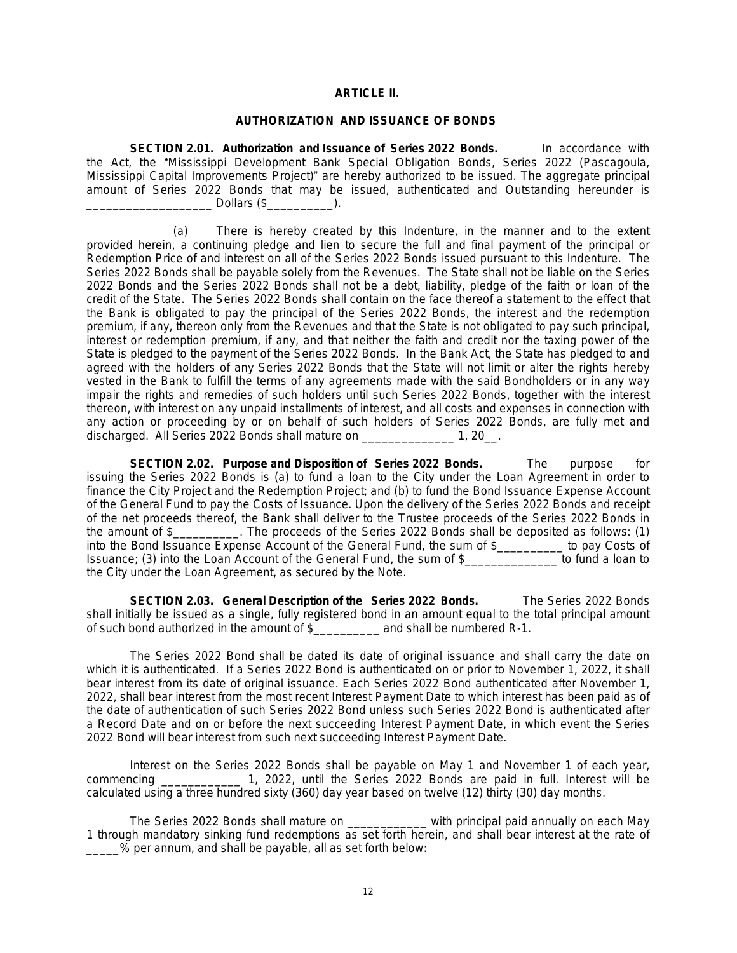# **ARTICLE II.**

# **AUTHORIZATION AND ISSUANCE OF BONDS**

**SECTION 2.01. Authorization and Issuance of Series 2022 Bonds.** In accordance with the Act, the "Mississippi Development Bank Special Obligation Bonds, Series 2022 (Pascagoula, Mississippi Capital Improvements Project)" are hereby authorized to be issued. The aggregate principal amount of Series 2022 Bonds that may be issued, authenticated and Outstanding hereunder is  $\blacksquare$  Dollars (\$ $\blacksquare$ ).

(a) There is hereby created by this Indenture, in the manner and to the extent provided herein, a continuing pledge and lien to secure the full and final payment of the principal or Redemption Price of and interest on all of the Series 2022 Bonds issued pursuant to this Indenture. The Series 2022 Bonds shall be payable solely from the Revenues. The State shall not be liable on the Series 2022 Bonds and the Series 2022 Bonds shall not be a debt, liability, pledge of the faith or loan of the credit of the State. The Series 2022 Bonds shall contain on the face thereof a statement to the effect that the Bank is obligated to pay the principal of the Series 2022 Bonds, the interest and the redemption premium, if any, thereon only from the Revenues and that the State is not obligated to pay such principal, interest or redemption premium, if any, and that neither the faith and credit nor the taxing power of the State is pledged to the payment of the Series 2022 Bonds. In the Bank Act, the State has pledged to and agreed with the holders of any Series 2022 Bonds that the State will not limit or alter the rights hereby vested in the Bank to fulfill the terms of any agreements made with the said Bondholders or in any way impair the rights and remedies of such holders until such Series 2022 Bonds, together with the interest thereon, with interest on any unpaid installments of interest, and all costs and expenses in connection with any action or proceeding by or on behalf of such holders of Series 2022 Bonds, are fully met and discharged. All Series 2022 Bonds shall mature on \_\_\_\_\_\_\_\_\_\_\_\_\_\_ 1, 20\_\_.

**SECTION 2.02. Purpose and Disposition of Series 2022 Bonds.** The purpose for issuing the Series 2022 Bonds is (a) to fund a loan to the City under the Loan Agreement in order to finance the City Project and the Redemption Project; and (b) to fund the Bond Issuance Expense Account of the General Fund to pay the Costs of Issuance. Upon the delivery of the Series 2022 Bonds and receipt of the net proceeds thereof, the Bank shall deliver to the Trustee proceeds of the Series 2022 Bonds in the amount of \$\_\_\_\_\_\_\_\_\_\_. The proceeds of the Series 2022 Bonds shall be deposited as follows: (1) into the Bond Issuance Expense Account of the General Fund, the sum of \$\_\_\_\_\_\_\_\_\_\_ to pay Costs of Issuance; (3) into the Loan Account of the General Fund, the sum of \$\_\_\_\_\_\_\_\_\_\_\_\_\_\_ to fund a loan to the City under the Loan Agreement, as secured by the Note.

**SECTION 2.03. General Description of the Series 2022 Bonds.** The Series 2022 Bonds shall initially be issued as a single, fully registered bond in an amount equal to the total principal amount of such bond authorized in the amount of \$\_\_\_\_\_\_\_\_\_\_ and shall be numbered R-1.

The Series 2022 Bond shall be dated its date of original issuance and shall carry the date on which it is authenticated. If a Series 2022 Bond is authenticated on or prior to November 1, 2022, it shall bear interest from its date of original issuance. Each Series 2022 Bond authenticated after November 1, 2022, shall bear interest from the most recent Interest Payment Date to which interest has been paid as of the date of authentication of such Series 2022 Bond unless such Series 2022 Bond is authenticated after a Record Date and on or before the next succeeding Interest Payment Date, in which event the Series 2022 Bond will bear interest from such next succeeding Interest Payment Date.

Interest on the Series 2022 Bonds shall be payable on May 1 and November 1 of each year, commencing \_\_\_\_\_\_\_\_\_\_\_\_ 1, 2022, until the Series 2022 Bonds are paid in full. Interest will be calculated using a three hundred sixty (360) day year based on twelve (12) thirty (30) day months.

The Series 2022 Bonds shall mature on \_\_\_\_\_\_\_\_\_\_\_\_ with principal paid annually on each May 1 through mandatory sinking fund redemptions as set forth herein, and shall bear interest at the rate of \_\_\_\_\_% per annum, and shall be payable, all as set forth below: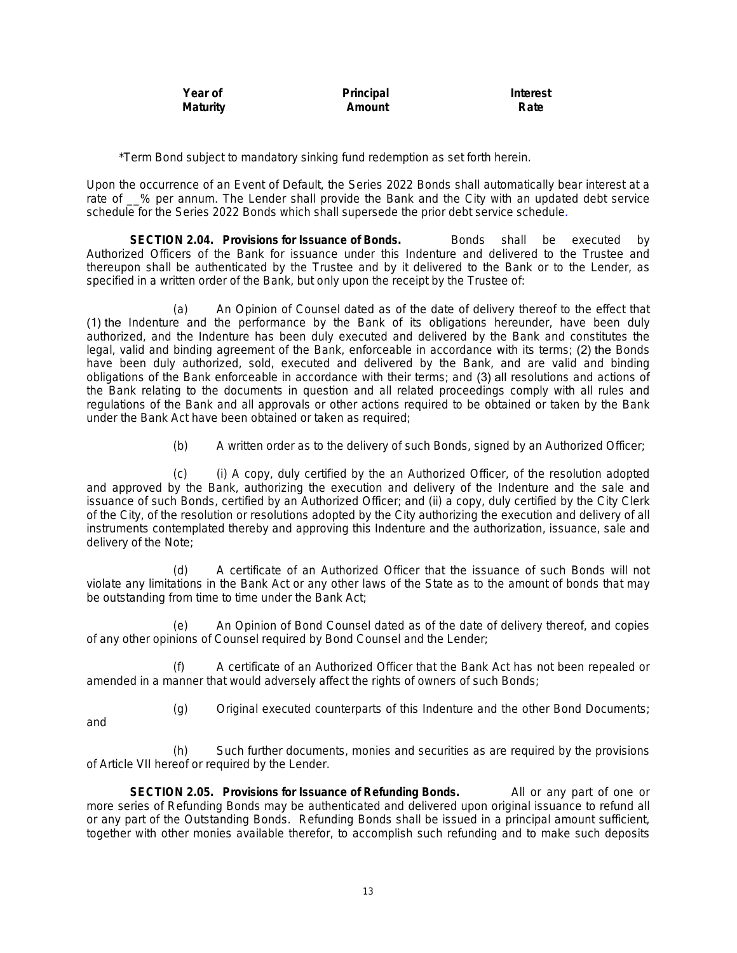| Year of         | Principal | Interest |
|-----------------|-----------|----------|
| <b>Maturity</b> | Amount    | Rate     |

\*Term Bond subject to mandatory sinking fund redemption as set forth herein.

Upon the occurrence of an Event of Default, the Series 2022 Bonds shall automatically bear interest at a rate of  $\_\%$  per annum. The Lender shall provide the Bank and the City with an updated debt service schedule for the Series 2022 Bonds which shall supersede the prior debt service schedule.

**SECTION 2.04. Provisions for Issuance of Bonds.** Bonds shall be executed by Authorized Officers of the Bank for issuance under this Indenture and delivered to the Trustee and thereupon shall be authenticated by the Trustee and by it delivered to the Bank or to the Lender, as specified in a written order of the Bank, but only upon the receipt by the Trustee of:

(a) An Opinion of Counsel dated as of the date of delivery thereof to the effect that (1) the Indenture and the performance by the Bank of its obligations hereunder, have been duly authorized, and the Indenture has been duly executed and delivered by the Bank and constitutes the legal, valid and binding agreement of the Bank, enforceable in accordance with its terms; (2) the Bonds have been duly authorized, sold, executed and delivered by the Bank, and are valid and binding obligations of the Bank enforceable in accordance with their terms; and (3) all resolutions and actions of the Bank relating to the documents in question and all related proceedings comply with all rules and regulations of the Bank and all approvals or other actions required to be obtained or taken by the Bank under the Bank Act have been obtained or taken as required;

(b) A written order as to the delivery of such Bonds, signed by an Authorized Officer;

(c) (i) A copy, duly certified by the an Authorized Officer, of the resolution adopted and approved by the Bank, authorizing the execution and delivery of the Indenture and the sale and issuance of such Bonds, certified by an Authorized Officer; and (ii) a copy, duly certified by the City Clerk of the City, of the resolution or resolutions adopted by the City authorizing the execution and delivery of all instruments contemplated thereby and approving this Indenture and the authorization, issuance, sale and delivery of the Note;

(d) A certificate of an Authorized Officer that the issuance of such Bonds will not violate any limitations in the Bank Act or any other laws of the State as to the amount of bonds that may be outstanding from time to time under the Bank Act;

(e) An Opinion of Bond Counsel dated as of the date of delivery thereof, and copies of any other opinions of Counsel required by Bond Counsel and the Lender;

(f) A certificate of an Authorized Officer that the Bank Act has not been repealed or amended in a manner that would adversely affect the rights of owners of such Bonds;

(g) Original executed counterparts of this Indenture and the other Bond Documents;

and

(h) Such further documents, monies and securities as are required by the provisions of Article VII hereof or required by the Lender.

**SECTION 2.05. Provisions for Issuance of Refunding Bonds.** All or any part of one or more series of Refunding Bonds may be authenticated and delivered upon original issuance to refund all or any part of the Outstanding Bonds. Refunding Bonds shall be issued in a principal amount sufficient, together with other monies available therefor, to accomplish such refunding and to make such deposits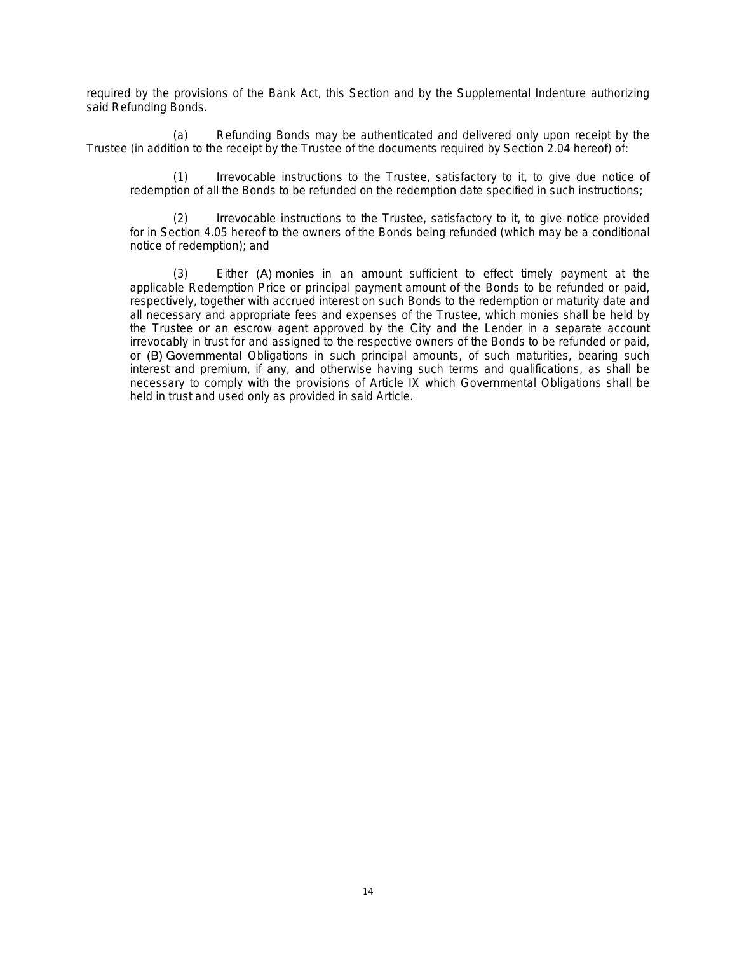required by the provisions of the Bank Act, this Section and by the Supplemental Indenture authorizing said Refunding Bonds.

(a) Refunding Bonds may be authenticated and delivered only upon receipt by the Trustee (in addition to the receipt by the Trustee of the documents required by Section 2.04 hereof) of:

(1) Irrevocable instructions to the Trustee, satisfactory to it, to give due notice of redemption of all the Bonds to be refunded on the redemption date specified in such instructions;

(2) Irrevocable instructions to the Trustee, satisfactory to it, to give notice provided for in Section 4.05 hereof to the owners of the Bonds being refunded (which may be a conditional notice of redemption); and

(3) Either (A) monies in an amount sufficient to effect timely payment at the applicable Redemption Price or principal payment amount of the Bonds to be refunded or paid, respectively, together with accrued interest on such Bonds to the redemption or maturity date and all necessary and appropriate fees and expenses of the Trustee, which monies shall be held by the Trustee or an escrow agent approved by the City and the Lender in a separate account irrevocably in trust for and assigned to the respective owners of the Bonds to be refunded or paid, or (B) Governmental Obligations in such principal amounts, of such maturities, bearing such interest and premium, if any, and otherwise having such terms and qualifications, as shall be necessary to comply with the provisions of Article IX which Governmental Obligations shall be held in trust and used only as provided in said Article.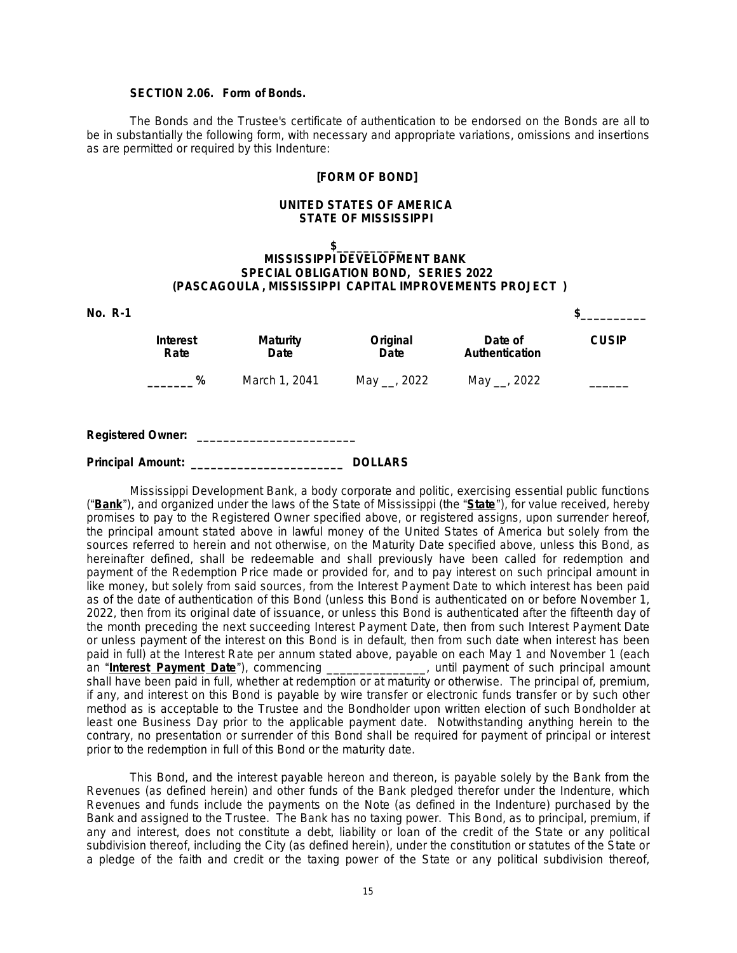# **SECTION 2.06. Form of Bonds.**

The Bonds and the Trustee's certificate of authentication to be endorsed on the Bonds are all to be in substantially the following form, with necessary and appropriate variations, omissions and insertions as are permitted or required by this Indenture:

#### **[FORM OF BOND]**

#### **UNITED STATES OF AMERICA STATE OF MISSISSIPPI**

#### **\$\_\_\_\_\_\_\_\_\_\_ MISSISSIPPI DEVELOPMENT BANK SPECIAL OBLIGATION BOND, SERIES 2022 (PASCAGOULA , MISSISSIPPI CAPITAL IMPROVEMENTS PROJECT )**

| <b>No. R-1</b>           |                  |                         |                  |                           |              |
|--------------------------|------------------|-------------------------|------------------|---------------------------|--------------|
|                          | Interest<br>Rate | <b>Maturity</b><br>Date | Original<br>Date | Date of<br>Authentication | <b>CUSIP</b> |
|                          | %                | March 1, 2041           | May __, 2022     | May __, 2022              |              |
| <b>Registered Owner:</b> |                  |                         |                  |                           |              |
| <b>Principal Amount:</b> |                  |                         | <b>DOLLARS</b>   |                           |              |

Mississippi Development Bank, a body corporate and politic, exercising essential public functions ("**Bank**"), and organized under the laws of the State of Mississippi (the "**State**"), for value received, hereby promises to pay to the Registered Owner specified above, or registered assigns, upon surrender hereof, the principal amount stated above in lawful money of the United States of America but solely from the sources referred to herein and not otherwise, on the Maturity Date specified above, unless this Bond, as hereinafter defined, shall be redeemable and shall previously have been called for redemption and payment of the Redemption Price made or provided for, and to pay interest on such principal amount in like money, but solely from said sources, from the Interest Payment Date to which interest has been paid as of the date of authentication of this Bond (unless this Bond is authenticated on or before November 1, 2022, then from its original date of issuance, or unless this Bond is authenticated after the fifteenth day of the month preceding the next succeeding Interest Payment Date, then from such Interest Payment Date or unless payment of the interest on this Bond is in default, then from such date when interest has been paid in full) at the Interest Rate per annum stated above, payable on each May 1 and November 1 (each an "**Interest Payment Date**"), commencing \_\_\_\_\_\_\_\_\_\_\_\_\_\_\_, until payment of such principal amount shall have been paid in full, whether at redemption or at maturity or otherwise. The principal of, premium, if any, and interest on this Bond is payable by wire transfer or electronic funds transfer or by such other method as is acceptable to the Trustee and the Bondholder upon written election of such Bondholder at least one Business Day prior to the applicable payment date. Notwithstanding anything herein to the contrary, no presentation or surrender of this Bond shall be required for payment of principal or interest prior to the redemption in full of this Bond or the maturity date.

This Bond, and the interest payable hereon and thereon, is payable solely by the Bank from the Revenues (as defined herein) and other funds of the Bank pledged therefor under the Indenture, which Revenues and funds include the payments on the Note (as defined in the Indenture) purchased by the Bank and assigned to the Trustee. The Bank has no taxing power. This Bond, as to principal, premium, if any and interest, does not constitute a debt, liability or loan of the credit of the State or any political subdivision thereof, including the City (as defined herein), under the constitution or statutes of the State or a pledge of the faith and credit or the taxing power of the State or any political subdivision thereof,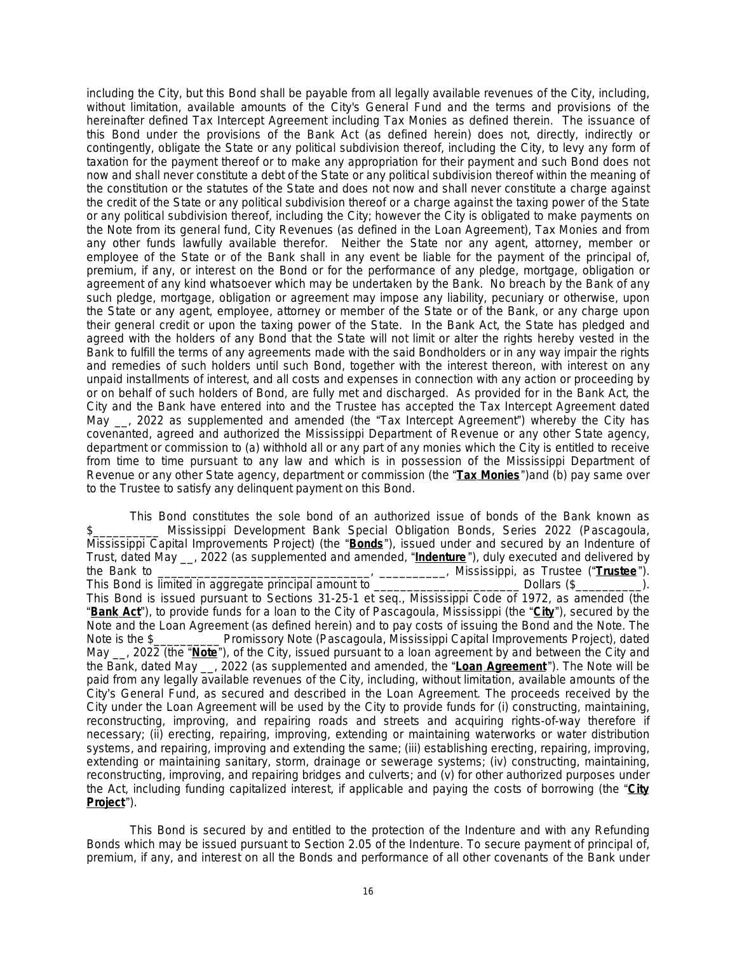including the City, but this Bond shall be payable from all legally available revenues of the City, including, without limitation, available amounts of the City's General Fund and the terms and provisions of the hereinafter defined Tax Intercept Agreement including Tax Monies as defined therein. The issuance of this Bond under the provisions of the Bank Act (as defined herein) does not, directly, indirectly or contingently, obligate the State or any political subdivision thereof, including the City, to levy any form of taxation for the payment thereof or to make any appropriation for their payment and such Bond does not now and shall never constitute a debt of the State or any political subdivision thereof within the meaning of the constitution or the statutes of the State and does not now and shall never constitute a charge against the credit of the State or any political subdivision thereof or a charge against the taxing power of the State or any political subdivision thereof, including the City; however the City is obligated to make payments on the Note from its general fund, City Revenues (as defined in the Loan Agreement), Tax Monies and from any other funds lawfully available therefor. Neither the State nor any agent, attorney, member or employee of the State or of the Bank shall in any event be liable for the payment of the principal of, premium, if any, or interest on the Bond or for the performance of any pledge, mortgage, obligation or agreement of any kind whatsoever which may be undertaken by the Bank. No breach by the Bank of any such pledge, mortgage, obligation or agreement may impose any liability, pecuniary or otherwise, upon the State or any agent, employee, attorney or member of the State or of the Bank, or any charge upon their general credit or upon the taxing power of the State. In the Bank Act, the State has pledged and agreed with the holders of any Bond that the State will not limit or alter the rights hereby vested in the Bank to fulfill the terms of any agreements made with the said Bondholders or in any way impair the rights and remedies of such holders until such Bond, together with the interest thereon, with interest on any unpaid installments of interest, and all costs and expenses in connection with any action or proceeding by or on behalf of such holders of Bond, are fully met and discharged. As provided for in the Bank Act, the City and the Bank have entered into and the Trustee has accepted the Tax Intercept Agreement dated May <sub>\_\_</sub>, 2022 as supplemented and amended (the "Tax Intercept Agreement") whereby the City has covenanted, agreed and authorized the Mississippi Department of Revenue or any other State agency, department or commission to (a) withhold all or any part of any monies which the City is entitled to receive from time to time pursuant to any law and which is in possession of the Mississippi Department of Revenue or any other State agency, department or commission (the "**Tax Monies**")and (b) pay same over to the Trustee to satisfy any delinquent payment on this Bond.

This Bond constitutes the sole bond of an authorized issue of bonds of the Bank known as \$\_\_\_\_\_\_\_\_\_\_ Mississippi Development Bank Special Obligation Bonds, Series 2022 (Pascagoula, Mississippi Capital Improvements Project) (the "**Bonds**"), issued under and secured by an Indenture of Trust, dated May \_\_, 2022 (as supplemented and amended, "**Indenture** "), duly executed and delivered by the Bank to \_\_\_\_\_\_\_\_\_\_\_\_\_\_\_\_\_\_\_\_\_\_\_\_\_\_\_\_\_\_\_\_, \_\_\_\_\_\_\_\_\_\_, Mississippi, as Trustee ("**Trustee**"). This Bond is limited in aggregate principal amount to **Example 20** Dollars (\$  $\qquad \qquad$  ). This Bond is issued pursuant to Sections 31-25-1 *et seq.*, Mississippi Code of 1972, as amended (the "**Bank Act**"), to provide funds for a loan to the City of Pascagoula, Mississippi (the "**City**"), secured by the Note and the Loan Agreement (as defined herein) and to pay costs of issuing the Bond and the Note. The Note is the \$\_\_\_\_\_\_\_\_\_\_ Promissory Note (Pascagoula, Mississippi Capital Improvements Project), dated May \_\_, 2022 (the "**Note**"), of the City, issued pursuant to a loan agreement by and between the City and the Bank, dated May \_\_, 2022 (as supplemented and amended, the "**Loan Agreement** "). The Note will be paid from any legally available revenues of the City, including, without limitation, available amounts of the City's General Fund, as secured and described in the Loan Agreement. The proceeds received by the City under the Loan Agreement will be used by the City to provide funds for (i) constructing, maintaining, reconstructing, improving, and repairing roads and streets and acquiring rights-of-way therefore if necessary; (ii) erecting, repairing, improving, extending or maintaining waterworks or water distribution systems, and repairing, improving and extending the same; (iii) establishing erecting, repairing, improving, extending or maintaining sanitary, storm, drainage or sewerage systems; (iv) constructing, maintaining, reconstructing, improving, and repairing bridges and culverts; and (v) for other authorized purposes under the Act, including funding capitalized interest, if applicable and paying the costs of borrowing (the "**City Project**").

This Bond is secured by and entitled to the protection of the Indenture and with any Refunding Bonds which may be issued pursuant to Section 2.05 of the Indenture. To secure payment of principal of, premium, if any, and interest on all the Bonds and performance of all other covenants of the Bank under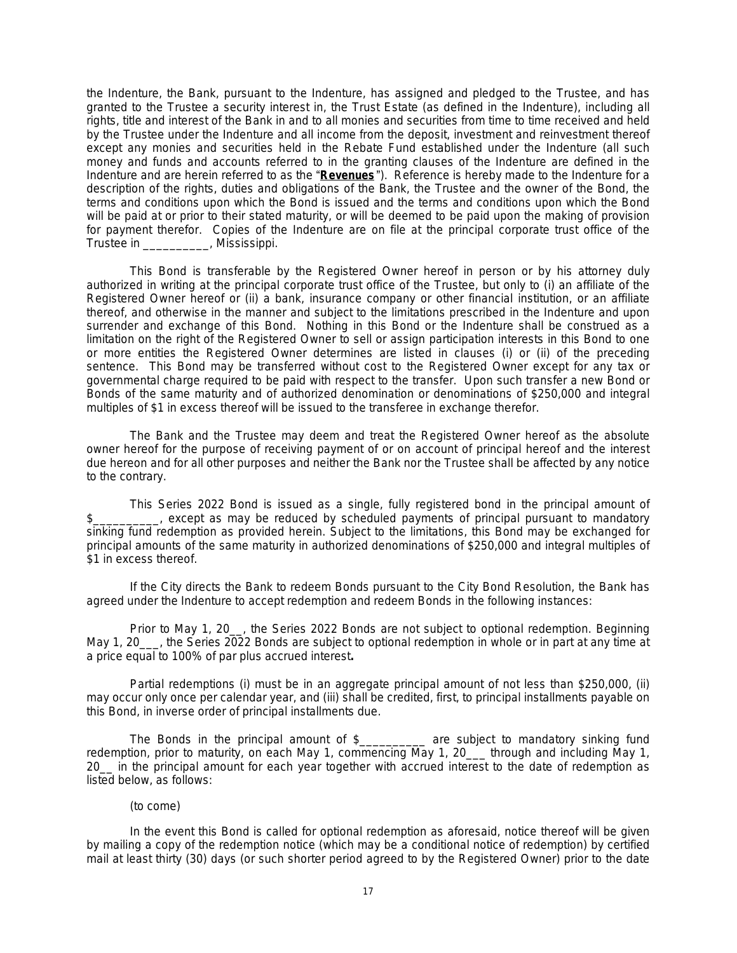the Indenture, the Bank, pursuant to the Indenture, has assigned and pledged to the Trustee, and has granted to the Trustee a security interest in, the Trust Estate (as defined in the Indenture), including all rights, title and interest of the Bank in and to all monies and securities from time to time received and held by the Trustee under the Indenture and all income from the deposit, investment and reinvestment thereof except any monies and securities held in the Rebate Fund established under the Indenture (all such money and funds and accounts referred to in the granting clauses of the Indenture are defined in the Indenture and are herein referred to as the "**Revenues** "). Reference is hereby made to the Indenture for a description of the rights, duties and obligations of the Bank, the Trustee and the owner of the Bond, the terms and conditions upon which the Bond is issued and the terms and conditions upon which the Bond will be paid at or prior to their stated maturity, or will be deemed to be paid upon the making of provision for payment therefor. Copies of the Indenture are on file at the principal corporate trust office of the Trustee in **Mississippi**.

This Bond is transferable by the Registered Owner hereof in person or by his attorney duly authorized in writing at the principal corporate trust office of the Trustee, but only to (i) an affiliate of the Registered Owner hereof or (ii) a bank, insurance company or other financial institution, or an affiliate thereof, and otherwise in the manner and subject to the limitations prescribed in the Indenture and upon surrender and exchange of this Bond. Nothing in this Bond or the Indenture shall be construed as a limitation on the right of the Registered Owner to sell or assign participation interests in this Bond to one or more entities the Registered Owner determines are listed in clauses (i) or (ii) of the preceding sentence. This Bond may be transferred without cost to the Registered Owner except for any tax or governmental charge required to be paid with respect to the transfer. Upon such transfer a new Bond or Bonds of the same maturity and of authorized denomination or denominations of \$250,000 and integral multiples of \$1 in excess thereof will be issued to the transferee in exchange therefor.

The Bank and the Trustee may deem and treat the Registered Owner hereof as the absolute owner hereof for the purpose of receiving payment of or on account of principal hereof and the interest due hereon and for all other purposes and neither the Bank nor the Trustee shall be affected by any notice to the contrary.

This Series 2022 Bond is issued as a single, fully registered bond in the principal amount of \$\_\_\_\_\_\_\_\_\_\_, except as may be reduced by scheduled payments of principal pursuant to mandatory sinking fund redemption as provided herein. Subject to the limitations, this Bond may be exchanged for principal amounts of the same maturity in authorized denominations of \$250,000 and integral multiples of \$1 in excess thereof.

If the City directs the Bank to redeem Bonds pursuant to the City Bond Resolution, the Bank has agreed under the Indenture to accept redemption and redeem Bonds in the following instances:

Prior to May 1, 20\_\_, the Series 2022 Bonds are not subject to optional redemption. Beginning May 1, 20\_\_\_, the Series 2022 Bonds are subject to optional redemption in whole or in part at any time at a price equal to 100% of par plus accrued interest**.**

Partial redemptions (i) must be in an aggregate principal amount of not less than \$250,000, (ii) may occur only once per calendar year, and (iii) shall be credited, first, to principal installments payable on this Bond, in inverse order of principal installments due.

The Bonds in the principal amount of \$\_\_\_\_\_\_\_\_\_\_ are subject to mandatory sinking fund redemption, prior to maturity, on each May 1, commencing May 1, 20\_\_\_ through and including May 1, 20\_\_ in the principal amount for each year together with accrued interest to the date of redemption as listed below, as follows:

# (to come)

In the event this Bond is called for optional redemption as aforesaid, notice thereof will be given by mailing a copy of the redemption notice (which may be a conditional notice of redemption) by certified mail at least thirty (30) days (or such shorter period agreed to by the Registered Owner) prior to the date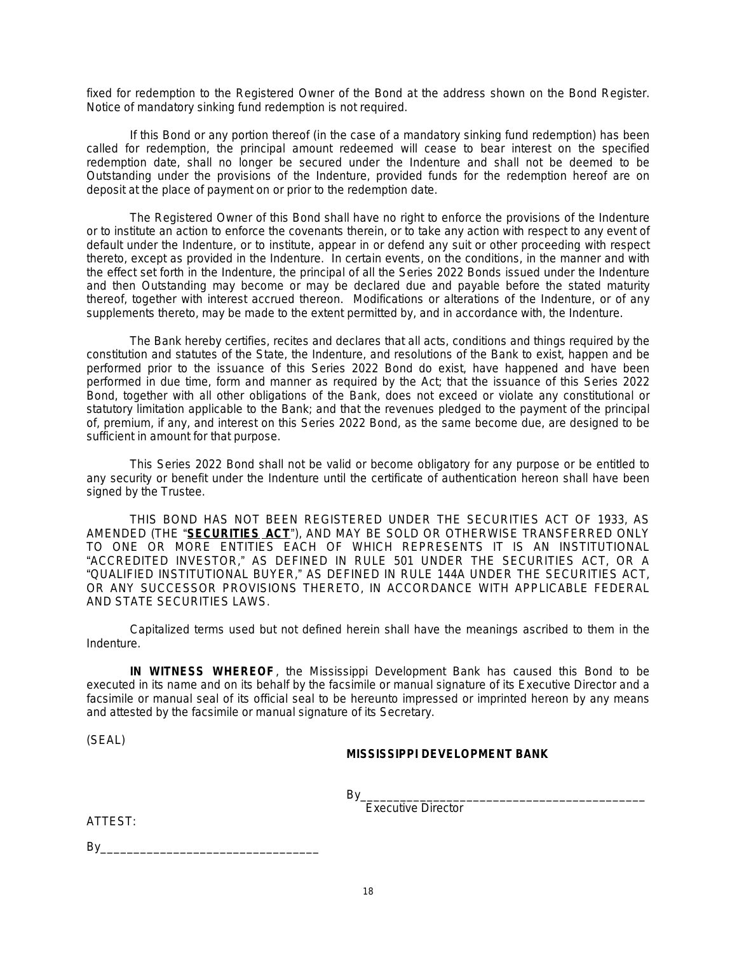fixed for redemption to the Registered Owner of the Bond at the address shown on the Bond Register. Notice of mandatory sinking fund redemption is not required.

If this Bond or any portion thereof (in the case of a mandatory sinking fund redemption) has been called for redemption, the principal amount redeemed will cease to bear interest on the specified redemption date, shall no longer be secured under the Indenture and shall not be deemed to be Outstanding under the provisions of the Indenture, provided funds for the redemption hereof are on deposit at the place of payment on or prior to the redemption date.

The Registered Owner of this Bond shall have no right to enforce the provisions of the Indenture or to institute an action to enforce the covenants therein, or to take any action with respect to any event of default under the Indenture, or to institute, appear in or defend any suit or other proceeding with respect thereto, except as provided in the Indenture. In certain events, on the conditions, in the manner and with the effect set forth in the Indenture, the principal of all the Series 2022 Bonds issued under the Indenture and then Outstanding may become or may be declared due and payable before the stated maturity thereof, together with interest accrued thereon. Modifications or alterations of the Indenture, or of any supplements thereto, may be made to the extent permitted by, and in accordance with, the Indenture.

The Bank hereby certifies, recites and declares that all acts, conditions and things required by the constitution and statutes of the State, the Indenture, and resolutions of the Bank to exist, happen and be performed prior to the issuance of this Series 2022 Bond do exist, have happened and have been performed in due time, form and manner as required by the Act; that the issuance of this Series 2022 Bond, together with all other obligations of the Bank, does not exceed or violate any constitutional or statutory limitation applicable to the Bank; and that the revenues pledged to the payment of the principal of, premium, if any, and interest on this Series 2022 Bond, as the same become due, are designed to be sufficient in amount for that purpose.

This Series 2022 Bond shall not be valid or become obligatory for any purpose or be entitled to any security or benefit under the Indenture until the certificate of authentication hereon shall have been signed by the Trustee.

THIS BOND HAS NOT BEEN REGISTERED UNDER THE SECURITIES ACT OF 1933, AS AMENDED (THE "**SECURITIES ACT**"), AND MAY BE SOLD OR OTHERWISE TRANSFERRED ONLY TO ONE OR MORE ENTITIES EACH OF WHICH REPRESENTS IT IS AN INSTITUTIONAL "ACCREDITED INVESTOR," AS DEFINED IN RULE 501 UNDER THE SECURITIES ACT, OR A "QUALIFIED INSTITUTIONAL BUYER," AS DEFINED IN RULE 144A UNDER THE SECURITIES ACT, OR ANY SUCCESSOR PROVISIONS THERETO, IN ACCORDANCE WITH APPLICABLE FEDERAL AND STATE SECURITIES LAWS.

Capitalized terms used but not defined herein shall have the meanings ascribed to them in the Indenture.

**IN WITNESS WHEREOF**, the Mississippi Development Bank has caused this Bond to be executed in its name and on its behalf by the facsimile or manual signature of its Executive Director and a facsimile or manual seal of its official seal to be hereunto impressed or imprinted hereon by any means and attested by the facsimile or manual signature of its Secretary.

(SEAL)

# **MISSISSIPPI DEVELOPMENT BANK**

By\_\_\_\_\_\_\_\_\_\_\_\_\_\_\_\_\_\_\_\_\_\_\_\_\_\_\_\_\_\_\_\_\_\_\_\_\_\_\_\_\_\_\_ Executive Director

ATTEST:

 $By$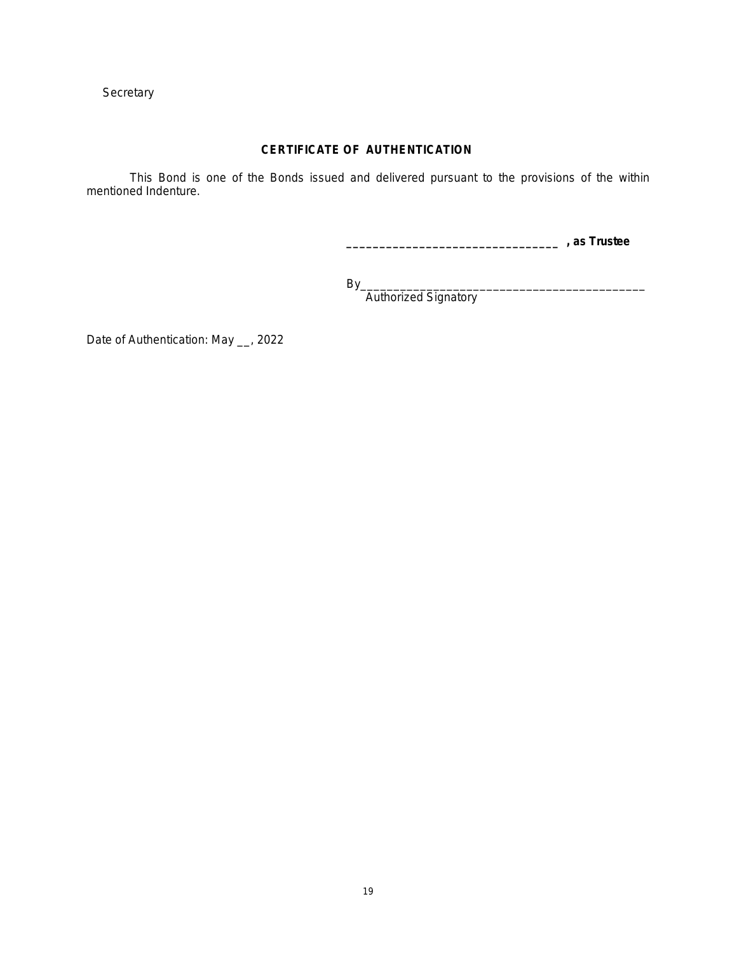**Secretary** 

# **CERTIFICATE OF AUTHENTICATION**

This Bond is one of the Bonds issued and delivered pursuant to the provisions of the within mentioned Indenture.

**\_\_\_\_\_\_\_\_\_\_\_\_\_\_\_\_\_\_\_\_\_\_\_\_\_\_\_\_\_\_\_\_ , as Trustee**

By\_\_\_\_\_\_\_\_\_\_\_\_\_\_\_\_\_\_\_\_\_\_\_\_\_\_\_\_\_\_\_\_\_\_\_\_\_\_\_\_\_\_\_

Authorized Signatory

Date of Authentication: May \_\_, 2022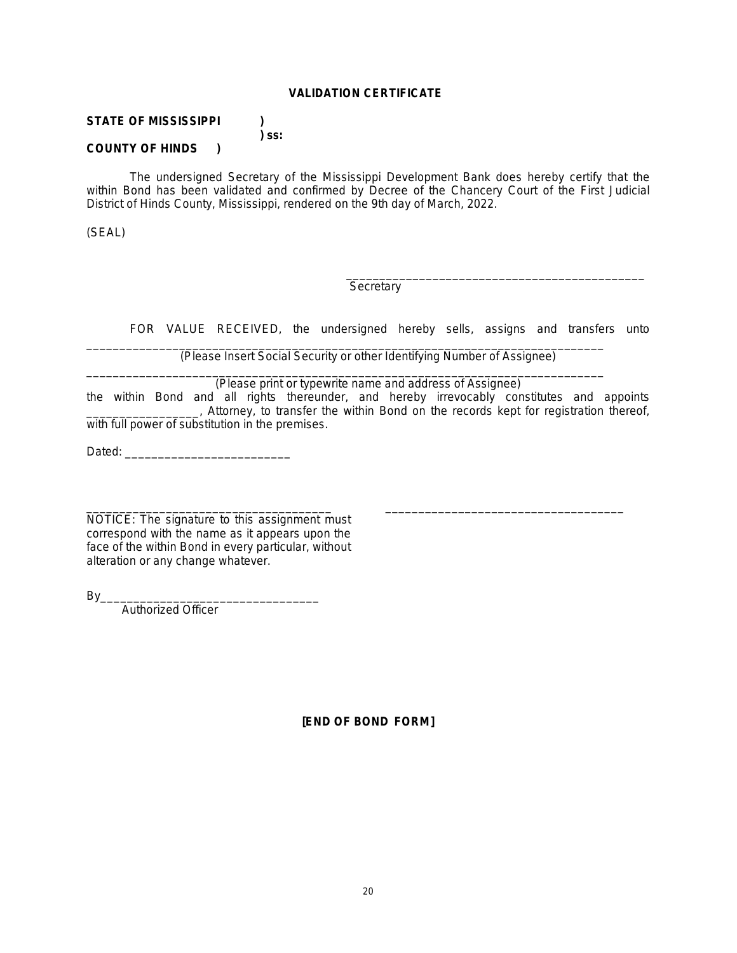# **VALIDATION CERTIFICATE**

**) ss:**

# **STATE OF MISSISSIPPI )**

# **COUNTY OF HINDS )**

The undersigned Secretary of the Mississippi Development Bank does hereby certify that the within Bond has been validated and confirmed by Decree of the Chancery Court of the First Judicial District of Hinds County, Mississippi, rendered on the 9th day of March, 2022.

(SEAL)

\_\_\_\_\_\_\_\_\_\_\_\_\_\_\_\_\_\_\_\_\_\_\_\_\_\_\_\_\_\_\_\_\_\_\_\_\_\_\_\_\_\_\_\_\_ **Secretary** 

FOR VALUE RECEIVED, the undersigned hereby sells, assigns and transfers unto

\_\_\_\_\_\_\_\_\_\_\_\_\_\_\_\_\_\_\_\_\_\_\_\_\_\_\_\_\_\_\_\_\_\_\_\_

(Please Insert Social Security or other Identifying Number of Assignee)

\_\_\_\_\_\_\_\_\_\_\_\_\_\_\_\_\_\_\_\_\_\_\_\_\_\_\_\_\_\_\_\_\_\_\_\_\_\_\_\_\_\_\_\_\_\_\_\_\_\_\_\_\_\_\_\_\_\_\_\_\_\_\_\_\_\_\_\_\_\_\_\_\_\_\_\_\_\_

\_\_\_\_\_\_\_\_\_\_\_\_\_\_\_\_\_\_\_\_\_\_\_\_\_\_\_\_\_\_\_\_\_\_\_\_\_\_\_\_\_\_\_\_\_\_\_\_\_\_\_\_\_\_\_\_\_\_\_\_\_\_\_\_\_\_\_\_\_\_\_\_\_\_\_\_\_\_ (Please print or typewrite name and address of Assignee)

the within Bond and all rights thereunder, and hereby irrevocably constitutes and appoints \_\_\_\_\_\_\_\_\_\_\_\_\_\_\_\_\_, Attorney, to transfer the within Bond on the records kept for registration thereof, with full power of substitution in the premises.

Dated:

NOTICE: The signature to this assignment must correspond with the name as it appears upon the face of the within Bond in every particular, without alteration or any change whatever.

\_\_\_\_\_\_\_\_\_\_\_\_\_\_\_\_\_\_\_\_\_\_\_\_\_\_\_\_\_\_\_\_\_\_\_\_\_

By\_\_\_\_\_\_\_\_\_\_\_\_\_\_\_\_\_\_\_\_\_\_\_\_\_\_\_\_\_\_\_\_\_

Authorized Officer

**[END OF BOND FORM]**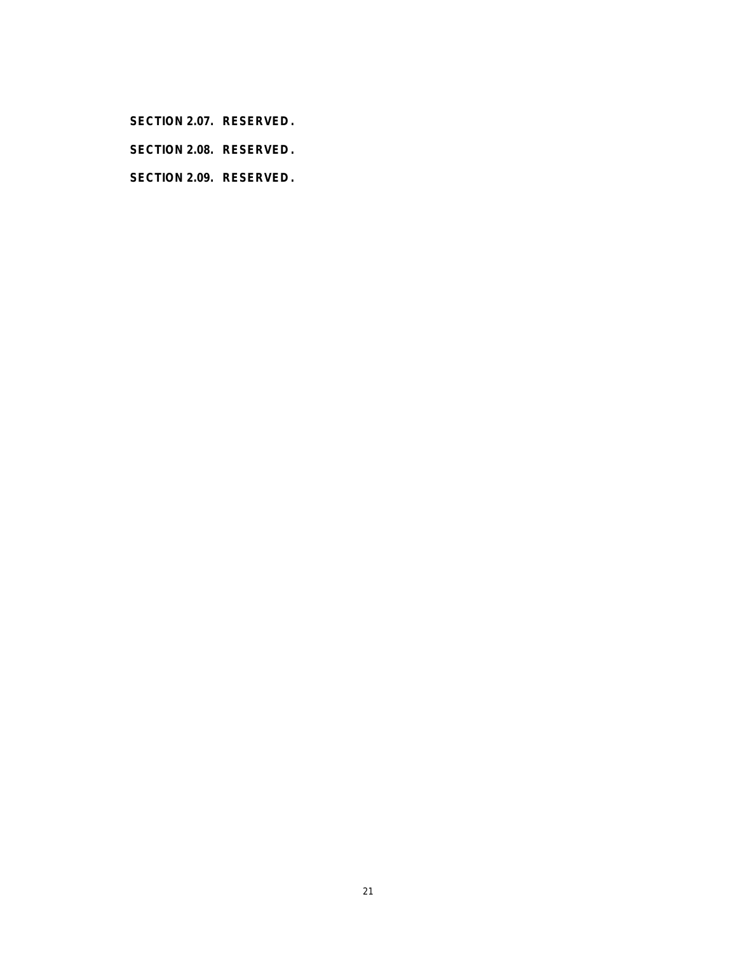**SECTION 2.07. RESERVED .**

**SECTION 2.08. RESERVED .**

**SECTION 2.09. RESERVED .**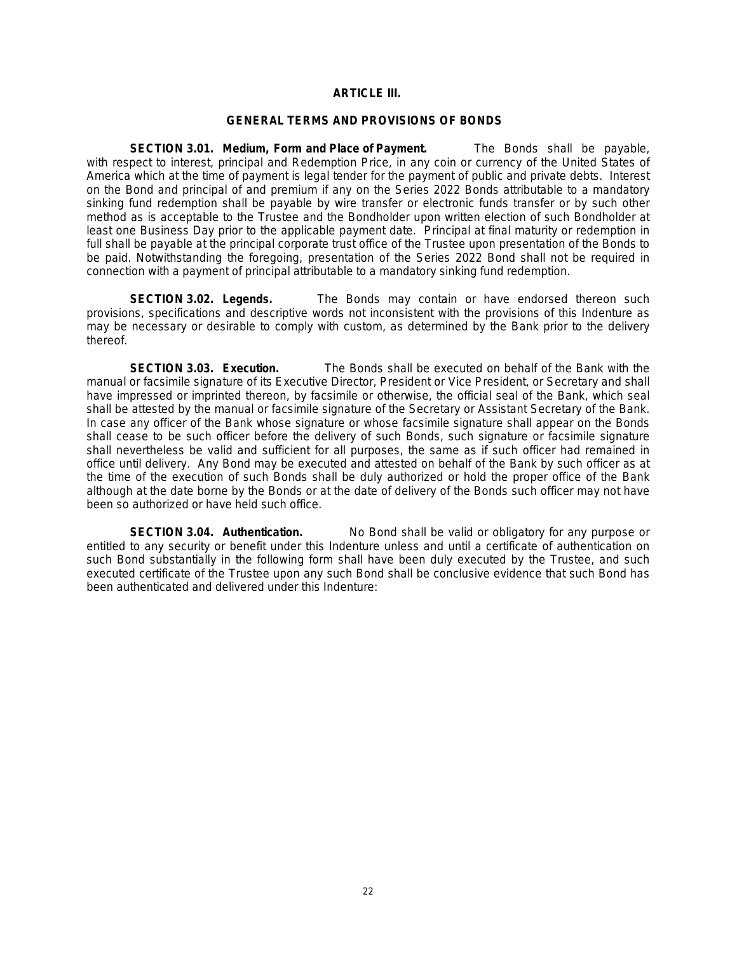# **ARTICLE III.**

# **GENERAL TERMS AND PROVISIONS OF BONDS**

**SECTION 3.01. Medium, Form and Place of Payment.** The Bonds shall be payable, with respect to interest, principal and Redemption Price, in any coin or currency of the United States of America which at the time of payment is legal tender for the payment of public and private debts. Interest on the Bond and principal of and premium if any on the Series 2022 Bonds attributable to a mandatory sinking fund redemption shall be payable by wire transfer or electronic funds transfer or by such other method as is acceptable to the Trustee and the Bondholder upon written election of such Bondholder at least one Business Day prior to the applicable payment date. Principal at final maturity or redemption in full shall be payable at the principal corporate trust office of the Trustee upon presentation of the Bonds to be paid. Notwithstanding the foregoing, presentation of the Series 2022 Bond shall not be required in connection with a payment of principal attributable to a mandatory sinking fund redemption.

**SECTION 3.02. Legends.** The Bonds may contain or have endorsed thereon such provisions, specifications and descriptive words not inconsistent with the provisions of this Indenture as may be necessary or desirable to comply with custom, as determined by the Bank prior to the delivery thereof.

**SECTION 3.03. Execution.** The Bonds shall be executed on behalf of the Bank with the manual or facsimile signature of its Executive Director, President or Vice President, or Secretary and shall have impressed or imprinted thereon, by facsimile or otherwise, the official seal of the Bank, which seal shall be attested by the manual or facsimile signature of the Secretary or Assistant Secretary of the Bank. In case any officer of the Bank whose signature or whose facsimile signature shall appear on the Bonds shall cease to be such officer before the delivery of such Bonds, such signature or facsimile signature shall nevertheless be valid and sufficient for all purposes, the same as if such officer had remained in office until delivery. Any Bond may be executed and attested on behalf of the Bank by such officer as at the time of the execution of such Bonds shall be duly authorized or hold the proper office of the Bank although at the date borne by the Bonds or at the date of delivery of the Bonds such officer may not have been so authorized or have held such office.

**SECTION 3.04. Authentication.** No Bond shall be valid or obligatory for any purpose or entitled to any security or benefit under this Indenture unless and until a certificate of authentication on such Bond substantially in the following form shall have been duly executed by the Trustee, and such executed certificate of the Trustee upon any such Bond shall be conclusive evidence that such Bond has been authenticated and delivered under this Indenture: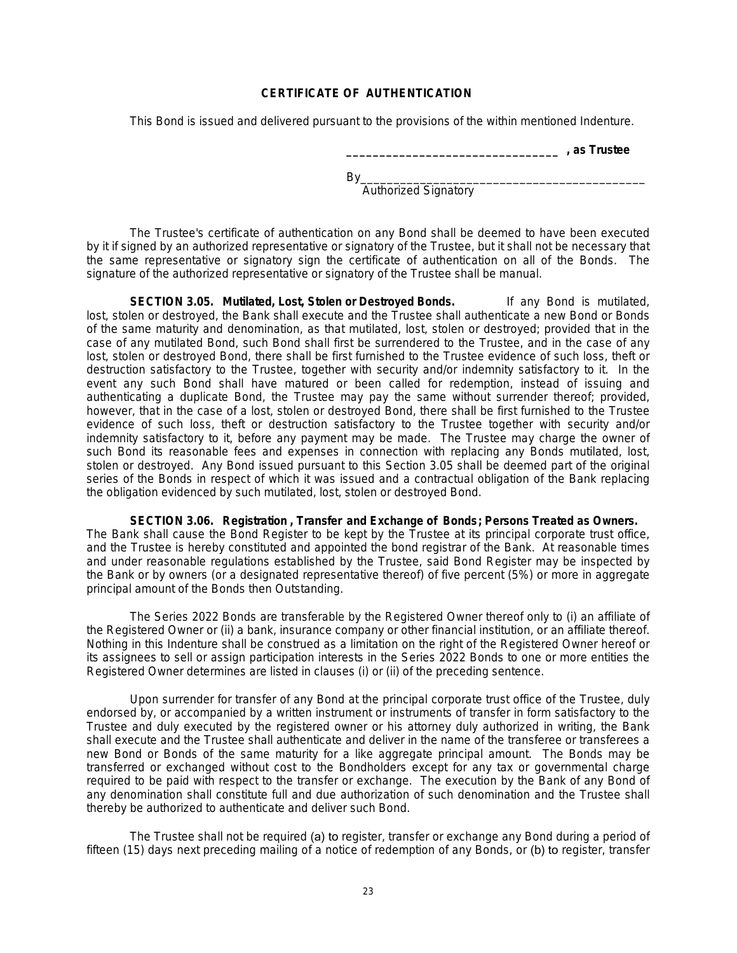# **CERTIFICATE OF AUTHENTICATION**

This Bond is issued and delivered pursuant to the provisions of the within mentioned Indenture.

**\_\_\_\_\_\_\_\_\_\_\_\_\_\_\_\_\_\_\_\_\_\_\_\_\_\_\_\_\_\_\_\_ , as Trustee**

By\_\_\_\_\_\_\_\_\_\_\_\_\_\_\_\_\_\_\_\_\_\_\_\_\_\_\_\_\_\_\_\_\_\_\_\_\_\_\_\_\_\_\_ Authorized Signatory

The Trustee's certificate of authentication on any Bond shall be deemed to have been executed by it if signed by an authorized representative or signatory of the Trustee, but it shall not be necessary that the same representative or signatory sign the certificate of authentication on all of the Bonds. The signature of the authorized representative or signatory of the Trustee shall be manual.

**SECTION 3.05. Mutilated, Lost, Stolen or Destroyed Bonds.** If any Bond is mutilated, lost, stolen or destroyed, the Bank shall execute and the Trustee shall authenticate a new Bond or Bonds of the same maturity and denomination, as that mutilated, lost, stolen or destroyed; provided that in the case of any mutilated Bond, such Bond shall first be surrendered to the Trustee, and in the case of any lost, stolen or destroyed Bond, there shall be first furnished to the Trustee evidence of such loss, theft or destruction satisfactory to the Trustee, together with security and/or indemnity satisfactory to it. In the event any such Bond shall have matured or been called for redemption, instead of issuing and authenticating a duplicate Bond, the Trustee may pay the same without surrender thereof; provided, however, that in the case of a lost, stolen or destroyed Bond, there shall be first furnished to the Trustee evidence of such loss, theft or destruction satisfactory to the Trustee together with security and/or indemnity satisfactory to it, before any payment may be made. The Trustee may charge the owner of such Bond its reasonable fees and expenses in connection with replacing any Bonds mutilated, lost, stolen or destroyed. Any Bond issued pursuant to this Section 3.05 shall be deemed part of the original series of the Bonds in respect of which it was issued and a contractual obligation of the Bank replacing the obligation evidenced by such mutilated, lost, stolen or destroyed Bond.

**SECTION 3.06. Registration , Transfer and Exchange of Bonds; Persons Treated as Owners.** The Bank shall cause the Bond Register to be kept by the Trustee at its principal corporate trust office, and the Trustee is hereby constituted and appointed the bond registrar of the Bank. At reasonable times and under reasonable regulations established by the Trustee, said Bond Register may be inspected by the Bank or by owners (or a designated representative thereof) of five percent (5%) or more in aggregate principal amount of the Bonds then Outstanding.

The Series 2022 Bonds are transferable by the Registered Owner thereof only to (i) an affiliate of the Registered Owner or (ii) a bank, insurance company or other financial institution, or an affiliate thereof. Nothing in this Indenture shall be construed as a limitation on the right of the Registered Owner hereof or its assignees to sell or assign participation interests in the Series 2022 Bonds to one or more entities the Registered Owner determines are listed in clauses (i) or (ii) of the preceding sentence.

Upon surrender for transfer of any Bond at the principal corporate trust office of the Trustee, duly endorsed by, or accompanied by a written instrument or instruments of transfer in form satisfactory to the Trustee and duly executed by the registered owner or his attorney duly authorized in writing, the Bank shall execute and the Trustee shall authenticate and deliver in the name of the transferee or transferees a new Bond or Bonds of the same maturity for a like aggregate principal amount. The Bonds may be transferred or exchanged without cost to the Bondholders except for any tax or governmental charge required to be paid with respect to the transfer or exchange. The execution by the Bank of any Bond of any denomination shall constitute full and due authorization of such denomination and the Trustee shall thereby be authorized to authenticate and deliver such Bond.

The Trustee shall not be required (a) to register, transfer or exchange any Bond during a period of fifteen (15) days next preceding mailing of a notice of redemption of any Bonds, or (b) to register, transfer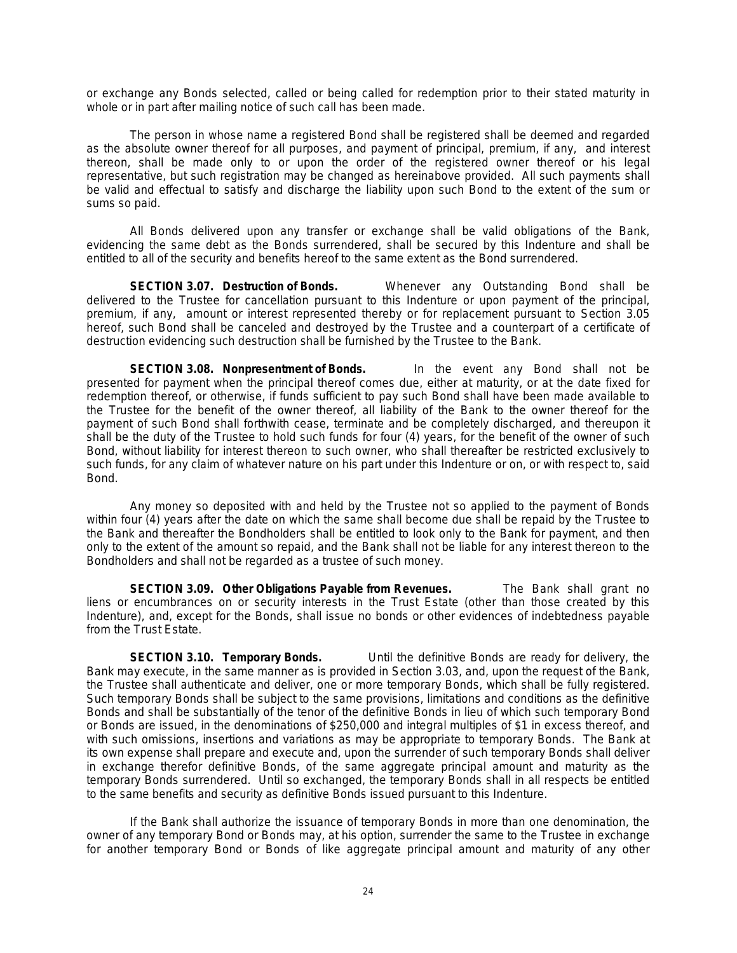or exchange any Bonds selected, called or being called for redemption prior to their stated maturity in whole or in part after mailing notice of such call has been made.

The person in whose name a registered Bond shall be registered shall be deemed and regarded as the absolute owner thereof for all purposes, and payment of principal, premium, if any, and interest thereon, shall be made only to or upon the order of the registered owner thereof or his legal representative, but such registration may be changed as hereinabove provided. All such payments shall be valid and effectual to satisfy and discharge the liability upon such Bond to the extent of the sum or sums so paid.

All Bonds delivered upon any transfer or exchange shall be valid obligations of the Bank, evidencing the same debt as the Bonds surrendered, shall be secured by this Indenture and shall be entitled to all of the security and benefits hereof to the same extent as the Bond surrendered.

**SECTION 3.07. Destruction of Bonds.** Whenever any Outstanding Bond shall be delivered to the Trustee for cancellation pursuant to this Indenture or upon payment of the principal, premium, if any, amount or interest represented thereby or for replacement pursuant to Section 3.05 hereof, such Bond shall be canceled and destroyed by the Trustee and a counterpart of a certificate of destruction evidencing such destruction shall be furnished by the Trustee to the Bank.

**SECTION 3.08. Nonpresentment of Bonds.** In the event any Bond shall not be presented for payment when the principal thereof comes due, either at maturity, or at the date fixed for redemption thereof, or otherwise, if funds sufficient to pay such Bond shall have been made available to the Trustee for the benefit of the owner thereof, all liability of the Bank to the owner thereof for the payment of such Bond shall forthwith cease, terminate and be completely discharged, and thereupon it shall be the duty of the Trustee to hold such funds for four (4) years, for the benefit of the owner of such Bond, without liability for interest thereon to such owner, who shall thereafter be restricted exclusively to such funds, for any claim of whatever nature on his part under this Indenture or on, or with respect to, said Bond.

Any money so deposited with and held by the Trustee not so applied to the payment of Bonds within four (4) years after the date on which the same shall become due shall be repaid by the Trustee to the Bank and thereafter the Bondholders shall be entitled to look only to the Bank for payment, and then only to the extent of the amount so repaid, and the Bank shall not be liable for any interest thereon to the Bondholders and shall not be regarded as a trustee of such money.

**SECTION 3.09. Other Obligations Payable from Revenues.** The Bank shall grant no liens or encumbrances on or security interests in the Trust Estate (other than those created by this Indenture), and, except for the Bonds, shall issue no bonds or other evidences of indebtedness payable from the Trust Estate.

**SECTION 3.10. Temporary Bonds.** Until the definitive Bonds are ready for delivery, the Bank may execute, in the same manner as is provided in Section 3.03, and, upon the request of the Bank, the Trustee shall authenticate and deliver, one or more temporary Bonds, which shall be fully registered. Such temporary Bonds shall be subject to the same provisions, limitations and conditions as the definitive Bonds and shall be substantially of the tenor of the definitive Bonds in lieu of which such temporary Bond or Bonds are issued, in the denominations of \$250,000 and integral multiples of \$1 in excess thereof, and with such omissions, insertions and variations as may be appropriate to temporary Bonds. The Bank at its own expense shall prepare and execute and, upon the surrender of such temporary Bonds shall deliver in exchange therefor definitive Bonds, of the same aggregate principal amount and maturity as the temporary Bonds surrendered. Until so exchanged, the temporary Bonds shall in all respects be entitled to the same benefits and security as definitive Bonds issued pursuant to this Indenture.

If the Bank shall authorize the issuance of temporary Bonds in more than one denomination, the owner of any temporary Bond or Bonds may, at his option, surrender the same to the Trustee in exchange for another temporary Bond or Bonds of like aggregate principal amount and maturity of any other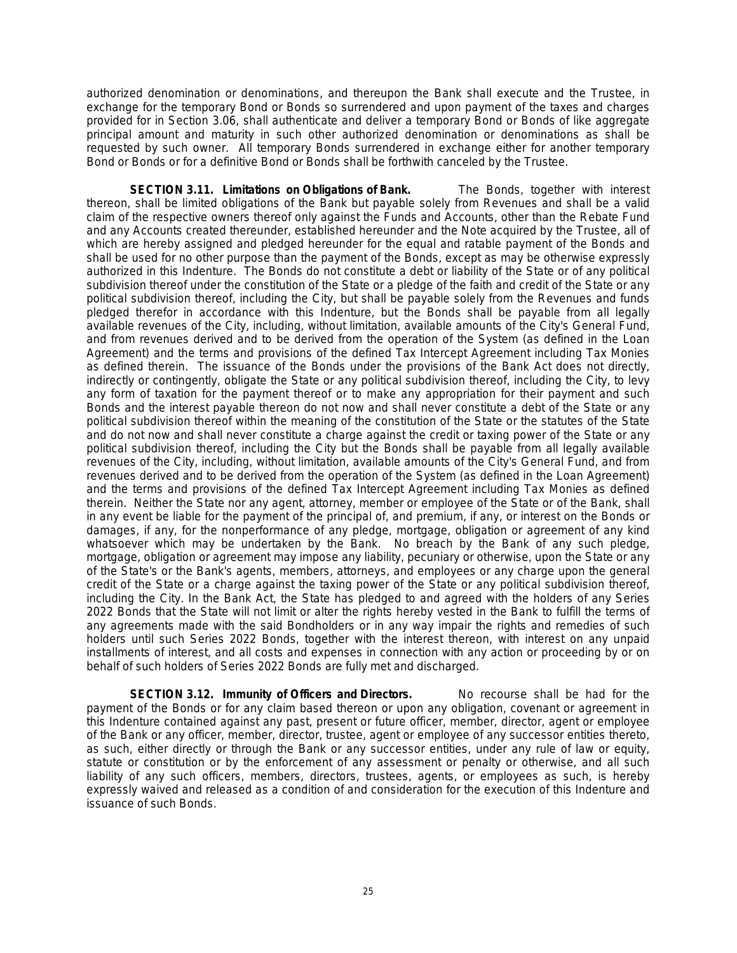authorized denomination or denominations, and thereupon the Bank shall execute and the Trustee, in exchange for the temporary Bond or Bonds so surrendered and upon payment of the taxes and charges provided for in Section 3.06, shall authenticate and deliver a temporary Bond or Bonds of like aggregate principal amount and maturity in such other authorized denomination or denominations as shall be requested by such owner. All temporary Bonds surrendered in exchange either for another temporary Bond or Bonds or for a definitive Bond or Bonds shall be forthwith canceled by the Trustee.

**SECTION 3.11. Limitations on Obligations of Bank.** The Bonds, together with interest thereon, shall be limited obligations of the Bank but payable solely from Revenues and shall be a valid claim of the respective owners thereof only against the Funds and Accounts, other than the Rebate Fund and any Accounts created thereunder, established hereunder and the Note acquired by the Trustee, all of which are hereby assigned and pledged hereunder for the equal and ratable payment of the Bonds and shall be used for no other purpose than the payment of the Bonds, except as may be otherwise expressly authorized in this Indenture. The Bonds do not constitute a debt or liability of the State or of any political subdivision thereof under the constitution of the State or a pledge of the faith and credit of the State or any political subdivision thereof, including the City, but shall be payable solely from the Revenues and funds pledged therefor in accordance with this Indenture, but the Bonds shall be payable from all legally available revenues of the City, including, without limitation, available amounts of the City's General Fund, and from revenues derived and to be derived from the operation of the System (as defined in the Loan Agreement) and the terms and provisions of the defined Tax Intercept Agreement including Tax Monies as defined therein. The issuance of the Bonds under the provisions of the Bank Act does not directly, indirectly or contingently, obligate the State or any political subdivision thereof, including the City, to levy any form of taxation for the payment thereof or to make any appropriation for their payment and such Bonds and the interest payable thereon do not now and shall never constitute a debt of the State or any political subdivision thereof within the meaning of the constitution of the State or the statutes of the State and do not now and shall never constitute a charge against the credit or taxing power of the State or any political subdivision thereof, including the City but the Bonds shall be payable from all legally available revenues of the City, including, without limitation, available amounts of the City's General Fund, and from revenues derived and to be derived from the operation of the System (as defined in the Loan Agreement) and the terms and provisions of the defined Tax Intercept Agreement including Tax Monies as defined therein. Neither the State nor any agent, attorney, member or employee of the State or of the Bank, shall in any event be liable for the payment of the principal of, and premium, if any, or interest on the Bonds or damages, if any, for the nonperformance of any pledge, mortgage, obligation or agreement of any kind whatsoever which may be undertaken by the Bank. No breach by the Bank of any such pledge, mortgage, obligation or agreement may impose any liability, pecuniary or otherwise, upon the State or any of the State's or the Bank's agents, members, attorneys, and employees or any charge upon the general credit of the State or a charge against the taxing power of the State or any political subdivision thereof, including the City. In the Bank Act, the State has pledged to and agreed with the holders of any Series 2022 Bonds that the State will not limit or alter the rights hereby vested in the Bank to fulfill the terms of any agreements made with the said Bondholders or in any way impair the rights and remedies of such holders until such Series 2022 Bonds, together with the interest thereon, with interest on any unpaid installments of interest, and all costs and expenses in connection with any action or proceeding by or on behalf of such holders of Series 2022 Bonds are fully met and discharged.

**SECTION 3.12. Immunity of Officers and Directors.** No recourse shall be had for the payment of the Bonds or for any claim based thereon or upon any obligation, covenant or agreement in this Indenture contained against any past, present or future officer, member, director, agent or employee of the Bank or any officer, member, director, trustee, agent or employee of any successor entities thereto, as such, either directly or through the Bank or any successor entities, under any rule of law or equity, statute or constitution or by the enforcement of any assessment or penalty or otherwise, and all such liability of any such officers, members, directors, trustees, agents, or employees as such, is hereby expressly waived and released as a condition of and consideration for the execution of this Indenture and issuance of such Bonds.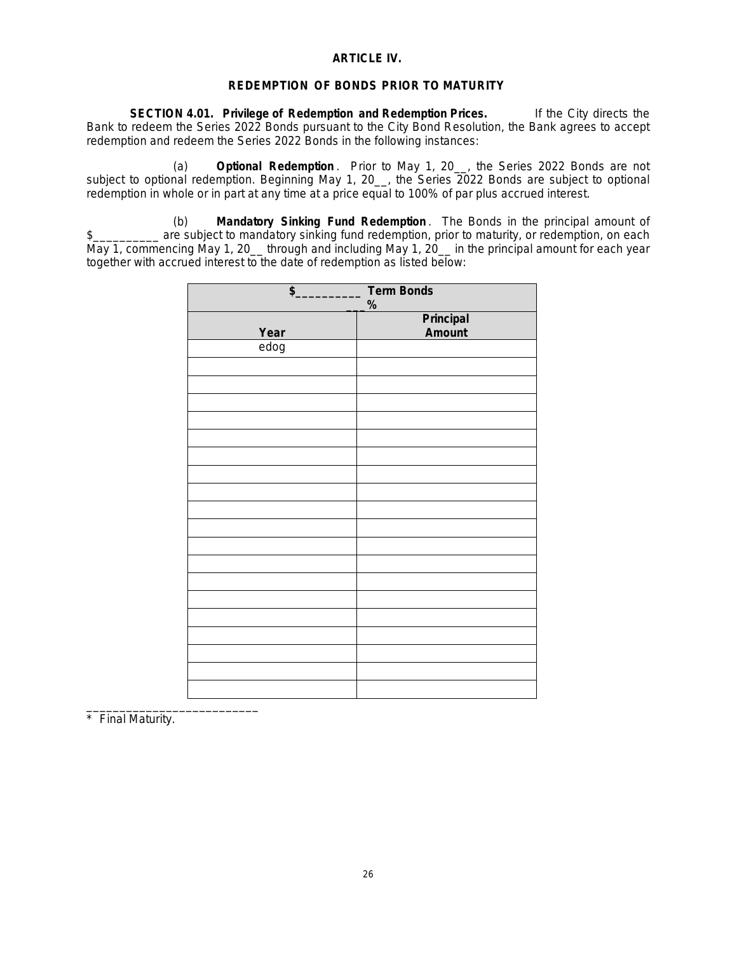### **ARTICLE IV.**

### **REDEMPTION OF BONDS PRIOR TO MATURITY**

**SECTION 4.01. Privilege of Redemption and Redemption Prices.** If the City directs the Bank to redeem the Series 2022 Bonds pursuant to the City Bond Resolution, the Bank agrees to accept redemption and redeem the Series 2022 Bonds in the following instances:

(a) **Optional Redemption** . Prior to May 1, 20\_\_, the Series 2022 Bonds are not subject to optional redemption. Beginning May 1, 20<sub>\_\_</sub>, the Series 2022 Bonds are subject to optional redemption in whole or in part at any time at a price equal to 100% of par plus accrued interest.

(b) **Mandatory Sinking Fund Redemption** . The Bonds in the principal amount of \$\_\_\_\_\_\_\_\_\_\_ are subject to mandatory sinking fund redemption, prior to maturity, or redemption, on each May 1, commencing May 1, 20\_\_ through and including May 1, 20\_\_ in the principal amount for each year together with accrued interest to the date of redemption as listed below:

| <b>Term Bonds</b>          |  |  |
|----------------------------|--|--|
| %                          |  |  |
| <b>Principal</b><br>Amount |  |  |
|                            |  |  |
|                            |  |  |
|                            |  |  |
|                            |  |  |
|                            |  |  |
|                            |  |  |
|                            |  |  |
|                            |  |  |
|                            |  |  |
|                            |  |  |
|                            |  |  |
|                            |  |  |
|                            |  |  |
|                            |  |  |
|                            |  |  |
|                            |  |  |
|                            |  |  |
|                            |  |  |
|                            |  |  |
|                            |  |  |
|                            |  |  |
|                            |  |  |
|                            |  |  |

\_\_\_\_\_\_\_\_\_\_\_\_\_\_\_\_\_\_\_\_\_\_\_\_\_\_ \* Final Maturity.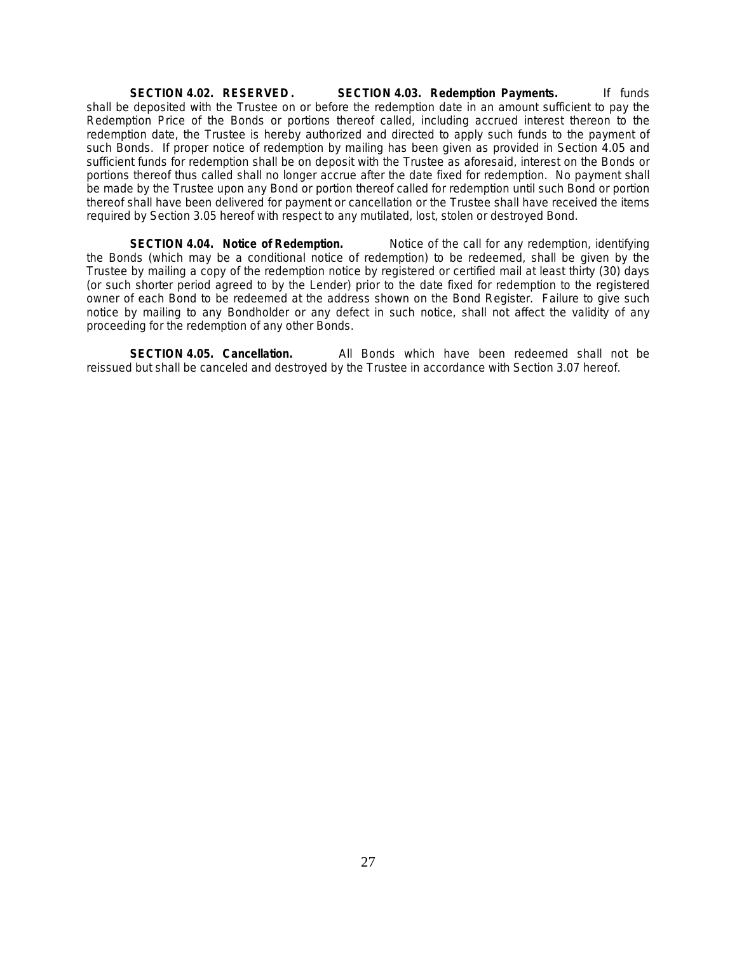**SECTION 4.02. RESERVED. SECTION 4.03. Redemption Payments.** If funds shall be deposited with the Trustee on or before the redemption date in an amount sufficient to pay the Redemption Price of the Bonds or portions thereof called, including accrued interest thereon to the redemption date, the Trustee is hereby authorized and directed to apply such funds to the payment of such Bonds. If proper notice of redemption by mailing has been given as provided in Section 4.05 and sufficient funds for redemption shall be on deposit with the Trustee as aforesaid, interest on the Bonds or portions thereof thus called shall no longer accrue after the date fixed for redemption. No payment shall be made by the Trustee upon any Bond or portion thereof called for redemption until such Bond or portion thereof shall have been delivered for payment or cancellation or the Trustee shall have received the items required by Section 3.05 hereof with respect to any mutilated, lost, stolen or destroyed Bond.

**SECTION 4.04. Notice of Redemption.** Notice of the call for any redemption, identifying the Bonds (which may be a conditional notice of redemption) to be redeemed, shall be given by the Trustee by mailing a copy of the redemption notice by registered or certified mail at least thirty (30) days (or such shorter period agreed to by the Lender) prior to the date fixed for redemption to the registered owner of each Bond to be redeemed at the address shown on the Bond Register. Failure to give such notice by mailing to any Bondholder or any defect in such notice, shall not affect the validity of any proceeding for the redemption of any other Bonds.

**SECTION 4.05. Cancellation.** All Bonds which have been redeemed shall not be reissued but shall be canceled and destroyed by the Trustee in accordance with Section 3.07 hereof.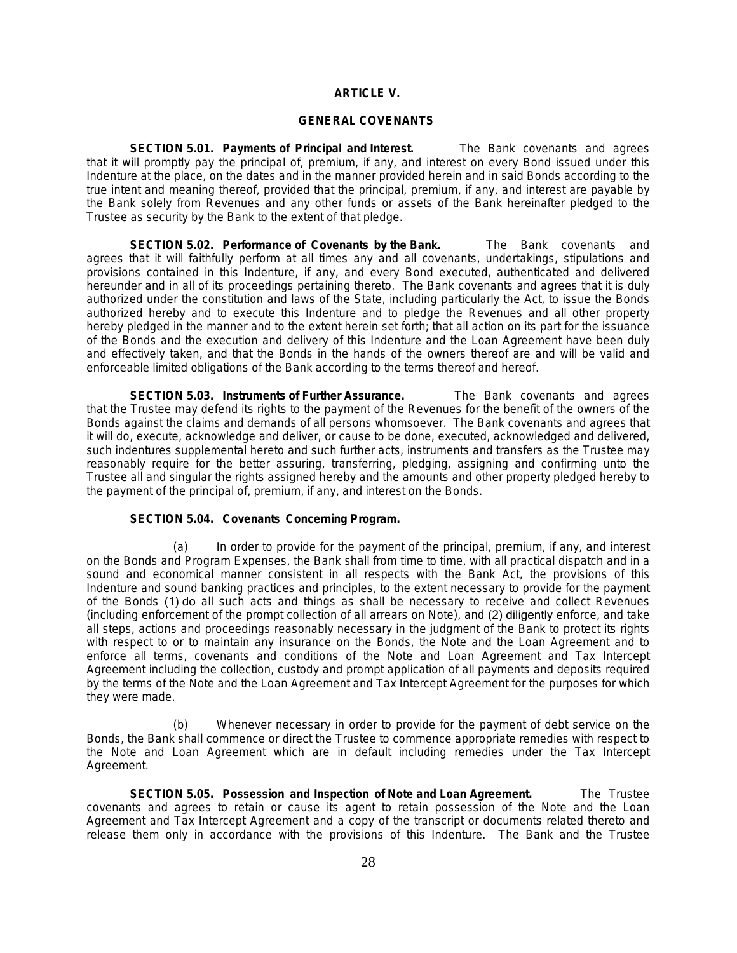# **ARTICLE V.**

### **GENERAL COVENANTS**

**SECTION 5.01. Payments of Principal and Interest.** The Bank covenants and agrees that it will promptly pay the principal of, premium, if any, and interest on every Bond issued under this Indenture at the place, on the dates and in the manner provided herein and in said Bonds according to the true intent and meaning thereof, provided that the principal, premium, if any, and interest are payable by the Bank solely from Revenues and any other funds or assets of the Bank hereinafter pledged to the Trustee as security by the Bank to the extent of that pledge.

**SECTION 5.02. Performance of Covenants by the Bank.** The Bank covenants and agrees that it will faithfully perform at all times any and all covenants, undertakings, stipulations and provisions contained in this Indenture, if any, and every Bond executed, authenticated and delivered hereunder and in all of its proceedings pertaining thereto. The Bank covenants and agrees that it is duly authorized under the constitution and laws of the State, including particularly the Act, to issue the Bonds authorized hereby and to execute this Indenture and to pledge the Revenues and all other property hereby pledged in the manner and to the extent herein set forth; that all action on its part for the issuance of the Bonds and the execution and delivery of this Indenture and the Loan Agreement have been duly and effectively taken, and that the Bonds in the hands of the owners thereof are and will be valid and enforceable limited obligations of the Bank according to the terms thereof and hereof.

**SECTION 5.03. Instruments of Further Assurance.** The Bank covenants and agrees that the Trustee may defend its rights to the payment of the Revenues for the benefit of the owners of the Bonds against the claims and demands of all persons whomsoever. The Bank covenants and agrees that it will do, execute, acknowledge and deliver, or cause to be done, executed, acknowledged and delivered, such indentures supplemental hereto and such further acts, instruments and transfers as the Trustee may reasonably require for the better assuring, transferring, pledging, assigning and confirming unto the Trustee all and singular the rights assigned hereby and the amounts and other property pledged hereby to the payment of the principal of, premium, if any, and interest on the Bonds.

### **SECTION 5.04. Covenants Concerning Program.**

(a) In order to provide for the payment of the principal, premium, if any, and interest on the Bonds and Program Expenses, the Bank shall from time to time, with all practical dispatch and in a sound and economical manner consistent in all respects with the Bank Act, the provisions of this Indenture and sound banking practices and principles, to the extent necessary to provide for the payment of the Bonds (1) do all such acts and things as shall be necessary to receive and collect Revenues (including enforcement of the prompt collection of all arrears on Note), and (2) diligently enforce, and take all steps, actions and proceedings reasonably necessary in the judgment of the Bank to protect its rights with respect to or to maintain any insurance on the Bonds, the Note and the Loan Agreement and to enforce all terms, covenants and conditions of the Note and Loan Agreement and Tax Intercept Agreement including the collection, custody and prompt application of all payments and deposits required by the terms of the Note and the Loan Agreement and Tax Intercept Agreement for the purposes for which they were made.

(b) Whenever necessary in order to provide for the payment of debt service on the Bonds, the Bank shall commence or direct the Trustee to commence appropriate remedies with respect to the Note and Loan Agreement which are in default including remedies under the Tax Intercept Agreement.

**SECTION 5.05. Possession and Inspection of Note and Loan Agreement.** The Trustee covenants and agrees to retain or cause its agent to retain possession of the Note and the Loan Agreement and Tax Intercept Agreement and a copy of the transcript or documents related thereto and release them only in accordance with the provisions of this Indenture. The Bank and the Trustee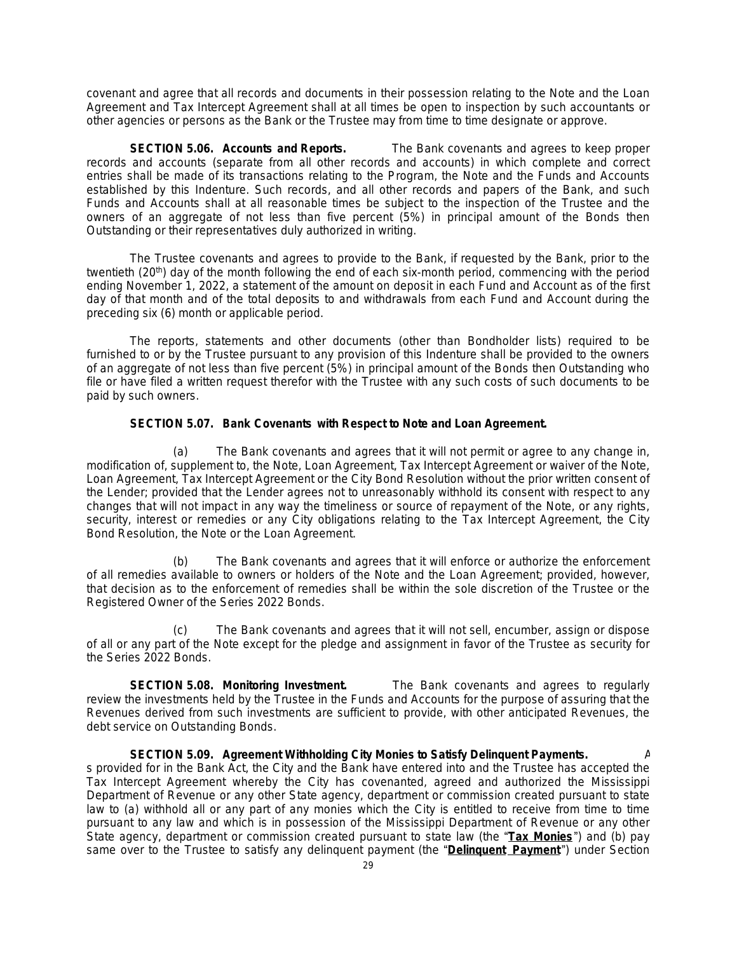covenant and agree that all records and documents in their possession relating to the Note and the Loan Agreement and Tax Intercept Agreement shall at all times be open to inspection by such accountants or other agencies or persons as the Bank or the Trustee may from time to time designate or approve.

**SECTION 5.06. Accounts and Reports.** The Bank covenants and agrees to keep proper records and accounts (separate from all other records and accounts) in which complete and correct entries shall be made of its transactions relating to the Program, the Note and the Funds and Accounts established by this Indenture. Such records, and all other records and papers of the Bank, and such Funds and Accounts shall at all reasonable times be subject to the inspection of the Trustee and the owners of an aggregate of not less than five percent (5%) in principal amount of the Bonds then Outstanding or their representatives duly authorized in writing.

The Trustee covenants and agrees to provide to the Bank, if requested by the Bank, prior to the twentieth (20<sup>th</sup>) day of the month following the end of each six-month period, commencing with the period ending November 1, 2022, a statement of the amount on deposit in each Fund and Account as of the first day of that month and of the total deposits to and withdrawals from each Fund and Account during the preceding six (6) month or applicable period.

The reports, statements and other documents (other than Bondholder lists) required to be furnished to or by the Trustee pursuant to any provision of this Indenture shall be provided to the owners of an aggregate of not less than five percent (5%) in principal amount of the Bonds then Outstanding who file or have filed a written request therefor with the Trustee with any such costs of such documents to be paid by such owners.

# **SECTION 5.07. Bank Covenants with Respect to Note and Loan Agreement.**

(a) The Bank covenants and agrees that it will not permit or agree to any change in, modification of, supplement to, the Note, Loan Agreement, Tax Intercept Agreement or waiver of the Note, Loan Agreement, Tax Intercept Agreement or the City Bond Resolution without the prior written consent of the Lender; provided that the Lender agrees not to unreasonably withhold its consent with respect to any changes that will not impact in any way the timeliness or source of repayment of the Note, or any rights, security, interest or remedies or any City obligations relating to the Tax Intercept Agreement, the City Bond Resolution, the Note or the Loan Agreement.

(b) The Bank covenants and agrees that it will enforce or authorize the enforcement of all remedies available to owners or holders of the Note and the Loan Agreement; provided, however, that decision as to the enforcement of remedies shall be within the sole discretion of the Trustee or the Registered Owner of the Series 2022 Bonds.

(c) The Bank covenants and agrees that it will not sell, encumber, assign or dispose of all or any part of the Note except for the pledge and assignment in favor of the Trustee as security for the Series 2022 Bonds.

**SECTION 5.08. Monitoring Investment.** The Bank covenants and agrees to regularly review the investments held by the Trustee in the Funds and Accounts for the purpose of assuring that the Revenues derived from such investments are sufficient to provide, with other anticipated Revenues, the debt service on Outstanding Bonds.

**SECTION 5.09. Agreement Withholding City Monies to Satisfy Delinquent Payments.** A s provided for in the Bank Act, the City and the Bank have entered into and the Trustee has accepted the Tax Intercept Agreement whereby the City has covenanted, agreed and authorized the Mississippi Department of Revenue or any other State agency, department or commission created pursuant to state law to (a) withhold all or any part of any monies which the City is entitled to receive from time to time pursuant to any law and which is in possession of the Mississippi Department of Revenue or any other State agency, department or commission created pursuant to state law (the "**Tax Monies**") and (b) pay same over to the Trustee to satisfy any delinquent payment (the "**Delinquent Payment**") under Section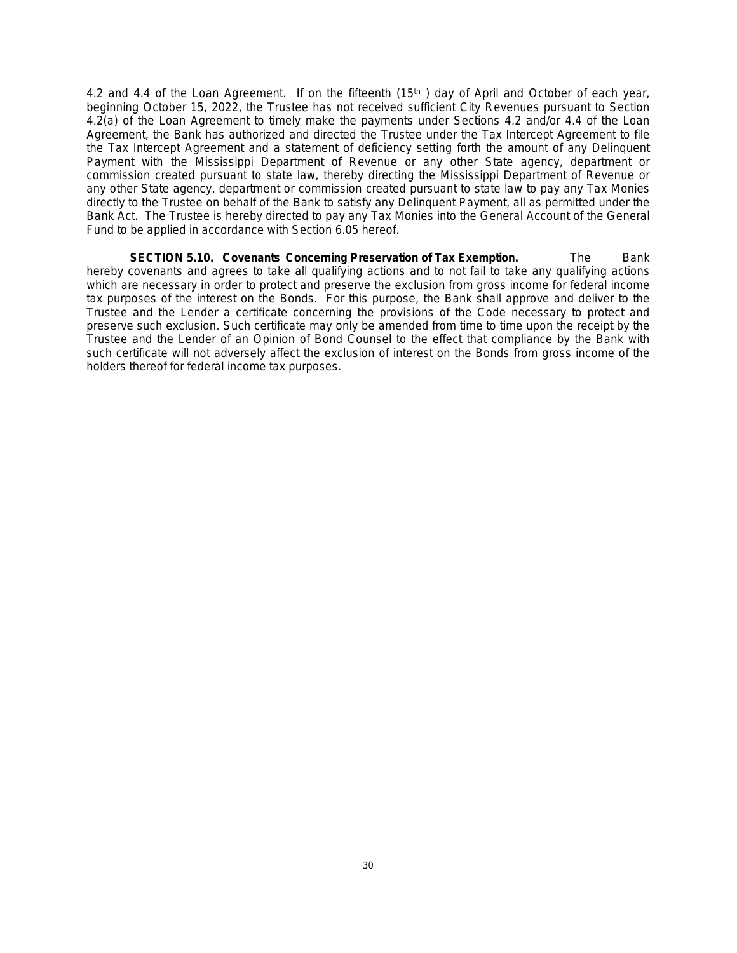4.2 and 4.4 of the Loan Agreement. If on the fifteenth (15<sup>th</sup>) day of April and October of each year, beginning October 15, 2022, the Trustee has not received sufficient City Revenues pursuant to Section 4.2(a) of the Loan Agreement to timely make the payments under Sections 4.2 and/or 4.4 of the Loan Agreement, the Bank has authorized and directed the Trustee under the Tax Intercept Agreement to file the Tax Intercept Agreement and a statement of deficiency setting forth the amount of any Delinquent Payment with the Mississippi Department of Revenue or any other State agency, department or commission created pursuant to state law, thereby directing the Mississippi Department of Revenue or any other State agency, department or commission created pursuant to state law to pay any Tax Monies directly to the Trustee on behalf of the Bank to satisfy any Delinquent Payment, all as permitted under the Bank Act. The Trustee is hereby directed to pay any Tax Monies into the General Account of the General Fund to be applied in accordance with Section 6.05 hereof.

**SECTION 5.10. Covenants Concerning Preservation of Tax Exemption.** The Bank hereby covenants and agrees to take all qualifying actions and to not fail to take any qualifying actions which are necessary in order to protect and preserve the exclusion from gross income for federal income tax purposes of the interest on the Bonds. For this purpose, the Bank shall approve and deliver to the Trustee and the Lender a certificate concerning the provisions of the Code necessary to protect and preserve such exclusion. Such certificate may only be amended from time to time upon the receipt by the Trustee and the Lender of an Opinion of Bond Counsel to the effect that compliance by the Bank with such certificate will not adversely affect the exclusion of interest on the Bonds from gross income of the holders thereof for federal income tax purposes.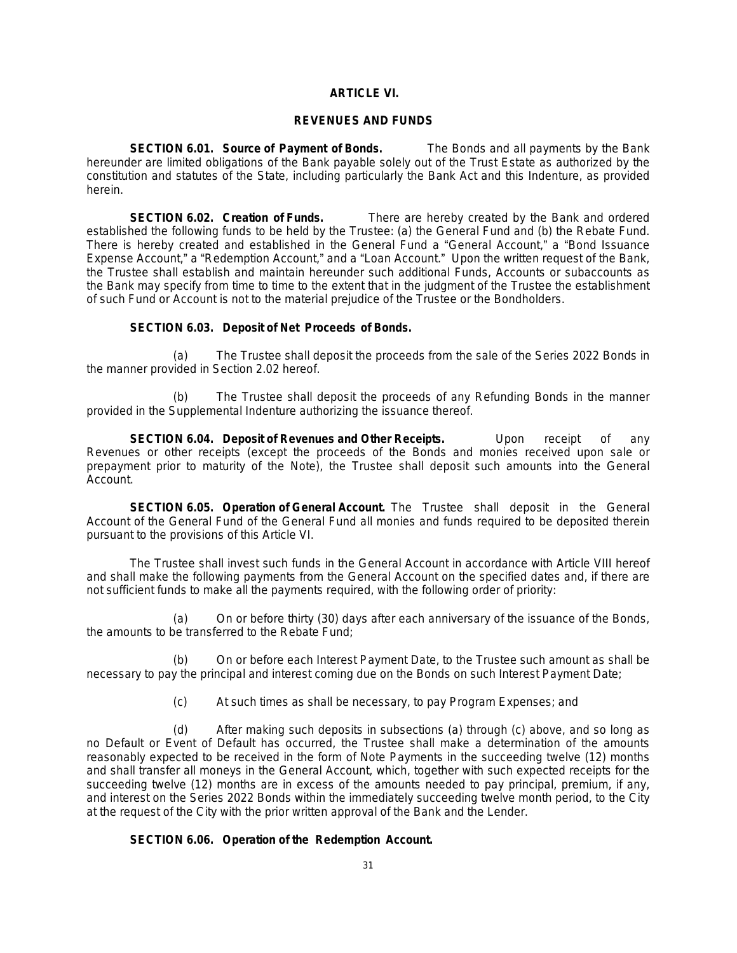# **ARTICLE VI.**

#### **REVENUES AND FUNDS**

**SECTION 6.01. Source of Payment of Bonds.** The Bonds and all payments by the Bank hereunder are limited obligations of the Bank payable solely out of the Trust Estate as authorized by the constitution and statutes of the State, including particularly the Bank Act and this Indenture, as provided herein.

**SECTION 6.02. Creation of Funds.** There are hereby created by the Bank and ordered established the following funds to be held by the Trustee: (a) the General Fund and (b) the Rebate Fund. There is hereby created and established in the General Fund a "General Account," a "Bond Issuance Expense Account," a "Redemption Account," and a "Loan Account." Upon the written request of the Bank, the Trustee shall establish and maintain hereunder such additional Funds, Accounts or subaccounts as the Bank may specify from time to time to the extent that in the judgment of the Trustee the establishment of such Fund or Account is not to the material prejudice of the Trustee or the Bondholders.

# **SECTION 6.03. Deposit of Net Proceeds of Bonds.**

(a) The Trustee shall deposit the proceeds from the sale of the Series 2022 Bonds in the manner provided in Section 2.02 hereof.

(b) The Trustee shall deposit the proceeds of any Refunding Bonds in the manner provided in the Supplemental Indenture authorizing the issuance thereof.

**SECTION 6.04. Deposit of Revenues and Other Receipts.** Upon receipt of any Revenues or other receipts (except the proceeds of the Bonds and monies received upon sale or prepayment prior to maturity of the Note), the Trustee shall deposit such amounts into the General Account.

**SECTION 6.05. Operation of General Account.** The Trustee shall deposit in the General Account of the General Fund of the General Fund all monies and funds required to be deposited therein pursuant to the provisions of this Article VI.

The Trustee shall invest such funds in the General Account in accordance with Article VIII hereof and shall make the following payments from the General Account on the specified dates and, if there are not sufficient funds to make all the payments required, with the following order of priority:

(a) On or before thirty (30) days after each anniversary of the issuance of the Bonds, the amounts to be transferred to the Rebate Fund;

(b) On or before each Interest Payment Date, to the Trustee such amount as shall be necessary to pay the principal and interest coming due on the Bonds on such Interest Payment Date;

(c) At such times as shall be necessary, to pay Program Expenses; and

(d) After making such deposits in subsections (a) through (c) above, and so long as no Default or Event of Default has occurred, the Trustee shall make a determination of the amounts reasonably expected to be received in the form of Note Payments in the succeeding twelve (12) months and shall transfer all moneys in the General Account, which, together with such expected receipts for the succeeding twelve (12) months are in excess of the amounts needed to pay principal, premium, if any, and interest on the Series 2022 Bonds within the immediately succeeding twelve month period, to the City at the request of the City with the prior written approval of the Bank and the Lender.

# **SECTION 6.06. Operation of the Redemption Account.**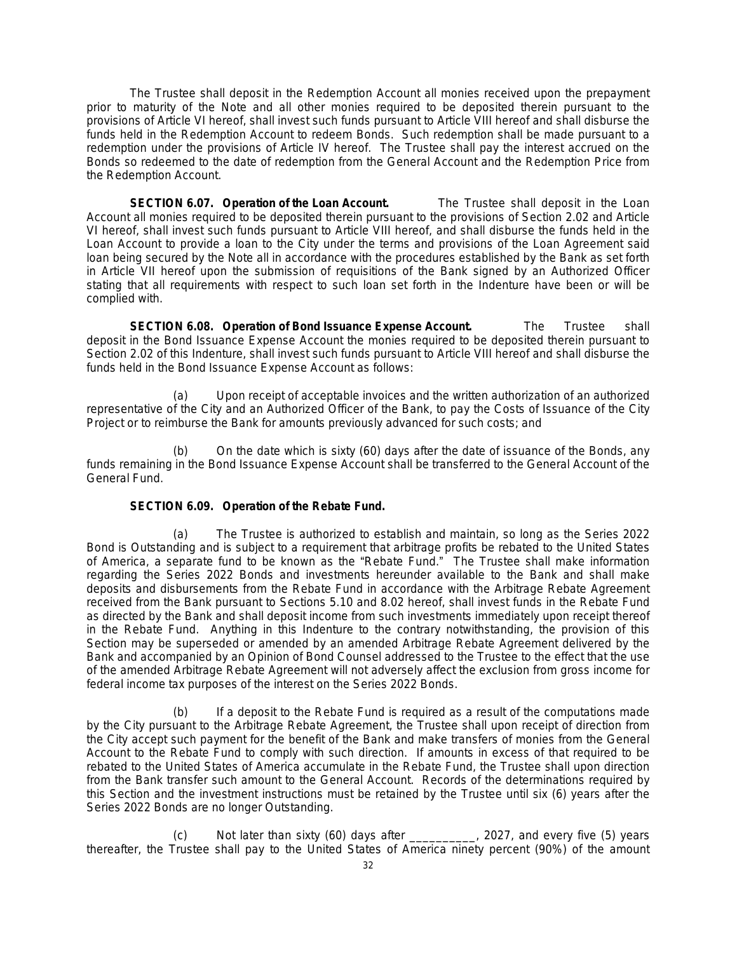The Trustee shall deposit in the Redemption Account all monies received upon the prepayment prior to maturity of the Note and all other monies required to be deposited therein pursuant to the provisions of Article VI hereof, shall invest such funds pursuant to Article VIII hereof and shall disburse the funds held in the Redemption Account to redeem Bonds. Such redemption shall be made pursuant to a redemption under the provisions of Article IV hereof. The Trustee shall pay the interest accrued on the Bonds so redeemed to the date of redemption from the General Account and the Redemption Price from the Redemption Account.

**SECTION 6.07. Operation of the Loan Account.** The Trustee shall deposit in the Loan Account all monies required to be deposited therein pursuant to the provisions of Section 2.02 and Article VI hereof, shall invest such funds pursuant to Article VIII hereof, and shall disburse the funds held in the Loan Account to provide a loan to the City under the terms and provisions of the Loan Agreement said loan being secured by the Note all in accordance with the procedures established by the Bank as set forth in Article VII hereof upon the submission of requisitions of the Bank signed by an Authorized Officer stating that all requirements with respect to such loan set forth in the Indenture have been or will be complied with.

**SECTION 6.08. Operation of Bond Issuance Expense Account.** The Trustee shall deposit in the Bond Issuance Expense Account the monies required to be deposited therein pursuant to Section 2.02 of this Indenture, shall invest such funds pursuant to Article VIII hereof and shall disburse the funds held in the Bond Issuance Expense Account as follows:

(a) Upon receipt of acceptable invoices and the written authorization of an authorized representative of the City and an Authorized Officer of the Bank, to pay the Costs of Issuance of the City Project or to reimburse the Bank for amounts previously advanced for such costs; and

On the date which is sixty (60) days after the date of issuance of the Bonds, any funds remaining in the Bond Issuance Expense Account shall be transferred to the General Account of the General Fund.

# **SECTION 6.09. Operation of the Rebate Fund.**

(a) The Trustee is authorized to establish and maintain, so long as the Series 2022 Bond is Outstanding and is subject to a requirement that arbitrage profits be rebated to the United States of America, a separate fund to be known as the "Rebate Fund." The Trustee shall make information regarding the Series 2022 Bonds and investments hereunder available to the Bank and shall make deposits and disbursements from the Rebate Fund in accordance with the Arbitrage Rebate Agreement received from the Bank pursuant to Sections 5.10 and 8.02 hereof, shall invest funds in the Rebate Fund as directed by the Bank and shall deposit income from such investments immediately upon receipt thereof in the Rebate Fund. Anything in this Indenture to the contrary notwithstanding, the provision of this Section may be superseded or amended by an amended Arbitrage Rebate Agreement delivered by the Bank and accompanied by an Opinion of Bond Counsel addressed to the Trustee to the effect that the use of the amended Arbitrage Rebate Agreement will not adversely affect the exclusion from gross income for federal income tax purposes of the interest on the Series 2022 Bonds.

(b) If a deposit to the Rebate Fund is required as a result of the computations made by the City pursuant to the Arbitrage Rebate Agreement, the Trustee shall upon receipt of direction from the City accept such payment for the benefit of the Bank and make transfers of monies from the General Account to the Rebate Fund to comply with such direction. If amounts in excess of that required to be rebated to the United States of America accumulate in the Rebate Fund, the Trustee shall upon direction from the Bank transfer such amount to the General Account. Records of the determinations required by this Section and the investment instructions must be retained by the Trustee until six (6) years after the Series 2022 Bonds are no longer Outstanding.

(c) Not later than sixty (60) days after \_\_\_\_\_\_\_\_\_\_, 2027, and every five (5) years thereafter, the Trustee shall pay to the United States of America ninety percent (90%) of the amount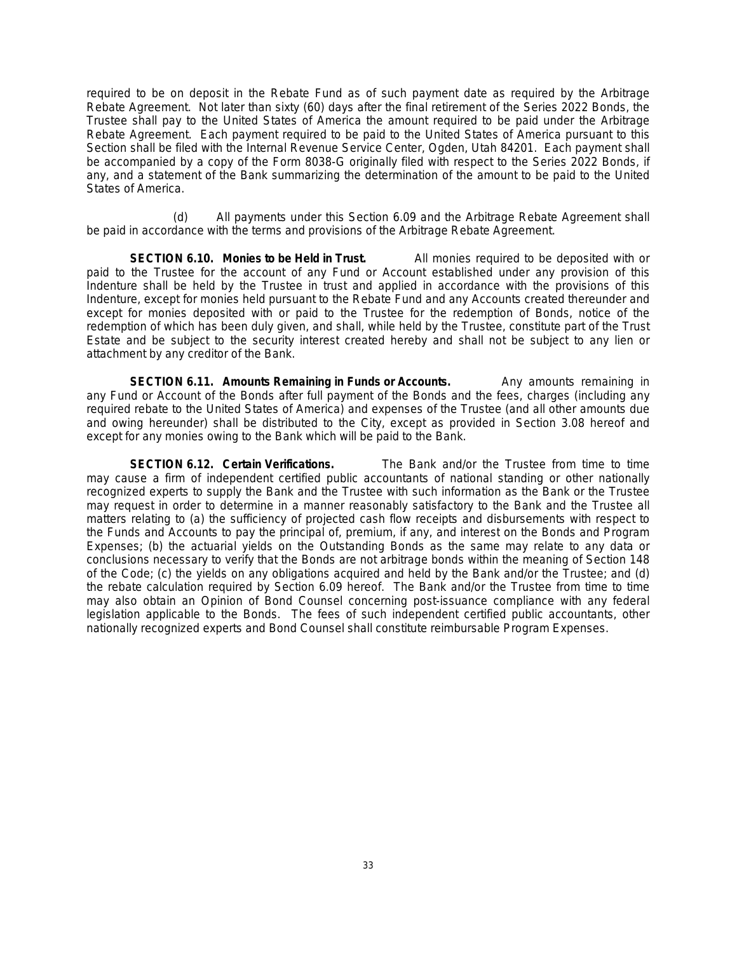required to be on deposit in the Rebate Fund as of such payment date as required by the Arbitrage Rebate Agreement. Not later than sixty (60) days after the final retirement of the Series 2022 Bonds, the Trustee shall pay to the United States of America the amount required to be paid under the Arbitrage Rebate Agreement. Each payment required to be paid to the United States of America pursuant to this Section shall be filed with the Internal Revenue Service Center, Ogden, Utah 84201. Each payment shall be accompanied by a copy of the Form 8038-G originally filed with respect to the Series 2022 Bonds, if any, and a statement of the Bank summarizing the determination of the amount to be paid to the United States of America.

(d) All payments under this Section 6.09 and the Arbitrage Rebate Agreement shall be paid in accordance with the terms and provisions of the Arbitrage Rebate Agreement.

**SECTION 6.10. Monies to be Held in Trust.** All monies required to be deposited with or paid to the Trustee for the account of any Fund or Account established under any provision of this Indenture shall be held by the Trustee in trust and applied in accordance with the provisions of this Indenture, except for monies held pursuant to the Rebate Fund and any Accounts created thereunder and except for monies deposited with or paid to the Trustee for the redemption of Bonds, notice of the redemption of which has been duly given, and shall, while held by the Trustee, constitute part of the Trust Estate and be subject to the security interest created hereby and shall not be subject to any lien or attachment by any creditor of the Bank.

**SECTION 6.11. Amounts Remaining in Funds or Accounts.** Any amounts remaining in any Fund or Account of the Bonds after full payment of the Bonds and the fees, charges (including any required rebate to the United States of America) and expenses of the Trustee (and all other amounts due and owing hereunder) shall be distributed to the City, except as provided in Section 3.08 hereof and except for any monies owing to the Bank which will be paid to the Bank.

**SECTION 6.12. Certain Verifications.** The Bank and/or the Trustee from time to time may cause a firm of independent certified public accountants of national standing or other nationally recognized experts to supply the Bank and the Trustee with such information as the Bank or the Trustee may request in order to determine in a manner reasonably satisfactory to the Bank and the Trustee all matters relating to (a) the sufficiency of projected cash flow receipts and disbursements with respect to the Funds and Accounts to pay the principal of, premium, if any, and interest on the Bonds and Program Expenses; (b) the actuarial yields on the Outstanding Bonds as the same may relate to any data or conclusions necessary to verify that the Bonds are not arbitrage bonds within the meaning of Section 148 of the Code; (c) the yields on any obligations acquired and held by the Bank and/or the Trustee; and (d) the rebate calculation required by Section 6.09 hereof. The Bank and/or the Trustee from time to time may also obtain an Opinion of Bond Counsel concerning post-issuance compliance with any federal legislation applicable to the Bonds. The fees of such independent certified public accountants, other nationally recognized experts and Bond Counsel shall constitute reimbursable Program Expenses.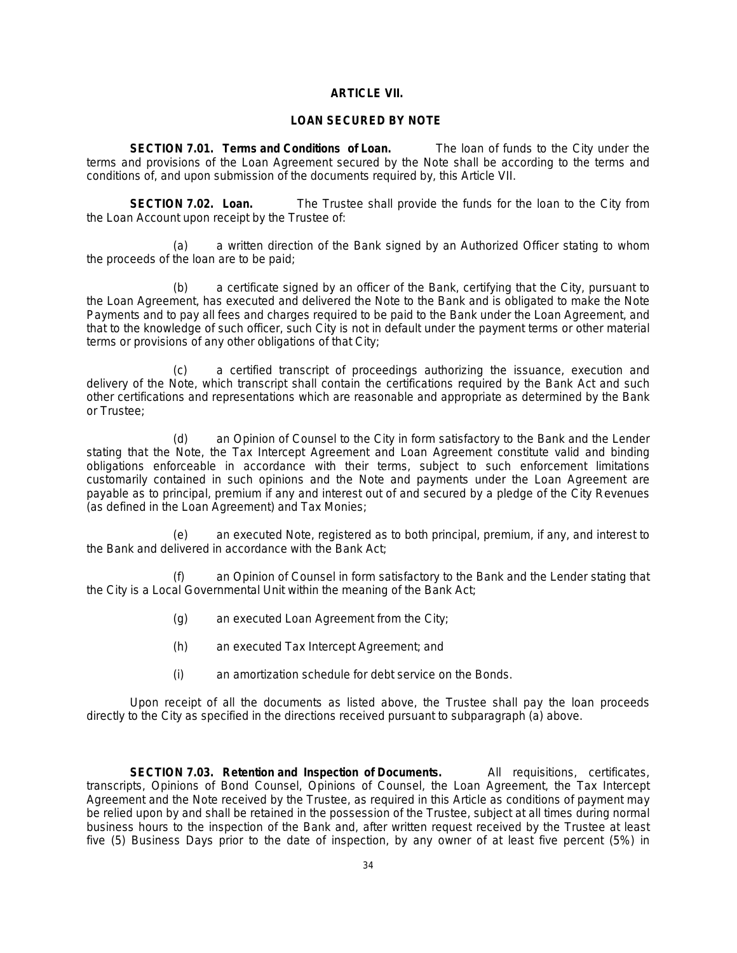# **ARTICLE VII.**

### **LOAN SECURED BY NOTE**

**SECTION 7.01. Terms and Conditions of Loan.** The loan of funds to the City under the terms and provisions of the Loan Agreement secured by the Note shall be according to the terms and conditions of, and upon submission of the documents required by, this Article VII.

**SECTION 7.02. Loan.** The Trustee shall provide the funds for the loan to the City from the Loan Account upon receipt by the Trustee of:

(a) a written direction of the Bank signed by an Authorized Officer stating to whom the proceeds of the loan are to be paid;

(b) a certificate signed by an officer of the Bank, certifying that the City, pursuant to the Loan Agreement, has executed and delivered the Note to the Bank and is obligated to make the Note Payments and to pay all fees and charges required to be paid to the Bank under the Loan Agreement, and that to the knowledge of such officer, such City is not in default under the payment terms or other material terms or provisions of any other obligations of that City;

(c) a certified transcript of proceedings authorizing the issuance, execution and delivery of the Note, which transcript shall contain the certifications required by the Bank Act and such other certifications and representations which are reasonable and appropriate as determined by the Bank or Trustee;

(d) an Opinion of Counsel to the City in form satisfactory to the Bank and the Lender stating that the Note, the Tax Intercept Agreement and Loan Agreement constitute valid and binding obligations enforceable in accordance with their terms, subject to such enforcement limitations customarily contained in such opinions and the Note and payments under the Loan Agreement are payable as to principal, premium if any and interest out of and secured by a pledge of the City Revenues (as defined in the Loan Agreement) and Tax Monies;

(e) an executed Note, registered as to both principal, premium, if any, and interest to the Bank and delivered in accordance with the Bank Act;

(f) an Opinion of Counsel in form satisfactory to the Bank and the Lender stating that the City is a Local Governmental Unit within the meaning of the Bank Act;

- (g) an executed Loan Agreement from the City;
- (h) an executed Tax Intercept Agreement; and
- (i) an amortization schedule for debt service on the Bonds.

Upon receipt of all the documents as listed above, the Trustee shall pay the loan proceeds directly to the City as specified in the directions received pursuant to subparagraph (a) above.

**SECTION 7.03. Retention and Inspection of Documents.** All requisitions, certificates, transcripts, Opinions of Bond Counsel, Opinions of Counsel, the Loan Agreement, the Tax Intercept Agreement and the Note received by the Trustee, as required in this Article as conditions of payment may be relied upon by and shall be retained in the possession of the Trustee, subject at all times during normal business hours to the inspection of the Bank and, after written request received by the Trustee at least five (5) Business Days prior to the date of inspection, by any owner of at least five percent (5%) in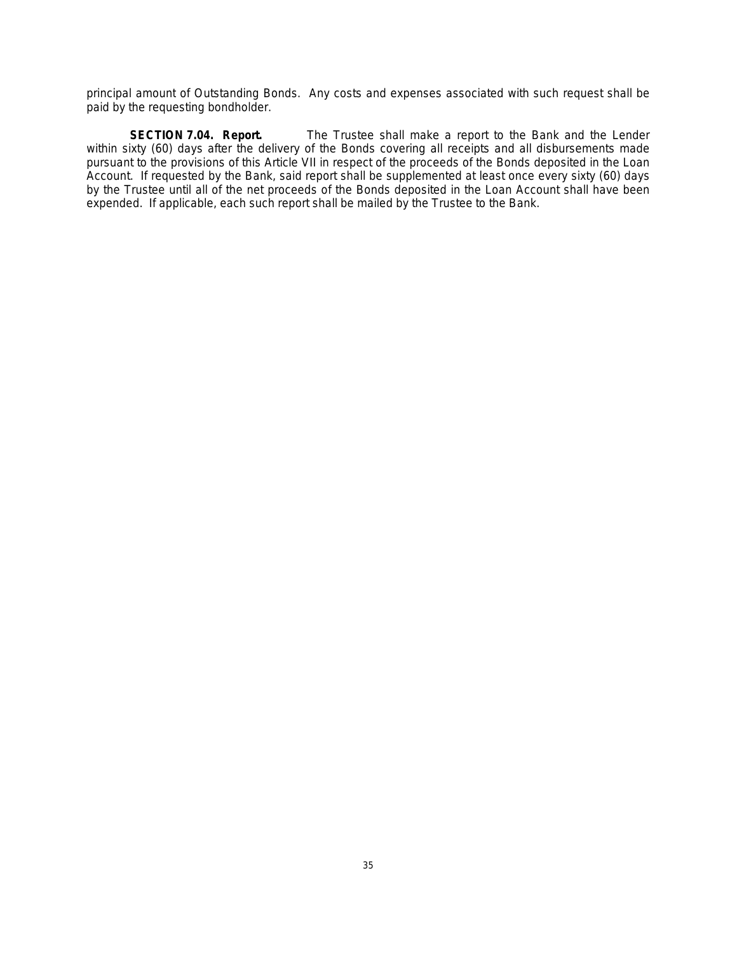principal amount of Outstanding Bonds. Any costs and expenses associated with such request shall be paid by the requesting bondholder.

**SECTION 7.04. Report.** The Trustee shall make a report to the Bank and the Lender within sixty (60) days after the delivery of the Bonds covering all receipts and all disbursements made pursuant to the provisions of this Article VII in respect of the proceeds of the Bonds deposited in the Loan Account. If requested by the Bank, said report shall be supplemented at least once every sixty (60) days by the Trustee until all of the net proceeds of the Bonds deposited in the Loan Account shall have been expended. If applicable, each such report shall be mailed by the Trustee to the Bank.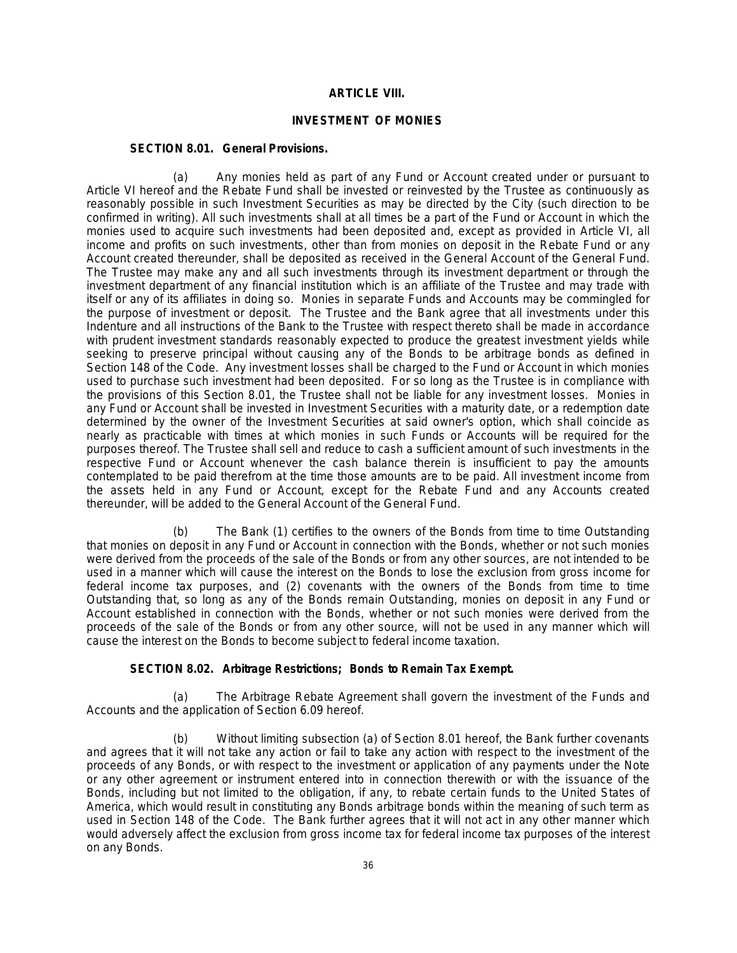# **ARTICLE VIII.**

# **INVESTMENT OF MONIES**

#### **SECTION 8.01. General Provisions.**

(a) Any monies held as part of any Fund or Account created under or pursuant to Article VI hereof and the Rebate Fund shall be invested or reinvested by the Trustee as continuously as reasonably possible in such Investment Securities as may be directed by the City (such direction to be confirmed in writing). All such investments shall at all times be a part of the Fund or Account in which the monies used to acquire such investments had been deposited and, except as provided in Article VI, all income and profits on such investments, other than from monies on deposit in the Rebate Fund or any Account created thereunder, shall be deposited as received in the General Account of the General Fund. The Trustee may make any and all such investments through its investment department or through the investment department of any financial institution which is an affiliate of the Trustee and may trade with itself or any of its affiliates in doing so. Monies in separate Funds and Accounts may be commingled for the purpose of investment or deposit. The Trustee and the Bank agree that all investments under this Indenture and all instructions of the Bank to the Trustee with respect thereto shall be made in accordance with prudent investment standards reasonably expected to produce the greatest investment yields while seeking to preserve principal without causing any of the Bonds to be arbitrage bonds as defined in Section 148 of the Code. Any investment losses shall be charged to the Fund or Account in which monies used to purchase such investment had been deposited. For so long as the Trustee is in compliance with the provisions of this Section 8.01, the Trustee shall not be liable for any investment losses. Monies in any Fund or Account shall be invested in Investment Securities with a maturity date, or a redemption date determined by the owner of the Investment Securities at said owner's option, which shall coincide as nearly as practicable with times at which monies in such Funds or Accounts will be required for the purposes thereof. The Trustee shall sell and reduce to cash a sufficient amount of such investments in the respective Fund or Account whenever the cash balance therein is insufficient to pay the amounts contemplated to be paid therefrom at the time those amounts are to be paid. All investment income from the assets held in any Fund or Account, except for the Rebate Fund and any Accounts created thereunder, will be added to the General Account of the General Fund.

(b) The Bank (1) certifies to the owners of the Bonds from time to time Outstanding that monies on deposit in any Fund or Account in connection with the Bonds, whether or not such monies were derived from the proceeds of the sale of the Bonds or from any other sources, are not intended to be used in a manner which will cause the interest on the Bonds to lose the exclusion from gross income for federal income tax purposes, and (2) covenants with the owners of the Bonds from time to time Outstanding that, so long as any of the Bonds remain Outstanding, monies on deposit in any Fund or Account established in connection with the Bonds, whether or not such monies were derived from the proceeds of the sale of the Bonds or from any other source, will not be used in any manner which will cause the interest on the Bonds to become subject to federal income taxation.

### **SECTION 8.02. Arbitrage Restrictions; Bonds to Remain Tax Exempt.**

(a) The Arbitrage Rebate Agreement shall govern the investment of the Funds and Accounts and the application of Section 6.09 hereof.

(b) Without limiting subsection (a) of Section 8.01 hereof, the Bank further covenants and agrees that it will not take any action or fail to take any action with respect to the investment of the proceeds of any Bonds, or with respect to the investment or application of any payments under the Note or any other agreement or instrument entered into in connection therewith or with the issuance of the Bonds, including but not limited to the obligation, if any, to rebate certain funds to the United States of America, which would result in constituting any Bonds arbitrage bonds within the meaning of such term as used in Section 148 of the Code. The Bank further agrees that it will not act in any other manner which would adversely affect the exclusion from gross income tax for federal income tax purposes of the interest on any Bonds.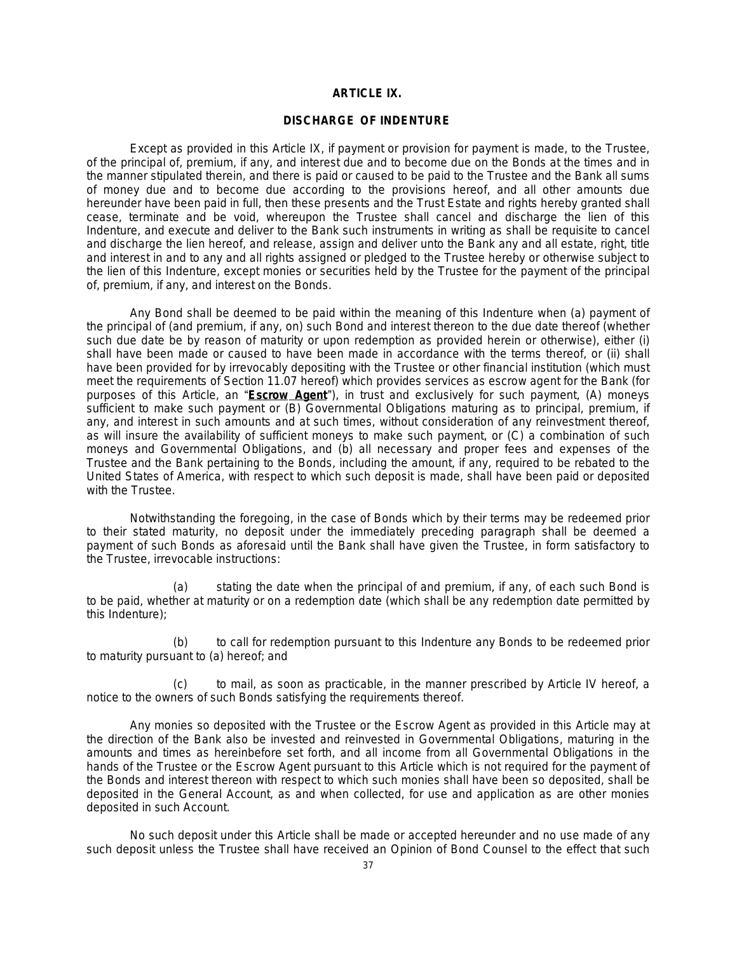# **ARTICLE IX.**

# **DISCHARGE OF INDENTURE**

Except as provided in this Article IX, if payment or provision for payment is made, to the Trustee, of the principal of, premium, if any, and interest due and to become due on the Bonds at the times and in the manner stipulated therein, and there is paid or caused to be paid to the Trustee and the Bank all sums of money due and to become due according to the provisions hereof, and all other amounts due hereunder have been paid in full, then these presents and the Trust Estate and rights hereby granted shall cease, terminate and be void, whereupon the Trustee shall cancel and discharge the lien of this Indenture, and execute and deliver to the Bank such instruments in writing as shall be requisite to cancel and discharge the lien hereof, and release, assign and deliver unto the Bank any and all estate, right, title and interest in and to any and all rights assigned or pledged to the Trustee hereby or otherwise subject to the lien of this Indenture, except monies or securities held by the Trustee for the payment of the principal of, premium, if any, and interest on the Bonds.

Any Bond shall be deemed to be paid within the meaning of this Indenture when (a) payment of the principal of (and premium, if any, on) such Bond and interest thereon to the due date thereof (whether such due date be by reason of maturity or upon redemption as provided herein or otherwise), either (i) shall have been made or caused to have been made in accordance with the terms thereof, or (ii) shall have been provided for by irrevocably depositing with the Trustee or other financial institution (which must meet the requirements of Section 11.07 hereof) which provides services as escrow agent for the Bank (for purposes of this Article, an "**Escrow Agent**"), in trust and exclusively for such payment, (A) moneys sufficient to make such payment or (B) Governmental Obligations maturing as to principal, premium, if any, and interest in such amounts and at such times, without consideration of any reinvestment thereof, as will insure the availability of sufficient moneys to make such payment, or (C) a combination of such moneys and Governmental Obligations, and (b) all necessary and proper fees and expenses of the Trustee and the Bank pertaining to the Bonds, including the amount, if any, required to be rebated to the United States of America, with respect to which such deposit is made, shall have been paid or deposited with the Trustee.

Notwithstanding the foregoing, in the case of Bonds which by their terms may be redeemed prior to their stated maturity, no deposit under the immediately preceding paragraph shall be deemed a payment of such Bonds as aforesaid until the Bank shall have given the Trustee, in form satisfactory to the Trustee, irrevocable instructions:

(a) stating the date when the principal of and premium, if any, of each such Bond is to be paid, whether at maturity or on a redemption date (which shall be any redemption date permitted by this Indenture);

(b) to call for redemption pursuant to this Indenture any Bonds to be redeemed prior to maturity pursuant to (a) hereof; and

(c) to mail, as soon as practicable, in the manner prescribed by Article IV hereof, a notice to the owners of such Bonds satisfying the requirements thereof.

Any monies so deposited with the Trustee or the Escrow Agent as provided in this Article may at the direction of the Bank also be invested and reinvested in Governmental Obligations, maturing in the amounts and times as hereinbefore set forth, and all income from all Governmental Obligations in the hands of the Trustee or the Escrow Agent pursuant to this Article which is not required for the payment of the Bonds and interest thereon with respect to which such monies shall have been so deposited, shall be deposited in the General Account, as and when collected, for use and application as are other monies deposited in such Account.

No such deposit under this Article shall be made or accepted hereunder and no use made of any such deposit unless the Trustee shall have received an Opinion of Bond Counsel to the effect that such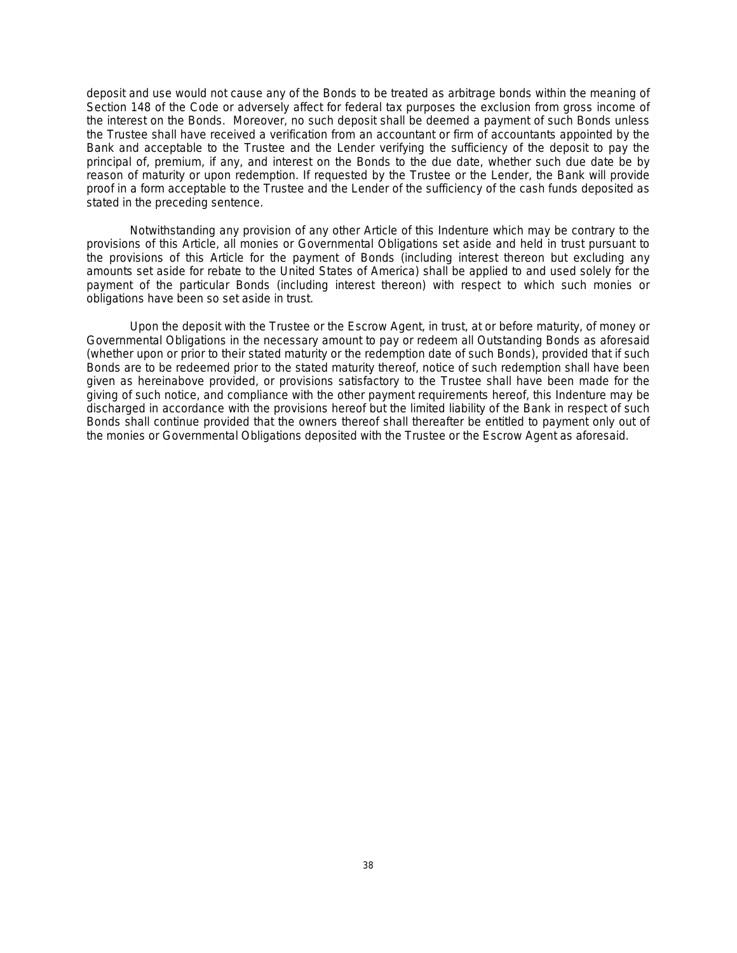deposit and use would not cause any of the Bonds to be treated as arbitrage bonds within the meaning of Section 148 of the Code or adversely affect for federal tax purposes the exclusion from gross income of the interest on the Bonds. Moreover, no such deposit shall be deemed a payment of such Bonds unless the Trustee shall have received a verification from an accountant or firm of accountants appointed by the Bank and acceptable to the Trustee and the Lender verifying the sufficiency of the deposit to pay the principal of, premium, if any, and interest on the Bonds to the due date, whether such due date be by reason of maturity or upon redemption. If requested by the Trustee or the Lender, the Bank will provide proof in a form acceptable to the Trustee and the Lender of the sufficiency of the cash funds deposited as stated in the preceding sentence.

Notwithstanding any provision of any other Article of this Indenture which may be contrary to the provisions of this Article, all monies or Governmental Obligations set aside and held in trust pursuant to the provisions of this Article for the payment of Bonds (including interest thereon but excluding any amounts set aside for rebate to the United States of America) shall be applied to and used solely for the payment of the particular Bonds (including interest thereon) with respect to which such monies or obligations have been so set aside in trust.

Upon the deposit with the Trustee or the Escrow Agent, in trust, at or before maturity, of money or Governmental Obligations in the necessary amount to pay or redeem all Outstanding Bonds as aforesaid (whether upon or prior to their stated maturity or the redemption date of such Bonds), provided that if such Bonds are to be redeemed prior to the stated maturity thereof, notice of such redemption shall have been given as hereinabove provided, or provisions satisfactory to the Trustee shall have been made for the giving of such notice, and compliance with the other payment requirements hereof, this Indenture may be discharged in accordance with the provisions hereof but the limited liability of the Bank in respect of such Bonds shall continue provided that the owners thereof shall thereafter be entitled to payment only out of the monies or Governmental Obligations deposited with the Trustee or the Escrow Agent as aforesaid.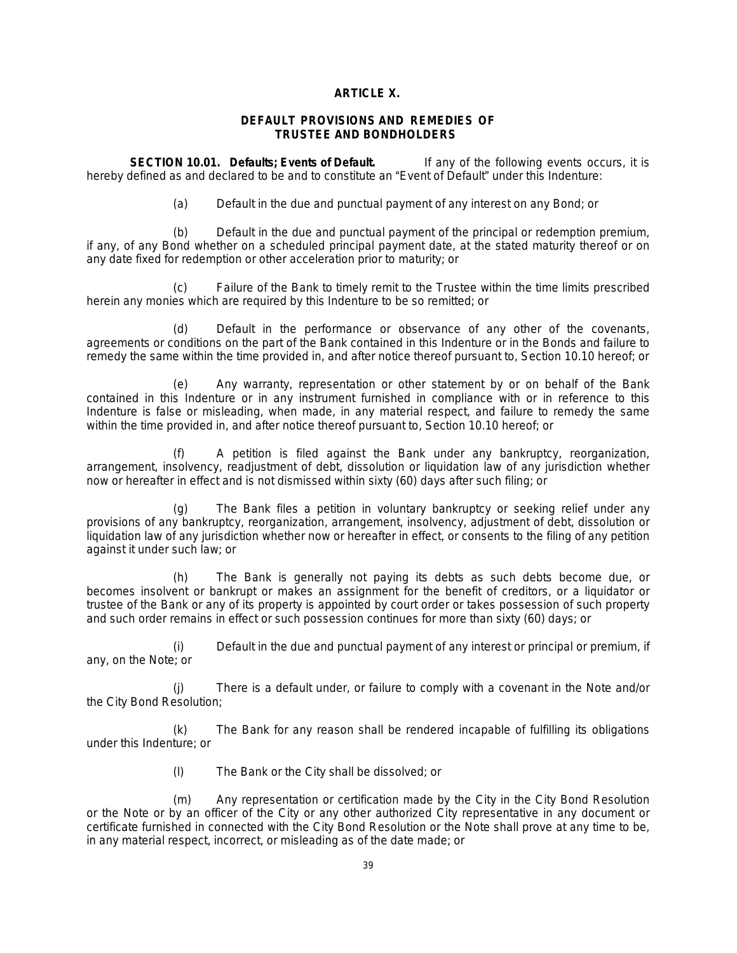# **ARTICLE X.**

# **DEFAULT PROVISIONS AND REMEDIES OF TRUSTEE AND BONDHOLDERS**

**SECTION 10.01. Defaults; Events of Default.** If any of the following events occurs, it is hereby defined as and declared to be and to constitute an "Event of Default" under this Indenture:

(a) Default in the due and punctual payment of any interest on any Bond; or

(b) Default in the due and punctual payment of the principal or redemption premium, if any, of any Bond whether on a scheduled principal payment date, at the stated maturity thereof or on any date fixed for redemption or other acceleration prior to maturity; or

(c) Failure of the Bank to timely remit to the Trustee within the time limits prescribed herein any monies which are required by this Indenture to be so remitted; or

(d) Default in the performance or observance of any other of the covenants, agreements or conditions on the part of the Bank contained in this Indenture or in the Bonds and failure to remedy the same within the time provided in, and after notice thereof pursuant to, Section 10.10 hereof; or

(e) Any warranty, representation or other statement by or on behalf of the Bank contained in this Indenture or in any instrument furnished in compliance with or in reference to this Indenture is false or misleading, when made, in any material respect, and failure to remedy the same within the time provided in, and after notice thereof pursuant to, Section 10.10 hereof; or

A petition is filed against the Bank under any bankruptcy, reorganization, arrangement, insolvency, readjustment of debt, dissolution or liquidation law of any jurisdiction whether now or hereafter in effect and is not dismissed within sixty (60) days after such filing; or

(g) The Bank files a petition in voluntary bankruptcy or seeking relief under any provisions of any bankruptcy, reorganization, arrangement, insolvency, adjustment of debt, dissolution or liquidation law of any jurisdiction whether now or hereafter in effect, or consents to the filing of any petition against it under such law; or

(h) The Bank is generally not paying its debts as such debts become due, or becomes insolvent or bankrupt or makes an assignment for the benefit of creditors, or a liquidator or trustee of the Bank or any of its property is appointed by court order or takes possession of such property and such order remains in effect or such possession continues for more than sixty (60) days; or

(i) Default in the due and punctual payment of any interest or principal or premium, if any, on the Note; or

(j) There is a default under, or failure to comply with a covenant in the Note and/or the City Bond Resolution;

(k) The Bank for any reason shall be rendered incapable of fulfilling its obligations under this Indenture; or

(l) The Bank or the City shall be dissolved; or

(m) Any representation or certification made by the City in the City Bond Resolution or the Note or by an officer of the City or any other authorized City representative in any document or certificate furnished in connected with the City Bond Resolution or the Note shall prove at any time to be, in any material respect, incorrect, or misleading as of the date made; or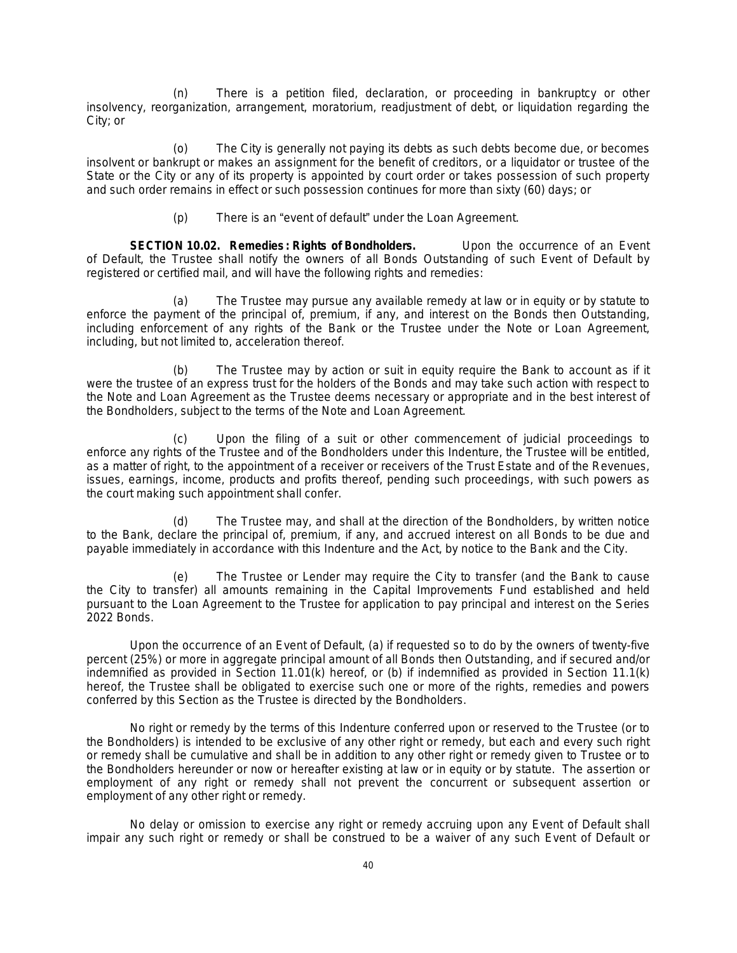(n) There is a petition filed, declaration, or proceeding in bankruptcy or other insolvency, reorganization, arrangement, moratorium, readjustment of debt, or liquidation regarding the City; or

The City is generally not paying its debts as such debts become due, or becomes insolvent or bankrupt or makes an assignment for the benefit of creditors, or a liquidator or trustee of the State or the City or any of its property is appointed by court order or takes possession of such property and such order remains in effect or such possession continues for more than sixty (60) days; or

(p) There is an "event of default" under the Loan Agreement.

**SECTION 10.02. Remedies: Rights of Bondholders.** Upon the occurrence of an Event of Default, the Trustee shall notify the owners of all Bonds Outstanding of such Event of Default by registered or certified mail, and will have the following rights and remedies:

(a) The Trustee may pursue any available remedy at law or in equity or by statute to enforce the payment of the principal of, premium, if any, and interest on the Bonds then Outstanding, including enforcement of any rights of the Bank or the Trustee under the Note or Loan Agreement, including, but not limited to, acceleration thereof.

(b) The Trustee may by action or suit in equity require the Bank to account as if it were the trustee of an express trust for the holders of the Bonds and may take such action with respect to the Note and Loan Agreement as the Trustee deems necessary or appropriate and in the best interest of the Bondholders, subject to the terms of the Note and Loan Agreement.

(c) Upon the filing of a suit or other commencement of judicial proceedings to enforce any rights of the Trustee and of the Bondholders under this Indenture, the Trustee will be entitled, as a matter of right, to the appointment of a receiver or receivers of the Trust Estate and of the Revenues, issues, earnings, income, products and profits thereof, pending such proceedings, with such powers as the court making such appointment shall confer.

(d) The Trustee may, and shall at the direction of the Bondholders, by written notice to the Bank, declare the principal of, premium, if any, and accrued interest on all Bonds to be due and payable immediately in accordance with this Indenture and the Act, by notice to the Bank and the City.

(e) The Trustee or Lender may require the City to transfer (and the Bank to cause the City to transfer) all amounts remaining in the Capital Improvements Fund established and held pursuant to the Loan Agreement to the Trustee for application to pay principal and interest on the Series 2022 Bonds.

Upon the occurrence of an Event of Default, (a) if requested so to do by the owners of twenty-five percent (25%) or more in aggregate principal amount of all Bonds then Outstanding, and if secured and/or indemnified as provided in Section 11.01(k) hereof, or (b) if indemnified as provided in Section 11.1(k) hereof, the Trustee shall be obligated to exercise such one or more of the rights, remedies and powers conferred by this Section as the Trustee is directed by the Bondholders.

No right or remedy by the terms of this Indenture conferred upon or reserved to the Trustee (or to the Bondholders) is intended to be exclusive of any other right or remedy, but each and every such right or remedy shall be cumulative and shall be in addition to any other right or remedy given to Trustee or to the Bondholders hereunder or now or hereafter existing at law or in equity or by statute. The assertion or employment of any right or remedy shall not prevent the concurrent or subsequent assertion or employment of any other right or remedy.

No delay or omission to exercise any right or remedy accruing upon any Event of Default shall impair any such right or remedy or shall be construed to be a waiver of any such Event of Default or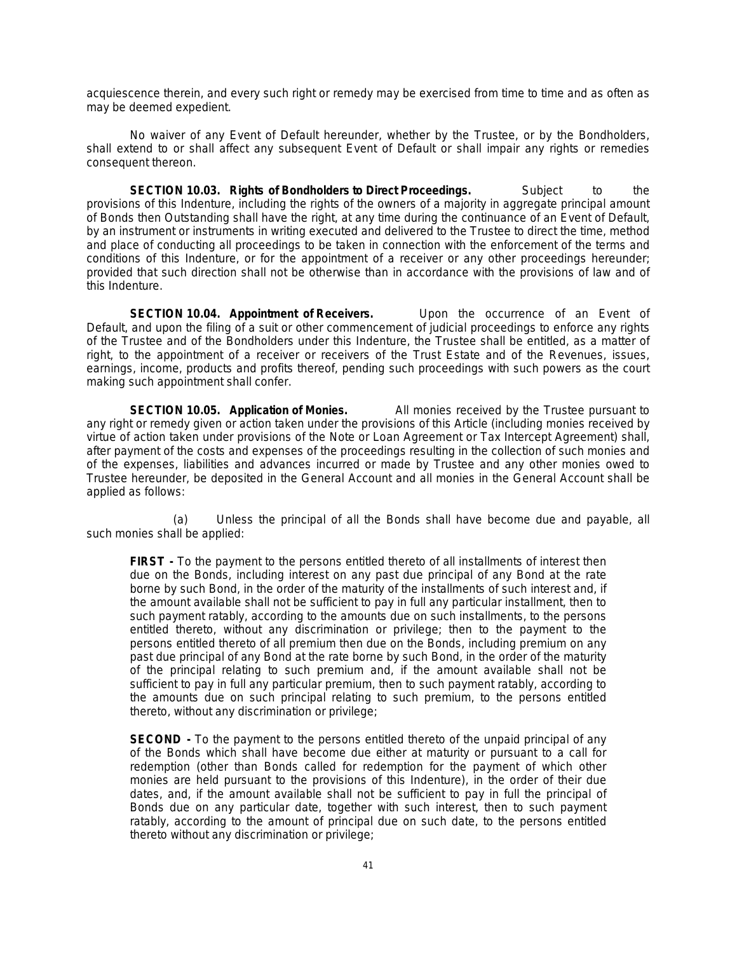acquiescence therein, and every such right or remedy may be exercised from time to time and as often as may be deemed expedient.

No waiver of any Event of Default hereunder, whether by the Trustee, or by the Bondholders, shall extend to or shall affect any subsequent Event of Default or shall impair any rights or remedies consequent thereon.

**SECTION 10.03. Rights of Bondholders to Direct Proceedings.** Subject to the provisions of this Indenture, including the rights of the owners of a majority in aggregate principal amount of Bonds then Outstanding shall have the right, at any time during the continuance of an Event of Default, by an instrument or instruments in writing executed and delivered to the Trustee to direct the time, method and place of conducting all proceedings to be taken in connection with the enforcement of the terms and conditions of this Indenture, or for the appointment of a receiver or any other proceedings hereunder; provided that such direction shall not be otherwise than in accordance with the provisions of law and of this Indenture.

**SECTION 10.04. Appointment of Receivers.** Upon the occurrence of an Event of Default, and upon the filing of a suit or other commencement of judicial proceedings to enforce any rights of the Trustee and of the Bondholders under this Indenture, the Trustee shall be entitled, as a matter of right, to the appointment of a receiver or receivers of the Trust Estate and of the Revenues, issues, earnings, income, products and profits thereof, pending such proceedings with such powers as the court making such appointment shall confer.

**SECTION 10.05. Application of Monies.** All monies received by the Trustee pursuant to any right or remedy given or action taken under the provisions of this Article (including monies received by virtue of action taken under provisions of the Note or Loan Agreement or Tax Intercept Agreement) shall, after payment of the costs and expenses of the proceedings resulting in the collection of such monies and of the expenses, liabilities and advances incurred or made by Trustee and any other monies owed to Trustee hereunder, be deposited in the General Account and all monies in the General Account shall be applied as follows:

(a) Unless the principal of all the Bonds shall have become due and payable, all such monies shall be applied:

**FIRST -** To the payment to the persons entitled thereto of all installments of interest then due on the Bonds, including interest on any past due principal of any Bond at the rate borne by such Bond, in the order of the maturity of the installments of such interest and, if the amount available shall not be sufficient to pay in full any particular installment, then to such payment ratably, according to the amounts due on such installments, to the persons entitled thereto, without any discrimination or privilege; then to the payment to the persons entitled thereto of all premium then due on the Bonds, including premium on any past due principal of any Bond at the rate borne by such Bond, in the order of the maturity of the principal relating to such premium and, if the amount available shall not be sufficient to pay in full any particular premium, then to such payment ratably, according to the amounts due on such principal relating to such premium, to the persons entitled thereto, without any discrimination or privilege;

**SECOND -** To the payment to the persons entitled thereto of the unpaid principal of any of the Bonds which shall have become due either at maturity or pursuant to a call for redemption (other than Bonds called for redemption for the payment of which other monies are held pursuant to the provisions of this Indenture), in the order of their due dates, and, if the amount available shall not be sufficient to pay in full the principal of Bonds due on any particular date, together with such interest, then to such payment ratably, according to the amount of principal due on such date, to the persons entitled thereto without any discrimination or privilege;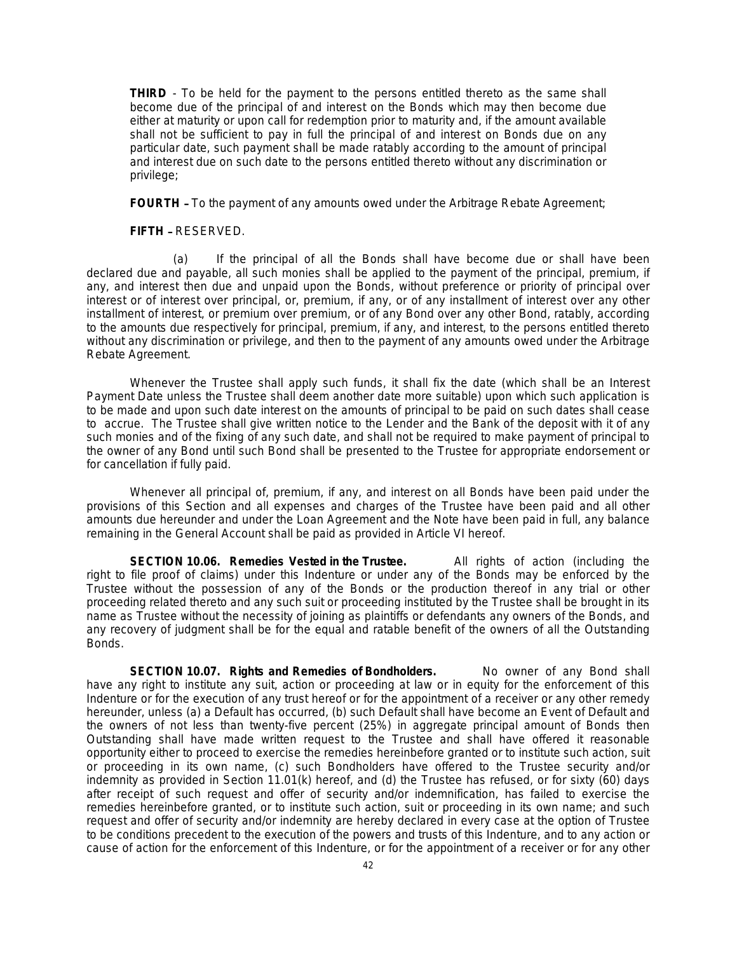**THIRD** - To be held for the payment to the persons entitled thereto as the same shall become due of the principal of and interest on the Bonds which may then become due either at maturity or upon call for redemption prior to maturity and, if the amount available shall not be sufficient to pay in full the principal of and interest on Bonds due on any particular date, such payment shall be made ratably according to the amount of principal and interest due on such date to the persons entitled thereto without any discrimination or privilege;

**FOURTH** - To the payment of any amounts owed under the Arbitrage Rebate Agreement;

**FIFTH** – RESERVED.

(a) If the principal of all the Bonds shall have become due or shall have been declared due and payable, all such monies shall be applied to the payment of the principal, premium, if any, and interest then due and unpaid upon the Bonds, without preference or priority of principal over interest or of interest over principal, or, premium, if any, or of any installment of interest over any other installment of interest, or premium over premium, or of any Bond over any other Bond, ratably, according to the amounts due respectively for principal, premium, if any, and interest, to the persons entitled thereto without any discrimination or privilege, and then to the payment of any amounts owed under the Arbitrage Rebate Agreement.

Whenever the Trustee shall apply such funds, it shall fix the date (which shall be an Interest Payment Date unless the Trustee shall deem another date more suitable) upon which such application is to be made and upon such date interest on the amounts of principal to be paid on such dates shall cease to accrue. The Trustee shall give written notice to the Lender and the Bank of the deposit with it of any such monies and of the fixing of any such date, and shall not be required to make payment of principal to the owner of any Bond until such Bond shall be presented to the Trustee for appropriate endorsement or for cancellation if fully paid.

Whenever all principal of, premium, if any, and interest on all Bonds have been paid under the provisions of this Section and all expenses and charges of the Trustee have been paid and all other amounts due hereunder and under the Loan Agreement and the Note have been paid in full, any balance remaining in the General Account shall be paid as provided in Article VI hereof.

**SECTION 10.06. Remedies Vested in the Trustee.** All rights of action (including the right to file proof of claims) under this Indenture or under any of the Bonds may be enforced by the Trustee without the possession of any of the Bonds or the production thereof in any trial or other proceeding related thereto and any such suit or proceeding instituted by the Trustee shall be brought in its name as Trustee without the necessity of joining as plaintiffs or defendants any owners of the Bonds, and any recovery of judgment shall be for the equal and ratable benefit of the owners of all the Outstanding Bonds.

**SECTION 10.07. Rights and Remedies of Bondholders.** No owner of any Bond shall have any right to institute any suit, action or proceeding at law or in equity for the enforcement of this Indenture or for the execution of any trust hereof or for the appointment of a receiver or any other remedy hereunder, unless (a) a Default has occurred, (b) such Default shall have become an Event of Default and the owners of not less than twenty-five percent (25%) in aggregate principal amount of Bonds then Outstanding shall have made written request to the Trustee and shall have offered it reasonable opportunity either to proceed to exercise the remedies hereinbefore granted or to institute such action, suit or proceeding in its own name, (c) such Bondholders have offered to the Trustee security and/or indemnity as provided in Section 11.01(k) hereof, and (d) the Trustee has refused, or for sixty (60) days after receipt of such request and offer of security and/or indemnification, has failed to exercise the remedies hereinbefore granted, or to institute such action, suit or proceeding in its own name; and such request and offer of security and/or indemnity are hereby declared in every case at the option of Trustee to be conditions precedent to the execution of the powers and trusts of this Indenture, and to any action or cause of action for the enforcement of this Indenture, or for the appointment of a receiver or for any other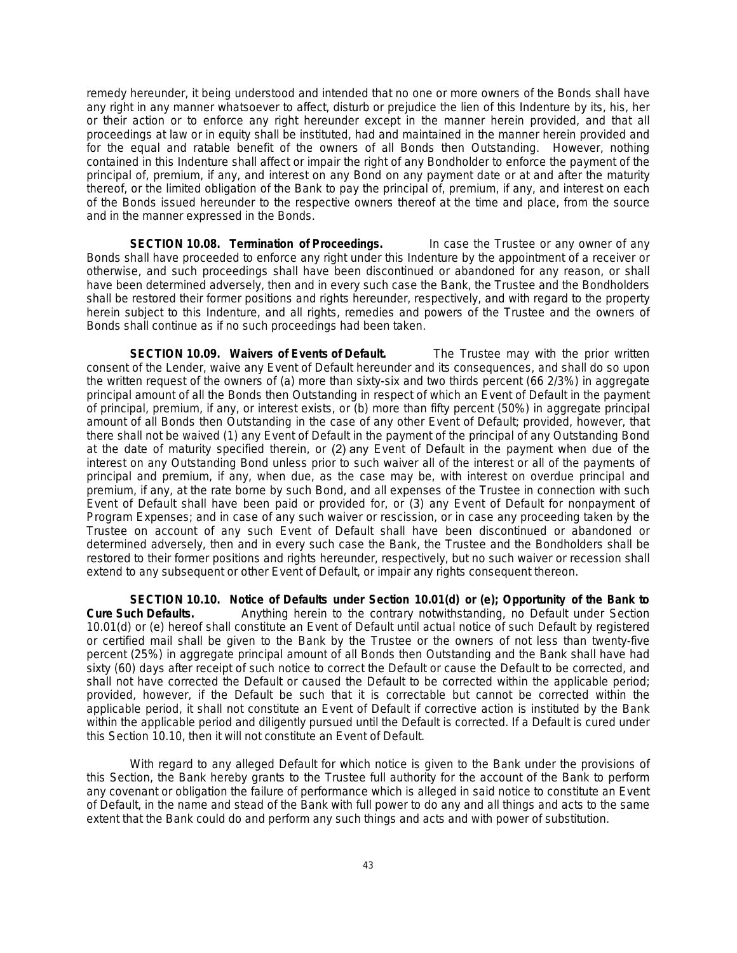remedy hereunder, it being understood and intended that no one or more owners of the Bonds shall have any right in any manner whatsoever to affect, disturb or prejudice the lien of this Indenture by its, his, her or their action or to enforce any right hereunder except in the manner herein provided, and that all proceedings at law or in equity shall be instituted, had and maintained in the manner herein provided and for the equal and ratable benefit of the owners of all Bonds then Outstanding. However, nothing contained in this Indenture shall affect or impair the right of any Bondholder to enforce the payment of the principal of, premium, if any, and interest on any Bond on any payment date or at and after the maturity thereof, or the limited obligation of the Bank to pay the principal of, premium, if any, and interest on each of the Bonds issued hereunder to the respective owners thereof at the time and place, from the source and in the manner expressed in the Bonds.

**SECTION 10.08. Termination of Proceedings.** In case the Trustee or any owner of any Bonds shall have proceeded to enforce any right under this Indenture by the appointment of a receiver or otherwise, and such proceedings shall have been discontinued or abandoned for any reason, or shall have been determined adversely, then and in every such case the Bank, the Trustee and the Bondholders shall be restored their former positions and rights hereunder, respectively, and with regard to the property herein subject to this Indenture, and all rights, remedies and powers of the Trustee and the owners of Bonds shall continue as if no such proceedings had been taken.

**SECTION 10.09. Waivers of Events of Default.** The Trustee may with the prior written consent of the Lender, waive any Event of Default hereunder and its consequences, and shall do so upon the written request of the owners of (a) more than sixty-six and two thirds percent (66 2/3%) in aggregate principal amount of all the Bonds then Outstanding in respect of which an Event of Default in the payment of principal, premium, if any, or interest exists, or (b) more than fifty percent (50%) in aggregate principal amount of all Bonds then Outstanding in the case of any other Event of Default; provided, however, that there shall not be waived (1) any Event of Default in the payment of the principal of any Outstanding Bond at the date of maturity specified therein, or (2) any Event of Default in the payment when due of the interest on any Outstanding Bond unless prior to such waiver all of the interest or all of the payments of principal and premium, if any, when due, as the case may be, with interest on overdue principal and premium, if any, at the rate borne by such Bond, and all expenses of the Trustee in connection with such Event of Default shall have been paid or provided for, or (3) any Event of Default for nonpayment of Program Expenses; and in case of any such waiver or rescission, or in case any proceeding taken by the Trustee on account of any such Event of Default shall have been discontinued or abandoned or determined adversely, then and in every such case the Bank, the Trustee and the Bondholders shall be restored to their former positions and rights hereunder, respectively, but no such waiver or recession shall extend to any subsequent or other Event of Default, or impair any rights consequent thereon.

**SECTION 10.10. Notice of Defaults under Section 10.01(d) or (e); Opportunity of the Bank to Cure Such Defaults.** Anything herein to the contrary notwithstanding, no Default under Section 10.01(d) or (e) hereof shall constitute an Event of Default until actual notice of such Default by registered or certified mail shall be given to the Bank by the Trustee or the owners of not less than twenty-five percent (25%) in aggregate principal amount of all Bonds then Outstanding and the Bank shall have had sixty (60) days after receipt of such notice to correct the Default or cause the Default to be corrected, and shall not have corrected the Default or caused the Default to be corrected within the applicable period; provided, however, if the Default be such that it is correctable but cannot be corrected within the applicable period, it shall not constitute an Event of Default if corrective action is instituted by the Bank within the applicable period and diligently pursued until the Default is corrected. If a Default is cured under this Section 10.10, then it will not constitute an Event of Default.

With regard to any alleged Default for which notice is given to the Bank under the provisions of this Section, the Bank hereby grants to the Trustee full authority for the account of the Bank to perform any covenant or obligation the failure of performance which is alleged in said notice to constitute an Event of Default, in the name and stead of the Bank with full power to do any and all things and acts to the same extent that the Bank could do and perform any such things and acts and with power of substitution.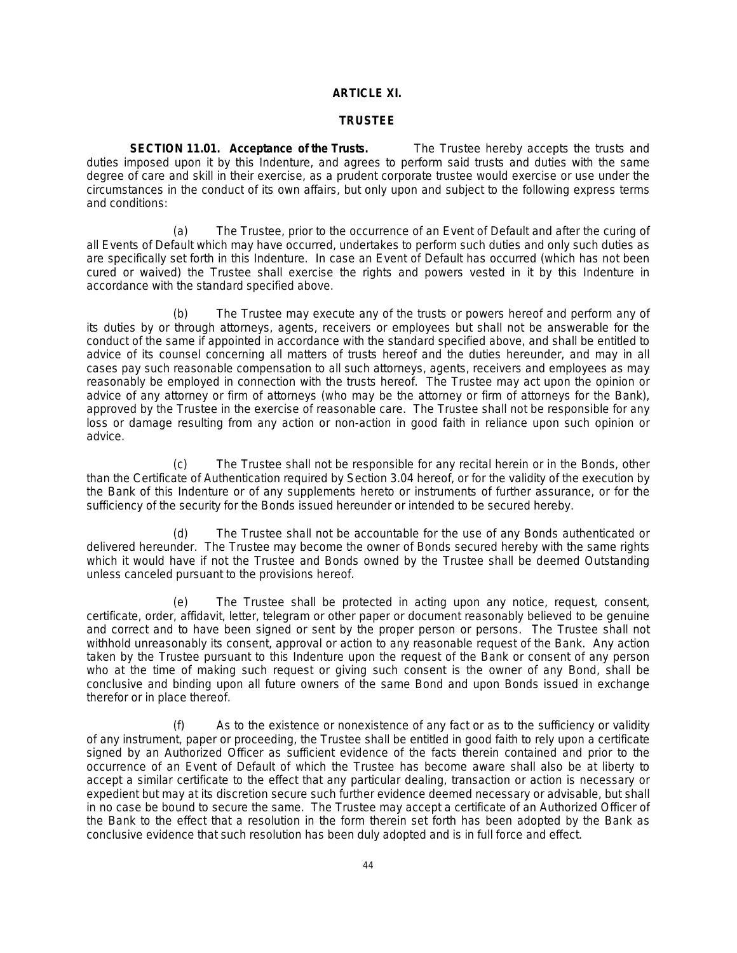# **ARTICLE XI.**

### **TRUSTEE**

**SECTION 11.01. Acceptance of the Trusts.** The Trustee hereby accepts the trusts and duties imposed upon it by this Indenture, and agrees to perform said trusts and duties with the same degree of care and skill in their exercise, as a prudent corporate trustee would exercise or use under the circumstances in the conduct of its own affairs, but only upon and subject to the following express terms and conditions:

(a) The Trustee, prior to the occurrence of an Event of Default and after the curing of all Events of Default which may have occurred, undertakes to perform such duties and only such duties as are specifically set forth in this Indenture. In case an Event of Default has occurred (which has not been cured or waived) the Trustee shall exercise the rights and powers vested in it by this Indenture in accordance with the standard specified above.

(b) The Trustee may execute any of the trusts or powers hereof and perform any of its duties by or through attorneys, agents, receivers or employees but shall not be answerable for the conduct of the same if appointed in accordance with the standard specified above, and shall be entitled to advice of its counsel concerning all matters of trusts hereof and the duties hereunder, and may in all cases pay such reasonable compensation to all such attorneys, agents, receivers and employees as may reasonably be employed in connection with the trusts hereof. The Trustee may act upon the opinion or advice of any attorney or firm of attorneys (who may be the attorney or firm of attorneys for the Bank), approved by the Trustee in the exercise of reasonable care. The Trustee shall not be responsible for any loss or damage resulting from any action or non-action in good faith in reliance upon such opinion or advice.

(c) The Trustee shall not be responsible for any recital herein or in the Bonds, other than the Certificate of Authentication required by Section 3.04 hereof, or for the validity of the execution by the Bank of this Indenture or of any supplements hereto or instruments of further assurance, or for the sufficiency of the security for the Bonds issued hereunder or intended to be secured hereby.

(d) The Trustee shall not be accountable for the use of any Bonds authenticated or delivered hereunder. The Trustee may become the owner of Bonds secured hereby with the same rights which it would have if not the Trustee and Bonds owned by the Trustee shall be deemed Outstanding unless canceled pursuant to the provisions hereof.

(e) The Trustee shall be protected in acting upon any notice, request, consent, certificate, order, affidavit, letter, telegram or other paper or document reasonably believed to be genuine and correct and to have been signed or sent by the proper person or persons. The Trustee shall not withhold unreasonably its consent, approval or action to any reasonable request of the Bank. Any action taken by the Trustee pursuant to this Indenture upon the request of the Bank or consent of any person who at the time of making such request or giving such consent is the owner of any Bond, shall be conclusive and binding upon all future owners of the same Bond and upon Bonds issued in exchange therefor or in place thereof.

(f) As to the existence or nonexistence of any fact or as to the sufficiency or validity of any instrument, paper or proceeding, the Trustee shall be entitled in good faith to rely upon a certificate signed by an Authorized Officer as sufficient evidence of the facts therein contained and prior to the occurrence of an Event of Default of which the Trustee has become aware shall also be at liberty to accept a similar certificate to the effect that any particular dealing, transaction or action is necessary or expedient but may at its discretion secure such further evidence deemed necessary or advisable, but shall in no case be bound to secure the same. The Trustee may accept a certificate of an Authorized Officer of the Bank to the effect that a resolution in the form therein set forth has been adopted by the Bank as conclusive evidence that such resolution has been duly adopted and is in full force and effect.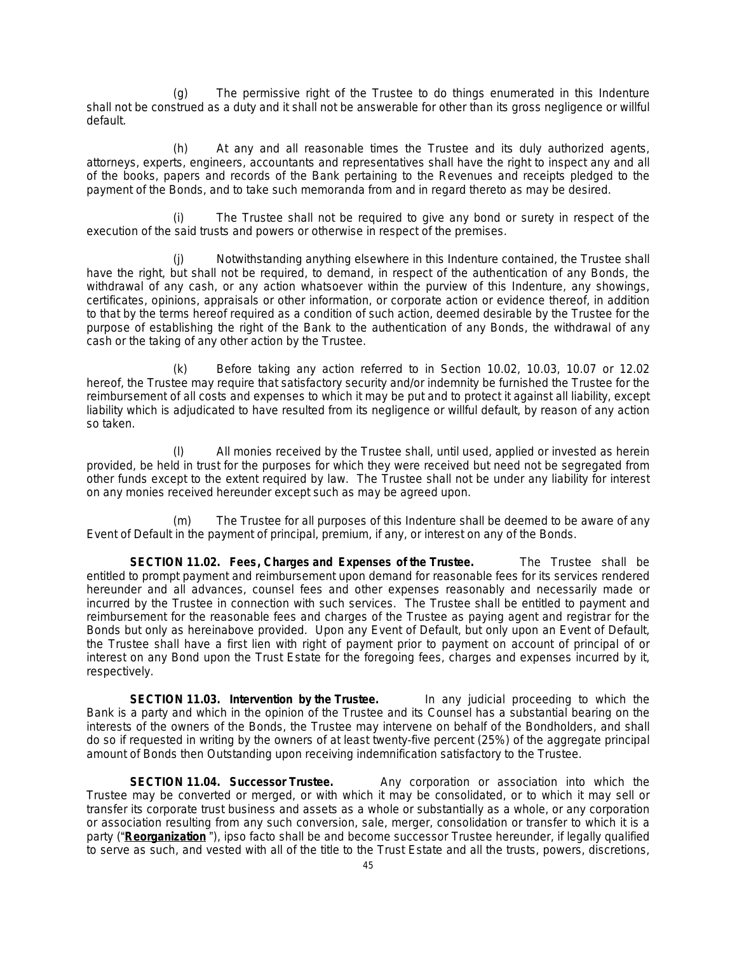(g) The permissive right of the Trustee to do things enumerated in this Indenture shall not be construed as a duty and it shall not be answerable for other than its gross negligence or willful default.

At any and all reasonable times the Trustee and its duly authorized agents, attorneys, experts, engineers, accountants and representatives shall have the right to inspect any and all of the books, papers and records of the Bank pertaining to the Revenues and receipts pledged to the payment of the Bonds, and to take such memoranda from and in regard thereto as may be desired.

(i) The Trustee shall not be required to give any bond or surety in respect of the execution of the said trusts and powers or otherwise in respect of the premises.

Notwithstanding anything elsewhere in this Indenture contained, the Trustee shall have the right, but shall not be required, to demand, in respect of the authentication of any Bonds, the withdrawal of any cash, or any action whatsoever within the purview of this Indenture, any showings, certificates, opinions, appraisals or other information, or corporate action or evidence thereof, in addition to that by the terms hereof required as a condition of such action, deemed desirable by the Trustee for the purpose of establishing the right of the Bank to the authentication of any Bonds, the withdrawal of any cash or the taking of any other action by the Trustee.

(k) Before taking any action referred to in Section 10.02, 10.03, 10.07 or 12.02 hereof, the Trustee may require that satisfactory security and/or indemnity be furnished the Trustee for the reimbursement of all costs and expenses to which it may be put and to protect it against all liability, except liability which is adjudicated to have resulted from its negligence or willful default, by reason of any action so taken.

All monies received by the Trustee shall, until used, applied or invested as herein provided, be held in trust for the purposes for which they were received but need not be segregated from other funds except to the extent required by law. The Trustee shall not be under any liability for interest on any monies received hereunder except such as may be agreed upon.

(m) The Trustee for all purposes of this Indenture shall be deemed to be aware of any Event of Default in the payment of principal, premium, if any, or interest on any of the Bonds.

**SECTION 11.02. Fees, Charges and Expenses of the Trustee.** The Trustee shall be entitled to prompt payment and reimbursement upon demand for reasonable fees for its services rendered hereunder and all advances, counsel fees and other expenses reasonably and necessarily made or incurred by the Trustee in connection with such services. The Trustee shall be entitled to payment and reimbursement for the reasonable fees and charges of the Trustee as paying agent and registrar for the Bonds but only as hereinabove provided. Upon any Event of Default, but only upon an Event of Default, the Trustee shall have a first lien with right of payment prior to payment on account of principal of or interest on any Bond upon the Trust Estate for the foregoing fees, charges and expenses incurred by it, respectively.

**SECTION 11.03. Intervention by the Trustee.** In any judicial proceeding to which the Bank is a party and which in the opinion of the Trustee and its Counsel has a substantial bearing on the interests of the owners of the Bonds, the Trustee may intervene on behalf of the Bondholders, and shall do so if requested in writing by the owners of at least twenty-five percent (25%) of the aggregate principal amount of Bonds then Outstanding upon receiving indemnification satisfactory to the Trustee.

**SECTION 11.04. Successor Trustee.** Any corporation or association into which the Trustee may be converted or merged, or with which it may be consolidated, or to which it may sell or transfer its corporate trust business and assets as a whole or substantially as a whole, or any corporation or association resulting from any such conversion, sale, merger, consolidation or transfer to which it is a party ("**Reorganization** "), ipso facto shall be and become successor Trustee hereunder, if legally qualified to serve as such, and vested with all of the title to the Trust Estate and all the trusts, powers, discretions,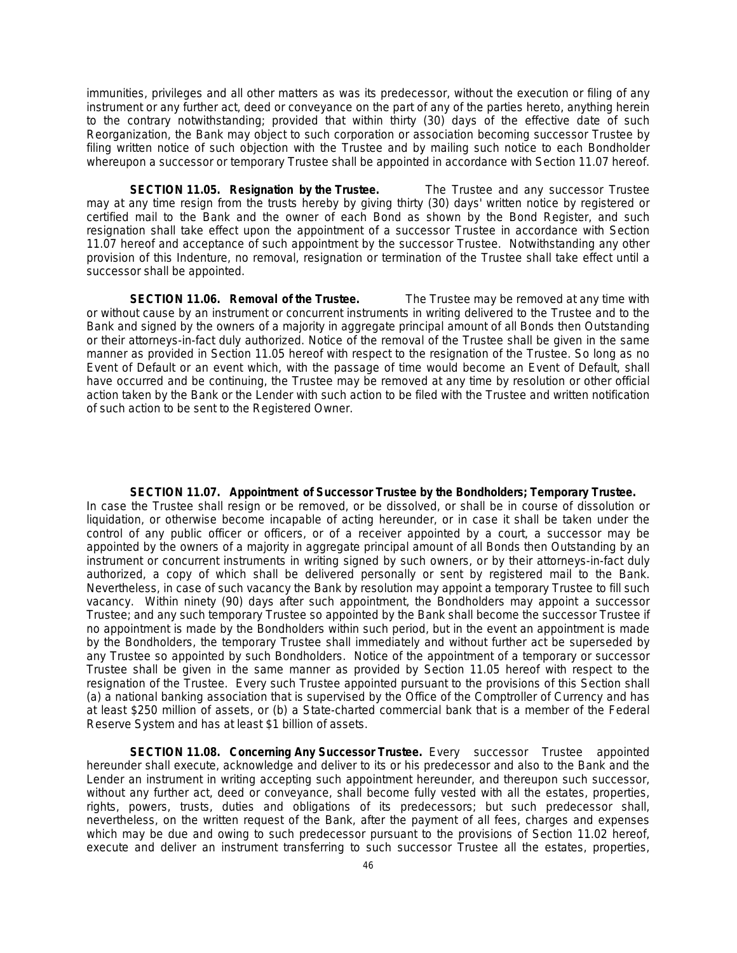immunities, privileges and all other matters as was its predecessor, without the execution or filing of any instrument or any further act, deed or conveyance on the part of any of the parties hereto, anything herein to the contrary notwithstanding; provided that within thirty (30) days of the effective date of such Reorganization, the Bank may object to such corporation or association becoming successor Trustee by filing written notice of such objection with the Trustee and by mailing such notice to each Bondholder whereupon a successor or temporary Trustee shall be appointed in accordance with Section 11.07 hereof.

**SECTION 11.05. Resignation by the Trustee.** The Trustee and any successor Trustee may at any time resign from the trusts hereby by giving thirty (30) days' written notice by registered or certified mail to the Bank and the owner of each Bond as shown by the Bond Register, and such resignation shall take effect upon the appointment of a successor Trustee in accordance with Section 11.07 hereof and acceptance of such appointment by the successor Trustee. Notwithstanding any other provision of this Indenture, no removal, resignation or termination of the Trustee shall take effect until a successor shall be appointed.

**SECTION 11.06. Removal of the Trustee.** The Trustee may be removed at any time with or without cause by an instrument or concurrent instruments in writing delivered to the Trustee and to the Bank and signed by the owners of a majority in aggregate principal amount of all Bonds then Outstanding or their attorneys-in-fact duly authorized. Notice of the removal of the Trustee shall be given in the same manner as provided in Section 11.05 hereof with respect to the resignation of the Trustee. So long as no Event of Default or an event which, with the passage of time would become an Event of Default, shall have occurred and be continuing, the Trustee may be removed at any time by resolution or other official action taken by the Bank or the Lender with such action to be filed with the Trustee and written notification of such action to be sent to the Registered Owner.

#### **SECTION 11.07. Appointment of Successor Trustee by the Bondholders; Temporary Trustee.**

In case the Trustee shall resign or be removed, or be dissolved, or shall be in course of dissolution or liquidation, or otherwise become incapable of acting hereunder, or in case it shall be taken under the control of any public officer or officers, or of a receiver appointed by a court, a successor may be appointed by the owners of a majority in aggregate principal amount of all Bonds then Outstanding by an instrument or concurrent instruments in writing signed by such owners, or by their attorneys-in-fact duly authorized, a copy of which shall be delivered personally or sent by registered mail to the Bank. Nevertheless, in case of such vacancy the Bank by resolution may appoint a temporary Trustee to fill such vacancy. Within ninety (90) days after such appointment, the Bondholders may appoint a successor Trustee; and any such temporary Trustee so appointed by the Bank shall become the successor Trustee if no appointment is made by the Bondholders within such period, but in the event an appointment is made by the Bondholders, the temporary Trustee shall immediately and without further act be superseded by any Trustee so appointed by such Bondholders. Notice of the appointment of a temporary or successor Trustee shall be given in the same manner as provided by Section 11.05 hereof with respect to the resignation of the Trustee. Every such Trustee appointed pursuant to the provisions of this Section shall (a) a national banking association that is supervised by the Office of the Comptroller of Currency and has at least \$250 million of assets, or (b) a State-charted commercial bank that is a member of the Federal Reserve System and has at least \$1 billion of assets.

**SECTION 11.08. Concerning Any Successor Trustee.** Every successor Trustee appointed hereunder shall execute, acknowledge and deliver to its or his predecessor and also to the Bank and the Lender an instrument in writing accepting such appointment hereunder, and thereupon such successor, without any further act, deed or conveyance, shall become fully vested with all the estates, properties, rights, powers, trusts, duties and obligations of its predecessors; but such predecessor shall, nevertheless, on the written request of the Bank, after the payment of all fees, charges and expenses which may be due and owing to such predecessor pursuant to the provisions of Section 11.02 hereof, execute and deliver an instrument transferring to such successor Trustee all the estates, properties,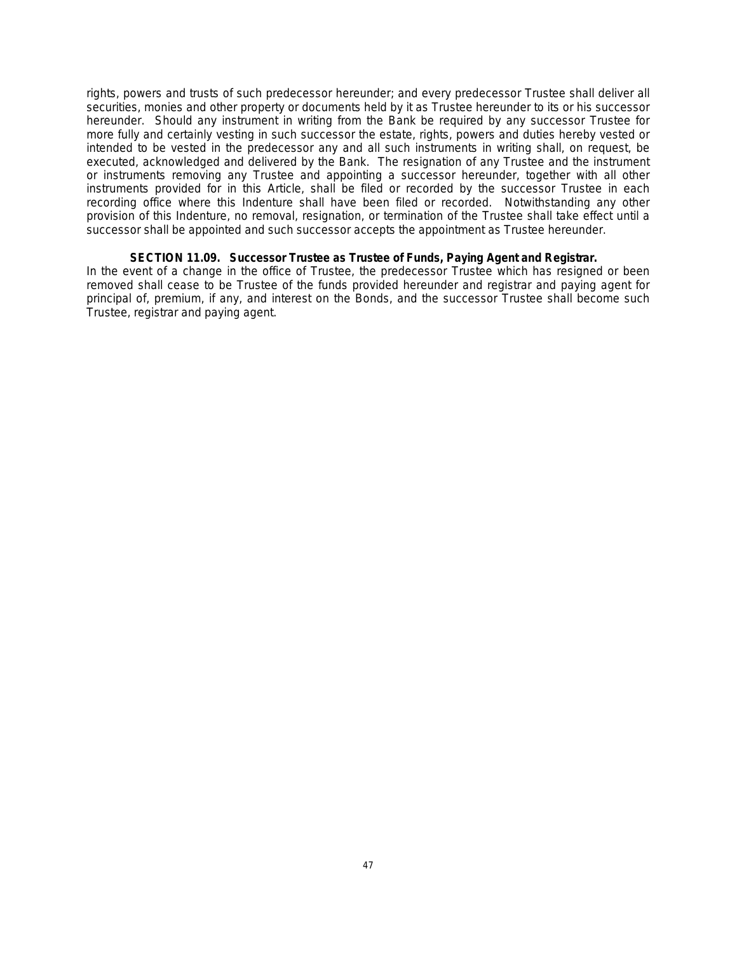rights, powers and trusts of such predecessor hereunder; and every predecessor Trustee shall deliver all securities, monies and other property or documents held by it as Trustee hereunder to its or his successor hereunder. Should any instrument in writing from the Bank be required by any successor Trustee for more fully and certainly vesting in such successor the estate, rights, powers and duties hereby vested or intended to be vested in the predecessor any and all such instruments in writing shall, on request, be executed, acknowledged and delivered by the Bank. The resignation of any Trustee and the instrument or instruments removing any Trustee and appointing a successor hereunder, together with all other instruments provided for in this Article, shall be filed or recorded by the successor Trustee in each recording office where this Indenture shall have been filed or recorded. Notwithstanding any other provision of this Indenture, no removal, resignation, or termination of the Trustee shall take effect until a successor shall be appointed and such successor accepts the appointment as Trustee hereunder.

# **SECTION 11.09. Successor Trustee as Trustee of Funds, Paying Agent and Registrar.**

In the event of a change in the office of Trustee, the predecessor Trustee which has resigned or been removed shall cease to be Trustee of the funds provided hereunder and registrar and paying agent for principal of, premium, if any, and interest on the Bonds, and the successor Trustee shall become such Trustee, registrar and paying agent.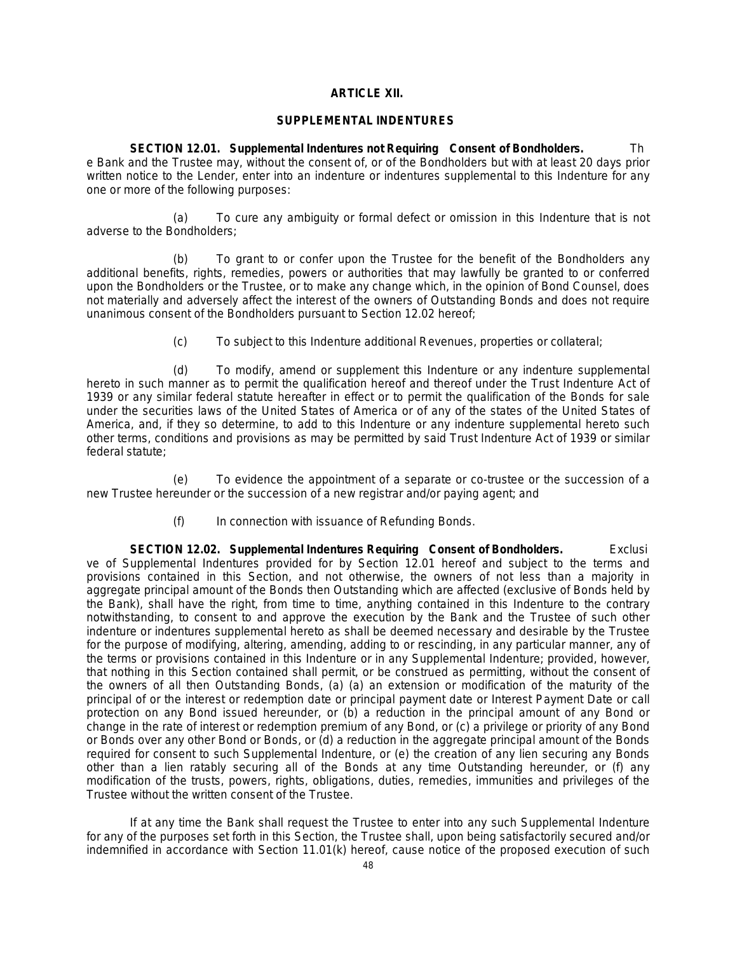### **ARTICLE XII.**

#### **SUPPLEMENTAL INDENTURES**

**SECTION 12.01. Supplemental Indentures not Requiring Consent of Bondholders.** Th e Bank and the Trustee may, without the consent of, or of the Bondholders but with at least 20 days prior written notice to the Lender, enter into an indenture or indentures supplemental to this Indenture for any one or more of the following purposes:

(a) To cure any ambiguity or formal defect or omission in this Indenture that is not adverse to the Bondholders;

(b) To grant to or confer upon the Trustee for the benefit of the Bondholders any additional benefits, rights, remedies, powers or authorities that may lawfully be granted to or conferred upon the Bondholders or the Trustee, or to make any change which, in the opinion of Bond Counsel, does not materially and adversely affect the interest of the owners of Outstanding Bonds and does not require unanimous consent of the Bondholders pursuant to Section 12.02 hereof;

(c) To subject to this Indenture additional Revenues, properties or collateral;

(d) To modify, amend or supplement this Indenture or any indenture supplemental hereto in such manner as to permit the qualification hereof and thereof under the Trust Indenture Act of 1939 or any similar federal statute hereafter in effect or to permit the qualification of the Bonds for sale under the securities laws of the United States of America or of any of the states of the United States of America, and, if they so determine, to add to this Indenture or any indenture supplemental hereto such other terms, conditions and provisions as may be permitted by said Trust Indenture Act of 1939 or similar federal statute;

(e) To evidence the appointment of a separate or co-trustee or the succession of a new Trustee hereunder or the succession of a new registrar and/or paying agent; and

(f) In connection with issuance of Refunding Bonds.

**SECTION 12.02. Supplemental Indentures Requiring Consent of Bondholders.** Exclusi ve of Supplemental Indentures provided for by Section 12.01 hereof and subject to the terms and provisions contained in this Section, and not otherwise, the owners of not less than a majority in aggregate principal amount of the Bonds then Outstanding which are affected (exclusive of Bonds held by the Bank), shall have the right, from time to time, anything contained in this Indenture to the contrary notwithstanding, to consent to and approve the execution by the Bank and the Trustee of such other indenture or indentures supplemental hereto as shall be deemed necessary and desirable by the Trustee for the purpose of modifying, altering, amending, adding to or rescinding, in any particular manner, any of the terms or provisions contained in this Indenture or in any Supplemental Indenture; provided, however, that nothing in this Section contained shall permit, or be construed as permitting, without the consent of the owners of all then Outstanding Bonds, (a) (a) an extension or modification of the maturity of the principal of or the interest or redemption date or principal payment date or Interest Payment Date or call protection on any Bond issued hereunder, or (b) a reduction in the principal amount of any Bond or change in the rate of interest or redemption premium of any Bond, or (c) a privilege or priority of any Bond or Bonds over any other Bond or Bonds, or (d) a reduction in the aggregate principal amount of the Bonds required for consent to such Supplemental Indenture, or (e) the creation of any lien securing any Bonds other than a lien ratably securing all of the Bonds at any time Outstanding hereunder, or (f) any modification of the trusts, powers, rights, obligations, duties, remedies, immunities and privileges of the Trustee without the written consent of the Trustee.

If at any time the Bank shall request the Trustee to enter into any such Supplemental Indenture for any of the purposes set forth in this Section, the Trustee shall, upon being satisfactorily secured and/or indemnified in accordance with Section 11.01(k) hereof, cause notice of the proposed execution of such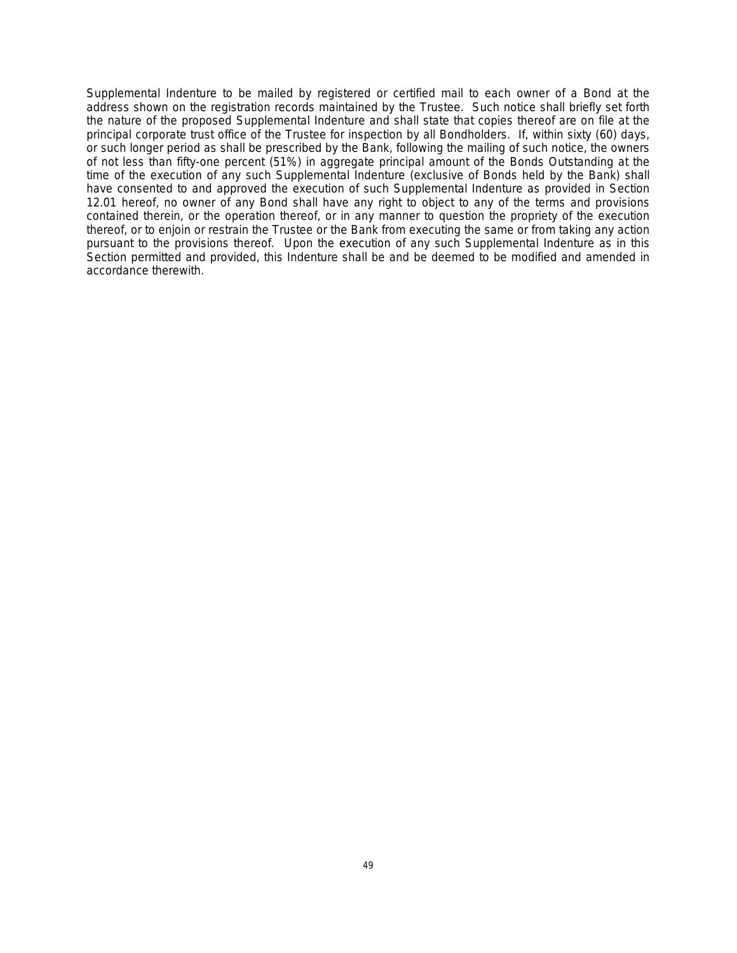Supplemental Indenture to be mailed by registered or certified mail to each owner of a Bond at the address shown on the registration records maintained by the Trustee. Such notice shall briefly set forth the nature of the proposed Supplemental Indenture and shall state that copies thereof are on file at the principal corporate trust office of the Trustee for inspection by all Bondholders. If, within sixty (60) days, or such longer period as shall be prescribed by the Bank, following the mailing of such notice, the owners of not less than fifty-one percent (51%) in aggregate principal amount of the Bonds Outstanding at the time of the execution of any such Supplemental Indenture (exclusive of Bonds held by the Bank) shall have consented to and approved the execution of such Supplemental Indenture as provided in Section 12.01 hereof, no owner of any Bond shall have any right to object to any of the terms and provisions contained therein, or the operation thereof, or in any manner to question the propriety of the execution thereof, or to enjoin or restrain the Trustee or the Bank from executing the same or from taking any action pursuant to the provisions thereof. Upon the execution of any such Supplemental Indenture as in this Section permitted and provided, this Indenture shall be and be deemed to be modified and amended in accordance therewith.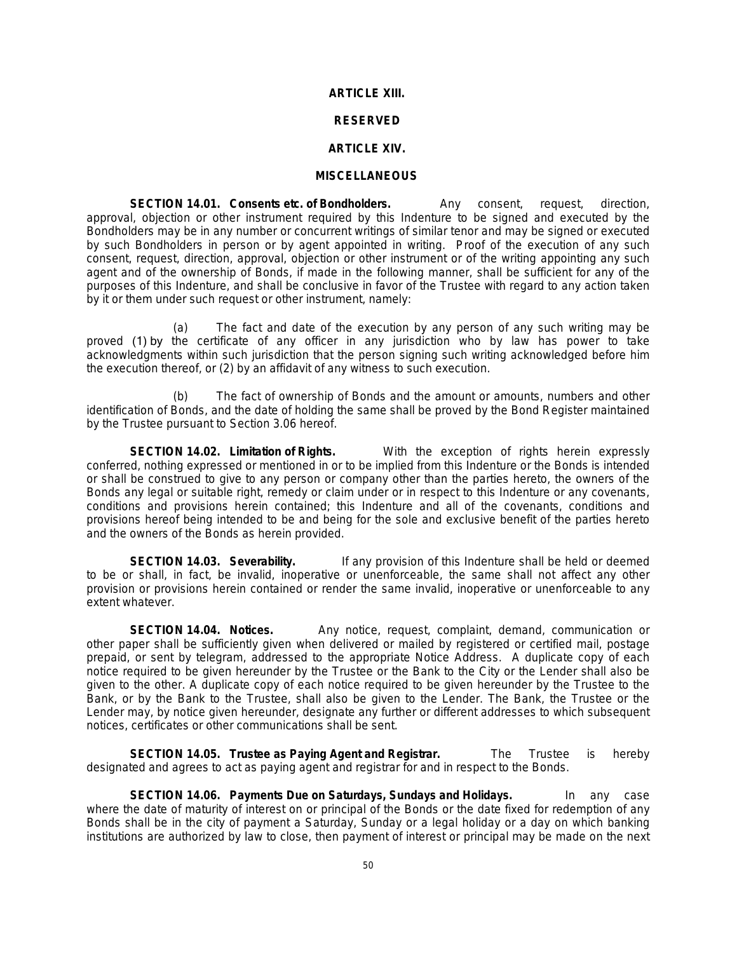#### **ARTICLE XIII.**

### **RESERVED**

#### **ARTICLE XIV.**

#### **MISCELLANEOUS**

**SECTION 14.01. Consents etc. of Bondholders.** Any consent, request, direction, approval, objection or other instrument required by this Indenture to be signed and executed by the Bondholders may be in any number or concurrent writings of similar tenor and may be signed or executed by such Bondholders in person or by agent appointed in writing. Proof of the execution of any such consent, request, direction, approval, objection or other instrument or of the writing appointing any such agent and of the ownership of Bonds, if made in the following manner, shall be sufficient for any of the purposes of this Indenture, and shall be conclusive in favor of the Trustee with regard to any action taken by it or them under such request or other instrument, namely:

(a) The fact and date of the execution by any person of any such writing may be proved (1) by the certificate of any officer in any jurisdiction who by law has power to take acknowledgments within such jurisdiction that the person signing such writing acknowledged before him the execution thereof, or (2) by an affidavit of any witness to such execution.

(b) The fact of ownership of Bonds and the amount or amounts, numbers and other identification of Bonds, and the date of holding the same shall be proved by the Bond Register maintained by the Trustee pursuant to Section 3.06 hereof.

**SECTION 14.02. Limitation of Rights.** With the exception of rights herein expressly conferred, nothing expressed or mentioned in or to be implied from this Indenture or the Bonds is intended or shall be construed to give to any person or company other than the parties hereto, the owners of the Bonds any legal or suitable right, remedy or claim under or in respect to this Indenture or any covenants, conditions and provisions herein contained; this Indenture and all of the covenants, conditions and provisions hereof being intended to be and being for the sole and exclusive benefit of the parties hereto and the owners of the Bonds as herein provided.

**SECTION 14.03. Severability.** If any provision of this Indenture shall be held or deemed to be or shall, in fact, be invalid, inoperative or unenforceable, the same shall not affect any other provision or provisions herein contained or render the same invalid, inoperative or unenforceable to any extent whatever.

**SECTION 14.04. Notices.** Any notice, request, complaint, demand, communication or other paper shall be sufficiently given when delivered or mailed by registered or certified mail, postage prepaid, or sent by telegram, addressed to the appropriate Notice Address. A duplicate copy of each notice required to be given hereunder by the Trustee or the Bank to the City or the Lender shall also be given to the other. A duplicate copy of each notice required to be given hereunder by the Trustee to the Bank, or by the Bank to the Trustee, shall also be given to the Lender. The Bank, the Trustee or the Lender may, by notice given hereunder, designate any further or different addresses to which subsequent notices, certificates or other communications shall be sent.

**SECTION 14.05. Trustee as Paying Agent and Registrar.** The Trustee is hereby designated and agrees to act as paying agent and registrar for and in respect to the Bonds.

**SECTION 14.06. Payments Due on Saturdays, Sundays and Holidays.** In any case where the date of maturity of interest on or principal of the Bonds or the date fixed for redemption of any Bonds shall be in the city of payment a Saturday, Sunday or a legal holiday or a day on which banking institutions are authorized by law to close, then payment of interest or principal may be made on the next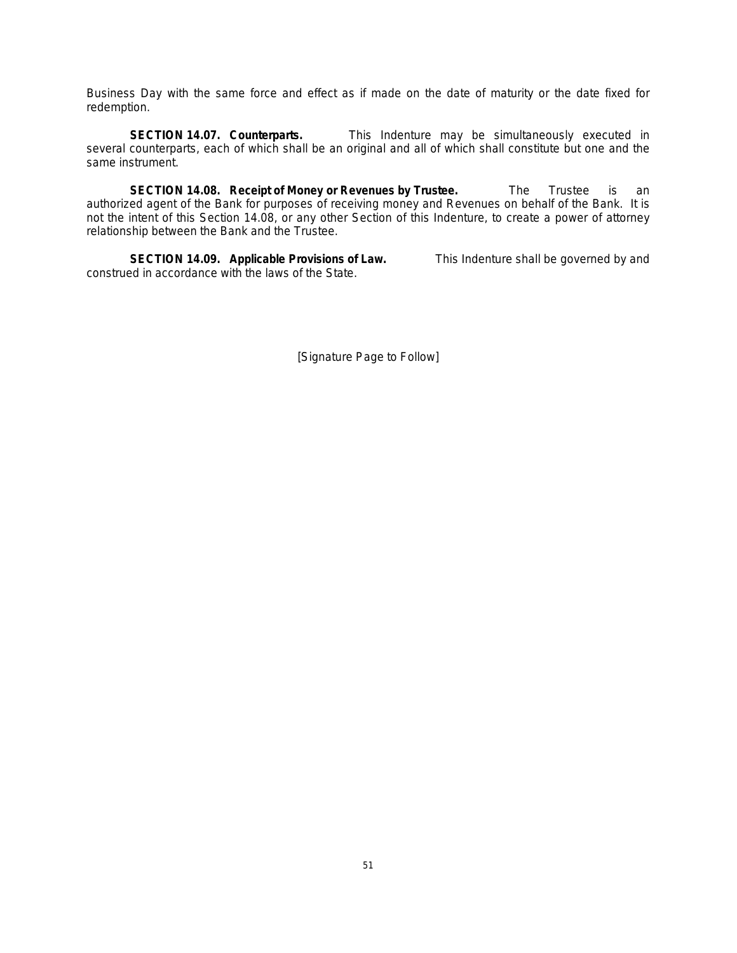Business Day with the same force and effect as if made on the date of maturity or the date fixed for redemption.

**SECTION 14.07. Counterparts.** This Indenture may be simultaneously executed in several counterparts, each of which shall be an original and all of which shall constitute but one and the same instrument.

**SECTION 14.08. Receipt of Money or Revenues by Trustee.** The Trustee is an authorized agent of the Bank for purposes of receiving money and Revenues on behalf of the Bank. It is not the intent of this Section 14.08, or any other Section of this Indenture, to create a power of attorney relationship between the Bank and the Trustee.

**SECTION 14.09. Applicable Provisions of Law.** This Indenture shall be governed by and construed in accordance with the laws of the State.

[Signature Page to Follow]